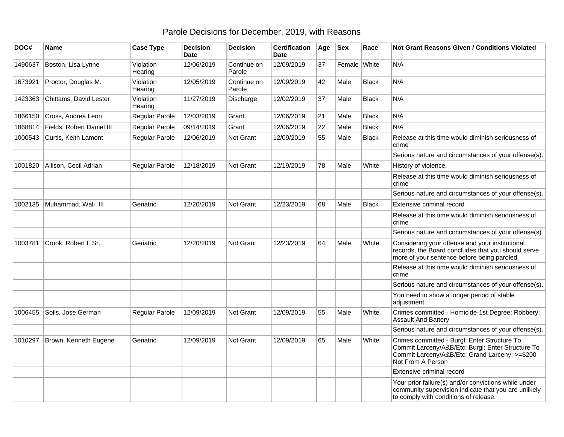## Parole Decisions for December, 2019, with Reasons

| DOC#    | <b>Name</b>               | <b>Case Type</b>     | <b>Decision</b><br><b>Date</b> | <b>Decision</b>       | <b>Certification</b><br><b>Date</b> | Age | <b>Sex</b>   | Race         | <b>Not Grant Reasons Given / Conditions Violated</b>                                                                                                                     |
|---------|---------------------------|----------------------|--------------------------------|-----------------------|-------------------------------------|-----|--------------|--------------|--------------------------------------------------------------------------------------------------------------------------------------------------------------------------|
| 1490637 | Boston, Lisa Lynne        | Violation<br>Hearing | 12/06/2019                     | Continue on<br>Parole | 12/09/2019                          | 37  | Female White |              | N/A                                                                                                                                                                      |
| 1673921 | Proctor, Douglas M.       | Violation<br>Hearing | 12/05/2019                     | Continue on<br>Parole | 12/09/2019                          | 42  | Male         | <b>Black</b> | N/A                                                                                                                                                                      |
| 1423363 | Chittams, David Lester    | Violation<br>Hearing | 11/27/2019                     | Discharge             | 12/02/2019                          | 37  | Male         | <b>Black</b> | N/A                                                                                                                                                                      |
| 1866150 | Cross, Andrea Leon        | Regular Parole       | 12/03/2019                     | Grant                 | 12/06/2019                          | 21  | Male         | <b>Black</b> | N/A                                                                                                                                                                      |
| 1868814 | Fields, Robert Daniel III | Regular Parole       | 09/14/2019                     | Grant                 | 12/06/2019                          | 22  | Male         | <b>Black</b> | N/A                                                                                                                                                                      |
| 1000543 | Curtis, Keith Lamont      | Regular Parole       | 12/06/2019                     | Not Grant             | 12/09/2019                          | 55  | Male         | <b>Black</b> | Release at this time would diminish seriousness of<br>crime                                                                                                              |
|         |                           |                      |                                |                       |                                     |     |              |              | Serious nature and circumstances of your offense(s).                                                                                                                     |
| 1001820 | Allison, Cecil Adrian     | Regular Parole       | 12/18/2019                     | Not Grant             | 12/19/2019                          | 78  | Male         | White        | History of violence.                                                                                                                                                     |
|         |                           |                      |                                |                       |                                     |     |              |              | Release at this time would diminish seriousness of<br>crime                                                                                                              |
|         |                           |                      |                                |                       |                                     |     |              |              | Serious nature and circumstances of your offense(s).                                                                                                                     |
| 1002135 | Muhammad, Wali III        | Geriatric            | 12/20/2019                     | Not Grant             | 12/23/2019                          | 68  | Male         | <b>Black</b> | Extensive criminal record                                                                                                                                                |
|         |                           |                      |                                |                       |                                     |     |              |              | Release at this time would diminish seriousness of<br>crime                                                                                                              |
|         |                           |                      |                                |                       |                                     |     |              |              | Serious nature and circumstances of your offense(s).                                                                                                                     |
| 1003781 | Crook, Robert L Sr.       | Geriatric            | 12/20/2019                     | <b>Not Grant</b>      | 12/23/2019                          | 64  | Male         | White        | Considering your offense and your institutional<br>records, the Board concludes that you should serve<br>more of your sentence before being paroled.                     |
|         |                           |                      |                                |                       |                                     |     |              |              | Release at this time would diminish seriousness of<br>crime                                                                                                              |
|         |                           |                      |                                |                       |                                     |     |              |              | Serious nature and circumstances of your offense(s).                                                                                                                     |
|         |                           |                      |                                |                       |                                     |     |              |              | You need to show a longer period of stable<br>adjustment.                                                                                                                |
| 1006455 | Solis, Jose German        | Regular Parole       | 12/09/2019                     | Not Grant             | 12/09/2019                          | 55  | Male         | White        | Crimes committed - Homicide-1st Degree; Robbery;<br><b>Assault And Battery</b>                                                                                           |
|         |                           |                      |                                |                       |                                     |     |              |              | Serious nature and circumstances of your offense(s).                                                                                                                     |
| 1010297 | Brown, Kenneth Eugene     | Geriatric            | 12/09/2019                     | Not Grant             | 12/09/2019                          | 65  | Male         | White        | Crimes committed - Burgl: Enter Structure To<br>Commit Larceny/A&B/Etc; Burgl: Enter Structure To<br>Commit Larceny/A&B/Etc; Grand Larceny: >=\$200<br>Not From A Person |
|         |                           |                      |                                |                       |                                     |     |              |              | Extensive criminal record                                                                                                                                                |
|         |                           |                      |                                |                       |                                     |     |              |              | Your prior failure(s) and/or convictions while under<br>community supervision indicate that you are unlikely<br>to comply with conditions of release.                    |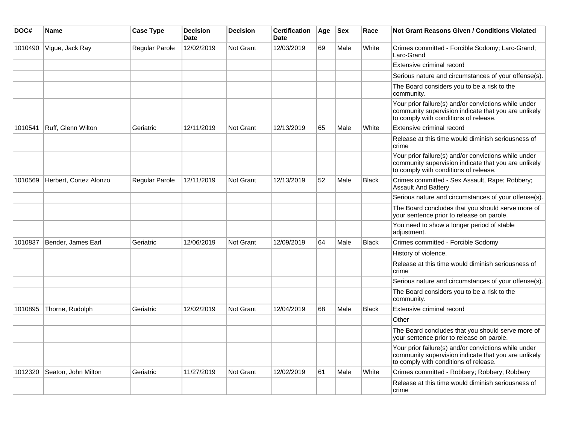| DOC#    | Name                   | <b>Case Type</b> | <b>Decision</b><br><b>Date</b> | <b>Decision</b>  | <b>Certification</b><br><b>Date</b> | Age | $ $ Sex | Race         | Not Grant Reasons Given / Conditions Violated                                                                                                         |
|---------|------------------------|------------------|--------------------------------|------------------|-------------------------------------|-----|---------|--------------|-------------------------------------------------------------------------------------------------------------------------------------------------------|
| 1010490 | Vigue, Jack Ray        | Regular Parole   | 12/02/2019                     | Not Grant        | 12/03/2019                          | 69  | Male    | White        | Crimes committed - Forcible Sodomy; Larc-Grand;<br>Larc-Grand                                                                                         |
|         |                        |                  |                                |                  |                                     |     |         |              | Extensive criminal record                                                                                                                             |
|         |                        |                  |                                |                  |                                     |     |         |              | Serious nature and circumstances of your offense(s).                                                                                                  |
|         |                        |                  |                                |                  |                                     |     |         |              | The Board considers you to be a risk to the<br>community.                                                                                             |
|         |                        |                  |                                |                  |                                     |     |         |              | Your prior failure(s) and/or convictions while under<br>community supervision indicate that you are unlikely<br>to comply with conditions of release. |
| 1010541 | Ruff. Glenn Wilton     | Geriatric        | 12/11/2019                     | Not Grant        | 12/13/2019                          | 65  | Male    | White        | Extensive criminal record                                                                                                                             |
|         |                        |                  |                                |                  |                                     |     |         |              | Release at this time would diminish seriousness of<br>crime                                                                                           |
|         |                        |                  |                                |                  |                                     |     |         |              | Your prior failure(s) and/or convictions while under<br>community supervision indicate that you are unlikely<br>to comply with conditions of release. |
| 1010569 | Herbert, Cortez Alonzo | Regular Parole   | 12/11/2019                     | <b>Not Grant</b> | 12/13/2019                          | 52  | Male    | <b>Black</b> | Crimes committed - Sex Assault, Rape; Robbery;<br><b>Assault And Battery</b>                                                                          |
|         |                        |                  |                                |                  |                                     |     |         |              | Serious nature and circumstances of your offense(s).                                                                                                  |
|         |                        |                  |                                |                  |                                     |     |         |              | The Board concludes that you should serve more of<br>your sentence prior to release on parole.                                                        |
|         |                        |                  |                                |                  |                                     |     |         |              | You need to show a longer period of stable<br>adjustment.                                                                                             |
| 1010837 | Bender, James Earl     | Geriatric        | 12/06/2019                     | Not Grant        | 12/09/2019                          | 64  | Male    | <b>Black</b> | Crimes committed - Forcible Sodomy                                                                                                                    |
|         |                        |                  |                                |                  |                                     |     |         |              | History of violence.                                                                                                                                  |
|         |                        |                  |                                |                  |                                     |     |         |              | Release at this time would diminish seriousness of<br>crime                                                                                           |
|         |                        |                  |                                |                  |                                     |     |         |              | Serious nature and circumstances of your offense(s).                                                                                                  |
|         |                        |                  |                                |                  |                                     |     |         |              | The Board considers you to be a risk to the<br>community.                                                                                             |
| 1010895 | Thorne, Rudolph        | Geriatric        | 12/02/2019                     | Not Grant        | 12/04/2019                          | 68  | Male    | <b>Black</b> | Extensive criminal record                                                                                                                             |
|         |                        |                  |                                |                  |                                     |     |         |              | Other                                                                                                                                                 |
|         |                        |                  |                                |                  |                                     |     |         |              | The Board concludes that you should serve more of<br>your sentence prior to release on parole.                                                        |
|         |                        |                  |                                |                  |                                     |     |         |              | Your prior failure(s) and/or convictions while under<br>community supervision indicate that you are unlikely<br>to comply with conditions of release. |
| 1012320 | Seaton, John Milton    | Geriatric        | 11/27/2019                     | <b>Not Grant</b> | 12/02/2019                          | 61  | Male    | White        | Crimes committed - Robbery; Robbery; Robbery                                                                                                          |
|         |                        |                  |                                |                  |                                     |     |         |              | Release at this time would diminish seriousness of<br>crime                                                                                           |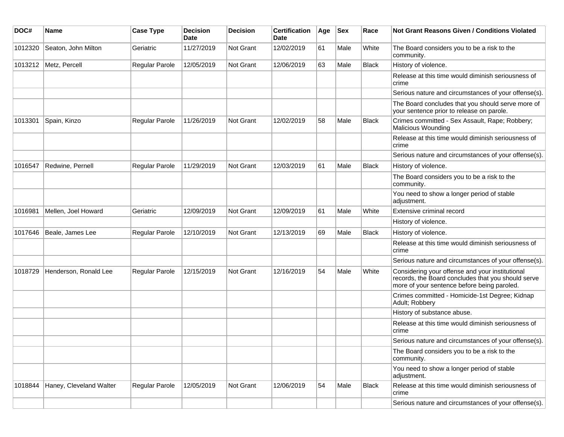| DOC#    | Name                    | <b>Case Type</b>      | <b>Decision</b><br><b>Date</b> | <b>Decision</b>  | <b>Certification</b><br>Date | Age | <b>Sex</b> | Race         | <b>Not Grant Reasons Given / Conditions Violated</b>                                                                                                 |
|---------|-------------------------|-----------------------|--------------------------------|------------------|------------------------------|-----|------------|--------------|------------------------------------------------------------------------------------------------------------------------------------------------------|
| 1012320 | Seaton, John Milton     | Geriatric             | 11/27/2019                     | Not Grant        | 12/02/2019                   | 61  | Male       | White        | The Board considers you to be a risk to the<br>community.                                                                                            |
|         | 1013212 Metz, Percell   | Regular Parole        | 12/05/2019                     | Not Grant        | 12/06/2019                   | 63  | Male       | <b>Black</b> | History of violence.                                                                                                                                 |
|         |                         |                       |                                |                  |                              |     |            |              | Release at this time would diminish seriousness of<br>crime                                                                                          |
|         |                         |                       |                                |                  |                              |     |            |              | Serious nature and circumstances of your offense(s).                                                                                                 |
|         |                         |                       |                                |                  |                              |     |            |              | The Board concludes that you should serve more of<br>your sentence prior to release on parole.                                                       |
| 1013301 | Spain, Kinzo            | <b>Regular Parole</b> | 11/26/2019                     | Not Grant        | 12/02/2019                   | 58  | Male       | <b>Black</b> | Crimes committed - Sex Assault, Rape; Robbery;<br>Malicious Wounding                                                                                 |
|         |                         |                       |                                |                  |                              |     |            |              | Release at this time would diminish seriousness of<br>crime                                                                                          |
|         |                         |                       |                                |                  |                              |     |            |              | Serious nature and circumstances of your offense(s).                                                                                                 |
| 1016547 | Redwine, Pernell        | Regular Parole        | 11/29/2019                     | <b>Not Grant</b> | 12/03/2019                   | 61  | Male       | <b>Black</b> | History of violence.                                                                                                                                 |
|         |                         |                       |                                |                  |                              |     |            |              | The Board considers you to be a risk to the<br>community.                                                                                            |
|         |                         |                       |                                |                  |                              |     |            |              | You need to show a longer period of stable<br>adjustment.                                                                                            |
| 1016981 | Mellen, Joel Howard     | Geriatric             | 12/09/2019                     | <b>Not Grant</b> | 12/09/2019                   | 61  | Male       | White        | Extensive criminal record                                                                                                                            |
|         |                         |                       |                                |                  |                              |     |            |              | History of violence.                                                                                                                                 |
| 1017646 | Beale, James Lee        | Regular Parole        | 12/10/2019                     | <b>Not Grant</b> | 12/13/2019                   | 69  | Male       | <b>Black</b> | History of violence.                                                                                                                                 |
|         |                         |                       |                                |                  |                              |     |            |              | Release at this time would diminish seriousness of<br>crime                                                                                          |
|         |                         |                       |                                |                  |                              |     |            |              | Serious nature and circumstances of your offense(s).                                                                                                 |
| 1018729 | Henderson, Ronald Lee   | Regular Parole        | 12/15/2019                     | <b>Not Grant</b> | 12/16/2019                   | 54  | Male       | White        | Considering your offense and your institutional<br>records, the Board concludes that you should serve<br>more of your sentence before being paroled. |
|         |                         |                       |                                |                  |                              |     |            |              | Crimes committed - Homicide-1st Degree; Kidnap<br>Adult; Robbery                                                                                     |
|         |                         |                       |                                |                  |                              |     |            |              | History of substance abuse.                                                                                                                          |
|         |                         |                       |                                |                  |                              |     |            |              | Release at this time would diminish seriousness of<br>crime                                                                                          |
|         |                         |                       |                                |                  |                              |     |            |              | Serious nature and circumstances of your offense(s).                                                                                                 |
|         |                         |                       |                                |                  |                              |     |            |              | The Board considers you to be a risk to the<br>community.                                                                                            |
|         |                         |                       |                                |                  |                              |     |            |              | You need to show a longer period of stable<br>adjustment.                                                                                            |
| 1018844 | Haney, Cleveland Walter | Regular Parole        | 12/05/2019                     | Not Grant        | 12/06/2019                   | 54  | Male       | Black        | Release at this time would diminish seriousness of<br>crime                                                                                          |
|         |                         |                       |                                |                  |                              |     |            |              | Serious nature and circumstances of your offense(s).                                                                                                 |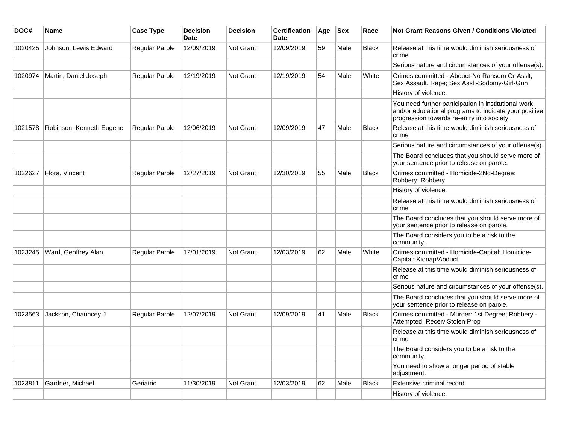| DOC#    | Name                     | <b>Case Type</b>      | <b>Decision</b><br>Date | <b>Decision</b>  | <b>Certification</b><br>Date | Age | <b>Sex</b> | Race         | Not Grant Reasons Given / Conditions Violated                                                                                                               |
|---------|--------------------------|-----------------------|-------------------------|------------------|------------------------------|-----|------------|--------------|-------------------------------------------------------------------------------------------------------------------------------------------------------------|
| 1020425 | Johnson, Lewis Edward    | Regular Parole        | 12/09/2019              | Not Grant        | 12/09/2019                   | 59  | Male       | <b>Black</b> | Release at this time would diminish seriousness of<br>crime                                                                                                 |
|         |                          |                       |                         |                  |                              |     |            |              | Serious nature and circumstances of your offense(s).                                                                                                        |
| 1020974 | Martin, Daniel Joseph    | <b>Regular Parole</b> | 12/19/2019              | Not Grant        | 12/19/2019                   | 54  | Male       | White        | Crimes committed - Abduct-No Ransom Or Asslt;<br>Sex Assault, Rape; Sex Asslt-Sodomy-Girl-Gun                                                               |
|         |                          |                       |                         |                  |                              |     |            |              | History of violence.                                                                                                                                        |
|         |                          |                       |                         |                  |                              |     |            |              | You need further participation in institutional work<br>and/or educational programs to indicate your positive<br>progression towards re-entry into society. |
| 1021578 | Robinson, Kenneth Eugene | Regular Parole        | 12/06/2019              | <b>Not Grant</b> | 12/09/2019                   | 47  | Male       | <b>Black</b> | Release at this time would diminish seriousness of<br>crime                                                                                                 |
|         |                          |                       |                         |                  |                              |     |            |              | Serious nature and circumstances of your offense(s).                                                                                                        |
|         |                          |                       |                         |                  |                              |     |            |              | The Board concludes that you should serve more of<br>your sentence prior to release on parole.                                                              |
| 1022627 | Flora, Vincent           | Regular Parole        | 12/27/2019              | <b>Not Grant</b> | 12/30/2019                   | 55  | Male       | <b>Black</b> | Crimes committed - Homicide-2Nd-Degree;<br>Robbery; Robbery                                                                                                 |
|         |                          |                       |                         |                  |                              |     |            |              | History of violence.                                                                                                                                        |
|         |                          |                       |                         |                  |                              |     |            |              | Release at this time would diminish seriousness of<br>crime                                                                                                 |
|         |                          |                       |                         |                  |                              |     |            |              | The Board concludes that you should serve more of<br>your sentence prior to release on parole.                                                              |
|         |                          |                       |                         |                  |                              |     |            |              | The Board considers you to be a risk to the<br>community.                                                                                                   |
| 1023245 | Ward, Geoffrey Alan      | Regular Parole        | 12/01/2019              | Not Grant        | 12/03/2019                   | 62  | Male       | White        | Crimes committed - Homicide-Capital; Homicide-<br>Capital; Kidnap/Abduct                                                                                    |
|         |                          |                       |                         |                  |                              |     |            |              | Release at this time would diminish seriousness of<br>crime                                                                                                 |
|         |                          |                       |                         |                  |                              |     |            |              | Serious nature and circumstances of your offense(s).                                                                                                        |
|         |                          |                       |                         |                  |                              |     |            |              | The Board concludes that you should serve more of<br>your sentence prior to release on parole.                                                              |
| 1023563 | Jackson, Chauncey J      | Regular Parole        | 12/07/2019              | Not Grant        | 12/09/2019                   | 41  | Male       | <b>Black</b> | Crimes committed - Murder: 1st Degree; Robbery -<br>Attempted; Receiv Stolen Prop                                                                           |
|         |                          |                       |                         |                  |                              |     |            |              | Release at this time would diminish seriousness of<br>crime                                                                                                 |
|         |                          |                       |                         |                  |                              |     |            |              | The Board considers you to be a risk to the<br>community.                                                                                                   |
|         |                          |                       |                         |                  |                              |     |            |              | You need to show a longer period of stable<br>adjustment.                                                                                                   |
| 1023811 | Gardner, Michael         | Geriatric             | 11/30/2019              | Not Grant        | 12/03/2019                   | 62  | Male       | Black        | Extensive criminal record                                                                                                                                   |
|         |                          |                       |                         |                  |                              |     |            |              | History of violence.                                                                                                                                        |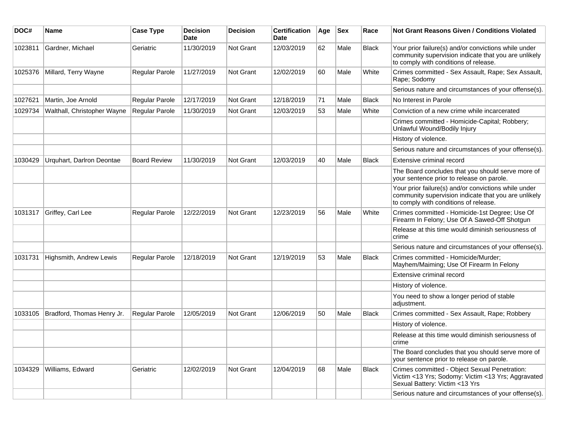| DOC#    | Name                        | <b>Case Type</b>      | <b>Decision</b><br><b>Date</b> | <b>Decision</b> | <b>Certification</b><br>Date | Age | <b>Sex</b> | Race         | <b>Not Grant Reasons Given / Conditions Violated</b>                                                                                                  |
|---------|-----------------------------|-----------------------|--------------------------------|-----------------|------------------------------|-----|------------|--------------|-------------------------------------------------------------------------------------------------------------------------------------------------------|
| 1023811 | Gardner, Michael            | Geriatric             | 11/30/2019                     | Not Grant       | 12/03/2019                   | 62  | Male       | <b>Black</b> | Your prior failure(s) and/or convictions while under<br>community supervision indicate that you are unlikely<br>to comply with conditions of release. |
| 1025376 | Millard, Terry Wayne        | Regular Parole        | 11/27/2019                     | Not Grant       | 12/02/2019                   | 60  | Male       | White        | Crimes committed - Sex Assault, Rape; Sex Assault,<br>Rape; Sodomy                                                                                    |
|         |                             |                       |                                |                 |                              |     |            |              | Serious nature and circumstances of your offense(s).                                                                                                  |
| 1027621 | Martin, Joe Arnold          | Regular Parole        | 12/17/2019                     | Not Grant       | 12/18/2019                   | 71  | Male       | <b>Black</b> | No Interest in Parole                                                                                                                                 |
| 1029734 | Walthall, Christopher Wayne | Regular Parole        | 11/30/2019                     | Not Grant       | 12/03/2019                   | 53  | Male       | White        | Conviction of a new crime while incarcerated                                                                                                          |
|         |                             |                       |                                |                 |                              |     |            |              | Crimes committed - Homicide-Capital; Robbery;<br>Unlawful Wound/Bodily Injury                                                                         |
|         |                             |                       |                                |                 |                              |     |            |              | History of violence.                                                                                                                                  |
|         |                             |                       |                                |                 |                              |     |            |              | Serious nature and circumstances of your offense(s).                                                                                                  |
| 1030429 | Urquhart, Darlron Deontae   | <b>Board Review</b>   | 11/30/2019                     | Not Grant       | 12/03/2019                   | 40  | Male       | <b>Black</b> | Extensive criminal record                                                                                                                             |
|         |                             |                       |                                |                 |                              |     |            |              | The Board concludes that you should serve more of<br>your sentence prior to release on parole.                                                        |
|         |                             |                       |                                |                 |                              |     |            |              | Your prior failure(s) and/or convictions while under<br>community supervision indicate that you are unlikely<br>to comply with conditions of release. |
| 1031317 | Griffey, Carl Lee           | Regular Parole        | 12/22/2019                     | Not Grant       | 12/23/2019                   | 56  | Male       | White        | Crimes committed - Homicide-1st Degree; Use Of<br>Firearm In Felony; Use Of A Sawed-Off Shotgun                                                       |
|         |                             |                       |                                |                 |                              |     |            |              | Release at this time would diminish seriousness of<br>crime                                                                                           |
|         |                             |                       |                                |                 |                              |     |            |              | Serious nature and circumstances of your offense(s).                                                                                                  |
| 1031731 | Highsmith, Andrew Lewis     | <b>Regular Parole</b> | 12/18/2019                     | Not Grant       | 12/19/2019                   | 53  | Male       | <b>Black</b> | Crimes committed - Homicide/Murder;<br>Mayhem/Maiming; Use Of Firearm In Felony                                                                       |
|         |                             |                       |                                |                 |                              |     |            |              | Extensive criminal record                                                                                                                             |
|         |                             |                       |                                |                 |                              |     |            |              | History of violence.                                                                                                                                  |
|         |                             |                       |                                |                 |                              |     |            |              | You need to show a longer period of stable<br>adjustment.                                                                                             |
| 1033105 | Bradford, Thomas Henry Jr.  | <b>Regular Parole</b> | 12/05/2019                     | Not Grant       | 12/06/2019                   | 50  | Male       | Black        | Crimes committed - Sex Assault, Rape; Robbery                                                                                                         |
|         |                             |                       |                                |                 |                              |     |            |              | History of violence.                                                                                                                                  |
|         |                             |                       |                                |                 |                              |     |            |              | Release at this time would diminish seriousness of<br>crime                                                                                           |
|         |                             |                       |                                |                 |                              |     |            |              | The Board concludes that you should serve more of<br>your sentence prior to release on parole.                                                        |
| 1034329 | Williams, Edward            | Geriatric             | 12/02/2019                     | Not Grant       | 12/04/2019                   | 68  | Male       | <b>Black</b> | Crimes committed - Object Sexual Penetration:<br>Victim <13 Yrs; Sodomy: Victim <13 Yrs; Aggravated<br>Sexual Battery: Victim <13 Yrs                 |
|         |                             |                       |                                |                 |                              |     |            |              | Serious nature and circumstances of your offense(s).                                                                                                  |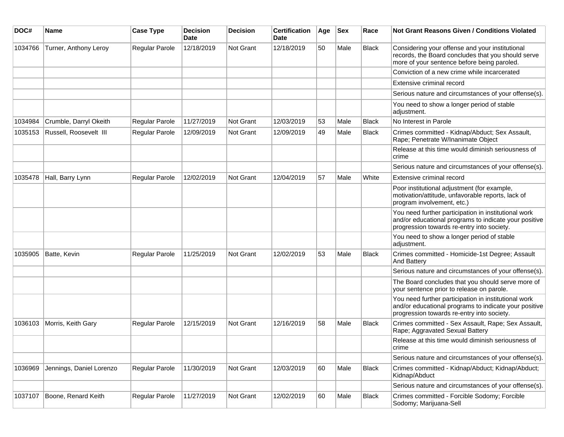| DOC#    | <b>Name</b>              | <b>Case Type</b> | <b>Decision</b><br><b>Date</b> | <b>Decision</b>  | <b>Certification</b><br>Date | Age | <b>Sex</b> | Race         | <b>Not Grant Reasons Given / Conditions Violated</b>                                                                                                        |
|---------|--------------------------|------------------|--------------------------------|------------------|------------------------------|-----|------------|--------------|-------------------------------------------------------------------------------------------------------------------------------------------------------------|
| 1034766 | Turner, Anthony Leroy    | Regular Parole   | 12/18/2019                     | <b>Not Grant</b> | 12/18/2019                   | 50  | Male       | Black        | Considering your offense and your institutional<br>records, the Board concludes that you should serve<br>more of your sentence before being paroled.        |
|         |                          |                  |                                |                  |                              |     |            |              | Conviction of a new crime while incarcerated                                                                                                                |
|         |                          |                  |                                |                  |                              |     |            |              | Extensive criminal record                                                                                                                                   |
|         |                          |                  |                                |                  |                              |     |            |              | Serious nature and circumstances of your offense(s).                                                                                                        |
|         |                          |                  |                                |                  |                              |     |            |              | You need to show a longer period of stable<br>adjustment.                                                                                                   |
| 1034984 | Crumble, Darryl Okeith   | Regular Parole   | 11/27/2019                     | <b>Not Grant</b> | 12/03/2019                   | 53  | Male       | <b>Black</b> | No Interest in Parole                                                                                                                                       |
| 1035153 | Russell, Roosevelt III   | Regular Parole   | 12/09/2019                     | <b>Not Grant</b> | 12/09/2019                   | 49  | Male       | <b>Black</b> | Crimes committed - Kidnap/Abduct; Sex Assault,<br>Rape; Penetrate W/Inanimate Object                                                                        |
|         |                          |                  |                                |                  |                              |     |            |              | Release at this time would diminish seriousness of<br>crime                                                                                                 |
|         |                          |                  |                                |                  |                              |     |            |              | Serious nature and circumstances of your offense(s).                                                                                                        |
| 1035478 | Hall, Barry Lynn         | Regular Parole   | 12/02/2019                     | Not Grant        | 12/04/2019                   | 57  | Male       | White        | Extensive criminal record                                                                                                                                   |
|         |                          |                  |                                |                  |                              |     |            |              | Poor institutional adjustment (for example,<br>motivation/attitude, unfavorable reports, lack of<br>program involvement, etc.)                              |
|         |                          |                  |                                |                  |                              |     |            |              | You need further participation in institutional work<br>and/or educational programs to indicate your positive<br>progression towards re-entry into society. |
|         |                          |                  |                                |                  |                              |     |            |              | You need to show a longer period of stable<br>adjustment.                                                                                                   |
| 1035905 | Batte, Kevin             | Regular Parole   | 11/25/2019                     | <b>Not Grant</b> | 12/02/2019                   | 53  | Male       | <b>Black</b> | Crimes committed - Homicide-1st Degree; Assault<br>And Battery                                                                                              |
|         |                          |                  |                                |                  |                              |     |            |              | Serious nature and circumstances of your offense(s).                                                                                                        |
|         |                          |                  |                                |                  |                              |     |            |              | The Board concludes that you should serve more of<br>your sentence prior to release on parole.                                                              |
|         |                          |                  |                                |                  |                              |     |            |              | You need further participation in institutional work<br>and/or educational programs to indicate your positive<br>progression towards re-entry into society. |
| 1036103 | Morris, Keith Gary       | Regular Parole   | 12/15/2019                     | Not Grant        | 12/16/2019                   | 58  | Male       | <b>Black</b> | Crimes committed - Sex Assault, Rape; Sex Assault,<br>Rape; Aggravated Sexual Battery                                                                       |
|         |                          |                  |                                |                  |                              |     |            |              | Release at this time would diminish seriousness of<br>crime                                                                                                 |
|         |                          |                  |                                |                  |                              |     |            |              | Serious nature and circumstances of your offense(s).                                                                                                        |
| 1036969 | Jennings, Daniel Lorenzo | Regular Parole   | 11/30/2019                     | <b>Not Grant</b> | 12/03/2019                   | 60  | Male       | Black        | Crimes committed - Kidnap/Abduct; Kidnap/Abduct;<br>Kidnap/Abduct                                                                                           |
|         |                          |                  |                                |                  |                              |     |            |              | Serious nature and circumstances of your offense(s).                                                                                                        |
| 1037107 | Boone, Renard Keith      | Regular Parole   | 11/27/2019                     | Not Grant        | 12/02/2019                   | 60  | Male       | Black        | Crimes committed - Forcible Sodomy; Forcible<br>Sodomy; Marijuana-Sell                                                                                      |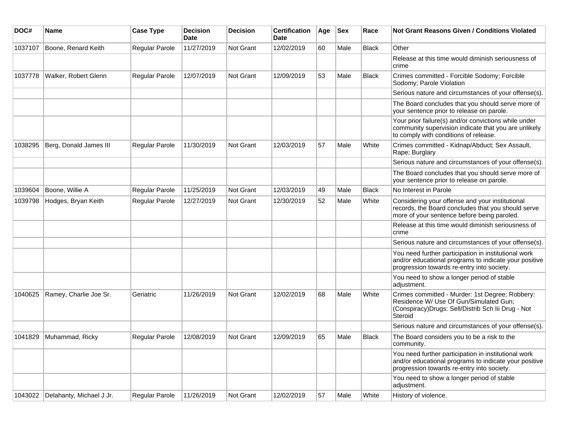| DOC#    | Name                               | <b>Case Type</b>      | <b>Decision</b><br>Date | <b>Decision</b>  | <b>Certification</b><br>Date | Age | <b>Sex</b> | Race         | Not Grant Reasons Given / Conditions Violated                                                                                                               |
|---------|------------------------------------|-----------------------|-------------------------|------------------|------------------------------|-----|------------|--------------|-------------------------------------------------------------------------------------------------------------------------------------------------------------|
| 1037107 | Boone, Renard Keith                | Regular Parole        | 11/27/2019              | <b>Not Grant</b> | 12/02/2019                   | 60  | Male       | Black        | Other                                                                                                                                                       |
|         |                                    |                       |                         |                  |                              |     |            |              | Release at this time would diminish seriousness of<br>crime                                                                                                 |
| 1037778 | Walker, Robert Glenn               | <b>Regular Parole</b> | 12/07/2019              | Not Grant        | 12/09/2019                   | 53  | Male       | <b>Black</b> | Crimes committed - Forcible Sodomy; Forcible<br>Sodomy; Parole Violation                                                                                    |
|         |                                    |                       |                         |                  |                              |     |            |              | Serious nature and circumstances of your offense(s).                                                                                                        |
|         |                                    |                       |                         |                  |                              |     |            |              | The Board concludes that you should serve more of<br>your sentence prior to release on parole.                                                              |
|         |                                    |                       |                         |                  |                              |     |            |              | Your prior failure(s) and/or convictions while under<br>community supervision indicate that you are unlikely<br>to comply with conditions of release.       |
| 1038295 | Berg, Donald James III             | Regular Parole        | 11/30/2019              | Not Grant        | 12/03/2019                   | 57  | Male       | White        | Crimes committed - Kidnap/Abduct; Sex Assault,<br>Rape; Burglary                                                                                            |
|         |                                    |                       |                         |                  |                              |     |            |              | Serious nature and circumstances of your offense(s).                                                                                                        |
|         |                                    |                       |                         |                  |                              |     |            |              | The Board concludes that you should serve more of<br>your sentence prior to release on parole.                                                              |
| 1039604 | Boone, Willie A                    | Regular Parole        | 11/25/2019              | <b>Not Grant</b> | 12/03/2019                   | 49  | Male       | <b>Black</b> | No Interest in Parole                                                                                                                                       |
| 1039798 | Hodges, Bryan Keith                | <b>Regular Parole</b> | 12/27/2019              | Not Grant        | 12/30/2019                   | 52  | Male       | White        | Considering your offense and your institutional<br>records, the Board concludes that you should serve<br>more of your sentence before being paroled.        |
|         |                                    |                       |                         |                  |                              |     |            |              | Release at this time would diminish seriousness of<br>crime                                                                                                 |
|         |                                    |                       |                         |                  |                              |     |            |              | Serious nature and circumstances of your offense(s).                                                                                                        |
|         |                                    |                       |                         |                  |                              |     |            |              | You need further participation in institutional work<br>and/or educational programs to indicate your positive<br>progression towards re-entry into society. |
|         |                                    |                       |                         |                  |                              |     |            |              | You need to show a longer period of stable<br>adjustment.                                                                                                   |
| 1040625 | Ramey, Charlie Joe Sr.             | Geriatric             | 11/26/2019              | <b>Not Grant</b> | 12/02/2019                   | 68  | Male       | White        | Crimes committed - Murder: 1st Degree; Robbery:<br>Residence W/ Use Of Gun/Simulated Gun;<br>(Conspiracy) Drugs: Sell/Distrib Sch lii Drug - Not<br>Steroid |
|         |                                    |                       |                         |                  |                              |     |            |              | Serious nature and circumstances of your offense(s).                                                                                                        |
| 1041829 | Muhammad, Ricky                    | <b>Regular Parole</b> | 12/08/2019              | Not Grant        | 12/09/2019                   | 65  | Male       | Black        | The Board considers you to be a risk to the<br>community.                                                                                                   |
|         |                                    |                       |                         |                  |                              |     |            |              | You need further participation in institutional work<br>and/or educational programs to indicate your positive<br>progression towards re-entry into society. |
|         |                                    |                       |                         |                  |                              |     |            |              | You need to show a longer period of stable<br>adjustment.                                                                                                   |
|         | 1043022   Delahanty, Michael J Jr. | Regular Parole        | 11/26/2019              | Not Grant        | 12/02/2019                   | 57  | Male       | White        | History of violence.                                                                                                                                        |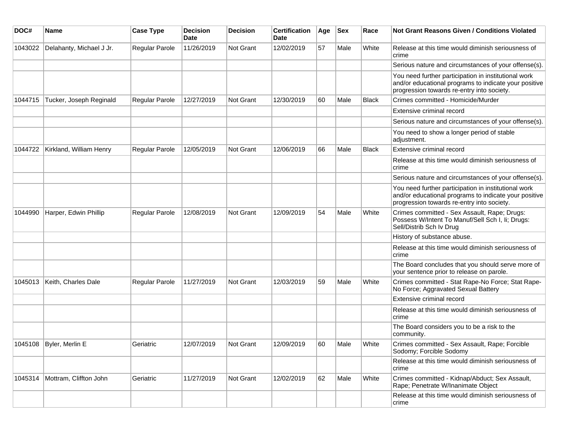| DOC#    | <b>Name</b>               | <b>Case Type</b>      | <b>Decision</b><br><b>Date</b> | <b>Decision</b> | <b>Certification</b><br><b>Date</b> | Age | <b>Sex</b> | Race         | Not Grant Reasons Given / Conditions Violated                                                                                                               |
|---------|---------------------------|-----------------------|--------------------------------|-----------------|-------------------------------------|-----|------------|--------------|-------------------------------------------------------------------------------------------------------------------------------------------------------------|
| 1043022 | Delahanty, Michael J Jr.  | Regular Parole        | 11/26/2019                     | Not Grant       | 12/02/2019                          | 57  | Male       | White        | Release at this time would diminish seriousness of<br>crime                                                                                                 |
|         |                           |                       |                                |                 |                                     |     |            |              | Serious nature and circumstances of your offense(s).                                                                                                        |
|         |                           |                       |                                |                 |                                     |     |            |              | You need further participation in institutional work<br>and/or educational programs to indicate your positive<br>progression towards re-entry into society. |
| 1044715 | Tucker, Joseph Reginald   | <b>Regular Parole</b> | 12/27/2019                     | Not Grant       | 12/30/2019                          | 60  | Male       | <b>Black</b> | Crimes committed - Homicide/Murder                                                                                                                          |
|         |                           |                       |                                |                 |                                     |     |            |              | Extensive criminal record                                                                                                                                   |
|         |                           |                       |                                |                 |                                     |     |            |              | Serious nature and circumstances of your offense(s).                                                                                                        |
|         |                           |                       |                                |                 |                                     |     |            |              | You need to show a longer period of stable<br>adjustment.                                                                                                   |
| 1044722 | Kirkland, William Henry   | Regular Parole        | 12/05/2019                     | Not Grant       | 12/06/2019                          | 66  | Male       | <b>Black</b> | Extensive criminal record                                                                                                                                   |
|         |                           |                       |                                |                 |                                     |     |            |              | Release at this time would diminish seriousness of<br>crime                                                                                                 |
|         |                           |                       |                                |                 |                                     |     |            |              | Serious nature and circumstances of your offense(s).                                                                                                        |
|         |                           |                       |                                |                 |                                     |     |            |              | You need further participation in institutional work<br>and/or educational programs to indicate your positive<br>progression towards re-entry into society. |
| 1044990 | Harper, Edwin Phillip     | <b>Regular Parole</b> | 12/08/2019                     | Not Grant       | 12/09/2019                          | 54  | Male       | White        | Crimes committed - Sex Assault, Rape; Drugs:<br>Possess W/Intent To Manuf/Sell Sch I, Ii; Drugs:<br>Sell/Distrib Sch Iv Drug                                |
|         |                           |                       |                                |                 |                                     |     |            |              | History of substance abuse.                                                                                                                                 |
|         |                           |                       |                                |                 |                                     |     |            |              | Release at this time would diminish seriousness of<br>crime                                                                                                 |
|         |                           |                       |                                |                 |                                     |     |            |              | The Board concludes that you should serve more of<br>your sentence prior to release on parole.                                                              |
| 1045013 | Keith, Charles Dale       | Regular Parole        | 11/27/2019                     | Not Grant       | 12/03/2019                          | 59  | Male       | White        | Crimes committed - Stat Rape-No Force; Stat Rape-<br>No Force; Aggravated Sexual Battery                                                                    |
|         |                           |                       |                                |                 |                                     |     |            |              | Extensive criminal record                                                                                                                                   |
|         |                           |                       |                                |                 |                                     |     |            |              | Release at this time would diminish seriousness of<br>crime                                                                                                 |
|         |                           |                       |                                |                 |                                     |     |            |              | The Board considers you to be a risk to the<br>community.                                                                                                   |
|         | 1045108   Byler, Merlin E | Geriatric             | 12/07/2019                     | Not Grant       | 12/09/2019                          | 60  | Male       | White        | Crimes committed - Sex Assault, Rape; Forcible<br>Sodomy; Forcible Sodomy                                                                                   |
|         |                           |                       |                                |                 |                                     |     |            |              | Release at this time would diminish seriousness of<br>crime                                                                                                 |
| 1045314 | Mottram, Cliffton John    | Geriatric             | 11/27/2019                     | Not Grant       | 12/02/2019                          | 62  | Male       | White        | Crimes committed - Kidnap/Abduct; Sex Assault,<br>Rape; Penetrate W/Inanimate Object                                                                        |
|         |                           |                       |                                |                 |                                     |     |            |              | Release at this time would diminish seriousness of<br>crime                                                                                                 |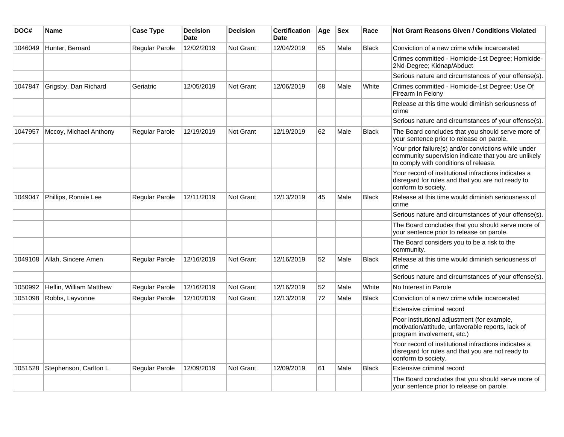| DOC#    | <b>Name</b>             | <b>Case Type</b> | <b>Decision</b><br><b>Date</b> | <b>Decision</b>  | <b>Certification</b><br><b>Date</b> | Age | <b>Sex</b> | Race         | <b>Not Grant Reasons Given / Conditions Violated</b>                                                                                                  |
|---------|-------------------------|------------------|--------------------------------|------------------|-------------------------------------|-----|------------|--------------|-------------------------------------------------------------------------------------------------------------------------------------------------------|
| 1046049 | Hunter, Bernard         | Regular Parole   | 12/02/2019                     | Not Grant        | 12/04/2019                          | 65  | Male       | <b>Black</b> | Conviction of a new crime while incarcerated                                                                                                          |
|         |                         |                  |                                |                  |                                     |     |            |              | Crimes committed - Homicide-1st Degree; Homicide-<br>2Nd-Degree; Kidnap/Abduct                                                                        |
|         |                         |                  |                                |                  |                                     |     |            |              | Serious nature and circumstances of your offense(s).                                                                                                  |
| 1047847 | Grigsby, Dan Richard    | Geriatric        | 12/05/2019                     | Not Grant        | 12/06/2019                          | 68  | Male       | White        | Crimes committed - Homicide-1st Degree; Use Of<br>Firearm In Felony                                                                                   |
|         |                         |                  |                                |                  |                                     |     |            |              | Release at this time would diminish seriousness of<br>crime                                                                                           |
|         |                         |                  |                                |                  |                                     |     |            |              | Serious nature and circumstances of your offense(s).                                                                                                  |
| 1047957 | Mccoy, Michael Anthony  | Regular Parole   | 12/19/2019                     | <b>Not Grant</b> | 12/19/2019                          | 62  | Male       | <b>Black</b> | The Board concludes that you should serve more of<br>your sentence prior to release on parole.                                                        |
|         |                         |                  |                                |                  |                                     |     |            |              | Your prior failure(s) and/or convictions while under<br>community supervision indicate that you are unlikely<br>to comply with conditions of release. |
|         |                         |                  |                                |                  |                                     |     |            |              | Your record of institutional infractions indicates a<br>disregard for rules and that you are not ready to<br>conform to society.                      |
| 1049047 | Phillips, Ronnie Lee    | Regular Parole   | 12/11/2019                     | Not Grant        | 12/13/2019                          | 45  | Male       | <b>Black</b> | Release at this time would diminish seriousness of<br>crime                                                                                           |
|         |                         |                  |                                |                  |                                     |     |            |              | Serious nature and circumstances of your offense(s).                                                                                                  |
|         |                         |                  |                                |                  |                                     |     |            |              | The Board concludes that you should serve more of<br>your sentence prior to release on parole.                                                        |
|         |                         |                  |                                |                  |                                     |     |            |              | The Board considers you to be a risk to the<br>community.                                                                                             |
| 1049108 | Allah, Sincere Amen     | Regular Parole   | 12/16/2019                     | <b>Not Grant</b> | 12/16/2019                          | 52  | Male       | <b>Black</b> | Release at this time would diminish seriousness of<br>crime                                                                                           |
|         |                         |                  |                                |                  |                                     |     |            |              | Serious nature and circumstances of your offense(s).                                                                                                  |
| 1050992 | Heflin, William Matthew | Regular Parole   | 12/16/2019                     | Not Grant        | 12/16/2019                          | 52  | Male       | White        | No Interest in Parole                                                                                                                                 |
| 1051098 | Robbs, Layvonne         | Regular Parole   | 12/10/2019                     | <b>Not Grant</b> | 12/13/2019                          | 72  | Male       | <b>Black</b> | Conviction of a new crime while incarcerated                                                                                                          |
|         |                         |                  |                                |                  |                                     |     |            |              | Extensive criminal record                                                                                                                             |
|         |                         |                  |                                |                  |                                     |     |            |              | Poor institutional adjustment (for example,<br>motivation/attitude, unfavorable reports, lack of<br>program involvement, etc.)                        |
|         |                         |                  |                                |                  |                                     |     |            |              | Your record of institutional infractions indicates a<br>disregard for rules and that you are not ready to<br>conform to society.                      |
| 1051528 | Stephenson, Carlton L   | Regular Parole   | 12/09/2019                     | <b>Not Grant</b> | 12/09/2019                          | 61  | Male       | <b>Black</b> | Extensive criminal record                                                                                                                             |
|         |                         |                  |                                |                  |                                     |     |            |              | The Board concludes that you should serve more of<br>your sentence prior to release on parole.                                                        |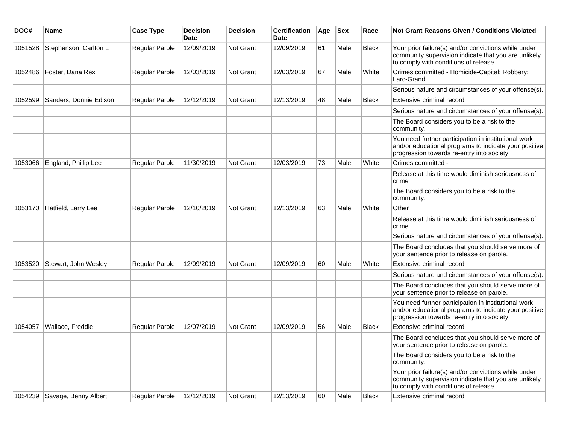| DOC#    | Name                         | <b>Case Type</b> | <b>Decision</b><br><b>Date</b> | <b>Decision</b> | <b>Certification</b><br>Date | Age | <b>Sex</b> | Race         | <b>Not Grant Reasons Given / Conditions Violated</b>                                                                                                        |
|---------|------------------------------|------------------|--------------------------------|-----------------|------------------------------|-----|------------|--------------|-------------------------------------------------------------------------------------------------------------------------------------------------------------|
| 1051528 | Stephenson, Carlton L        | Regular Parole   | 12/09/2019                     | Not Grant       | 12/09/2019                   | 61  | Male       | <b>Black</b> | Your prior failure(s) and/or convictions while under<br>community supervision indicate that you are unlikely<br>to comply with conditions of release.       |
| 1052486 | Foster, Dana Rex             | Regular Parole   | 12/03/2019                     | Not Grant       | 12/03/2019                   | 67  | Male       | White        | Crimes committed - Homicide-Capital; Robbery;<br>Larc-Grand                                                                                                 |
|         |                              |                  |                                |                 |                              |     |            |              | Serious nature and circumstances of your offense(s).                                                                                                        |
| 1052599 | Sanders, Donnie Edison       | Regular Parole   | 12/12/2019                     | Not Grant       | 12/13/2019                   | 48  | Male       | <b>Black</b> | Extensive criminal record                                                                                                                                   |
|         |                              |                  |                                |                 |                              |     |            |              | Serious nature and circumstances of your offense(s).                                                                                                        |
|         |                              |                  |                                |                 |                              |     |            |              | The Board considers you to be a risk to the<br>community.                                                                                                   |
|         |                              |                  |                                |                 |                              |     |            |              | You need further participation in institutional work<br>and/or educational programs to indicate your positive<br>progression towards re-entry into society. |
| 1053066 | England, Phillip Lee         | Regular Parole   | 11/30/2019                     | Not Grant       | 12/03/2019                   | 73  | Male       | White        | Crimes committed -                                                                                                                                          |
|         |                              |                  |                                |                 |                              |     |            |              | Release at this time would diminish seriousness of<br>crime                                                                                                 |
|         |                              |                  |                                |                 |                              |     |            |              | The Board considers you to be a risk to the<br>community.                                                                                                   |
| 1053170 | Hatfield, Larry Lee          | Regular Parole   | 12/10/2019                     | Not Grant       | 12/13/2019                   | 63  | Male       | White        | Other                                                                                                                                                       |
|         |                              |                  |                                |                 |                              |     |            |              | Release at this time would diminish seriousness of<br>crime                                                                                                 |
|         |                              |                  |                                |                 |                              |     |            |              | Serious nature and circumstances of your offense(s).                                                                                                        |
|         |                              |                  |                                |                 |                              |     |            |              | The Board concludes that you should serve more of<br>your sentence prior to release on parole.                                                              |
| 1053520 | Stewart, John Wesley         | Regular Parole   | 12/09/2019                     | Not Grant       | 12/09/2019                   | 60  | Male       | White        | Extensive criminal record                                                                                                                                   |
|         |                              |                  |                                |                 |                              |     |            |              | Serious nature and circumstances of your offense(s).                                                                                                        |
|         |                              |                  |                                |                 |                              |     |            |              | The Board concludes that you should serve more of<br>your sentence prior to release on parole.                                                              |
|         |                              |                  |                                |                 |                              |     |            |              | You need further participation in institutional work<br>and/or educational programs to indicate your positive<br>progression towards re-entry into society. |
| 1054057 | Wallace, Freddie             | Regular Parole   | 12/07/2019                     | Not Grant       | 12/09/2019                   | 56  | Male       | Black        | Extensive criminal record                                                                                                                                   |
|         |                              |                  |                                |                 |                              |     |            |              | The Board concludes that you should serve more of<br>your sentence prior to release on parole.                                                              |
|         |                              |                  |                                |                 |                              |     |            |              | The Board considers you to be a risk to the<br>community.                                                                                                   |
|         |                              |                  |                                |                 |                              |     |            |              | Your prior failure(s) and/or convictions while under<br>community supervision indicate that you are unlikely<br>to comply with conditions of release.       |
|         | 1054239 Savage, Benny Albert | Regular Parole   | 12/12/2019                     | Not Grant       | 12/13/2019                   | 60  | Male       | Black        | Extensive criminal record                                                                                                                                   |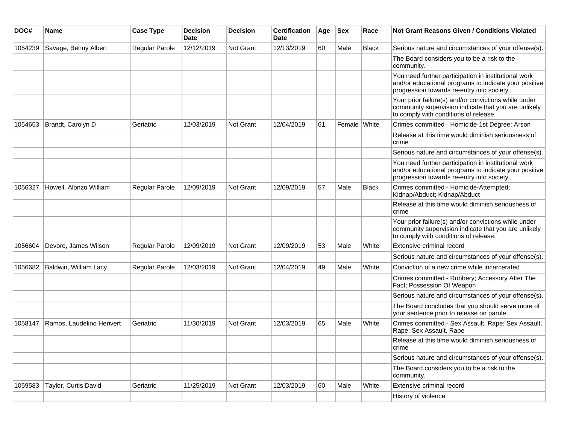| DOC#    | Name                      | <b>Case Type</b>      | <b>Decision</b><br><b>Date</b> | <b>Decision</b> | <b>Certification</b><br>Date | Age | <b>Sex</b>   | Race         | Not Grant Reasons Given / Conditions Violated                                                                                                               |
|---------|---------------------------|-----------------------|--------------------------------|-----------------|------------------------------|-----|--------------|--------------|-------------------------------------------------------------------------------------------------------------------------------------------------------------|
| 1054239 | Savage, Benny Albert      | Regular Parole        | 12/12/2019                     | Not Grant       | 12/13/2019                   | 60  | Male         | <b>Black</b> | Serious nature and circumstances of your offense(s).                                                                                                        |
|         |                           |                       |                                |                 |                              |     |              |              | The Board considers you to be a risk to the<br>community.                                                                                                   |
|         |                           |                       |                                |                 |                              |     |              |              | You need further participation in institutional work<br>and/or educational programs to indicate your positive<br>progression towards re-entry into society. |
|         |                           |                       |                                |                 |                              |     |              |              | Your prior failure(s) and/or convictions while under<br>community supervision indicate that you are unlikely<br>to comply with conditions of release.       |
| 1054653 | Brandt, Carolyn D         | Geriatric             | 12/03/2019                     | Not Grant       | 12/04/2019                   | 61  | Female White |              | Crimes committed - Homicide-1st Degree; Arson                                                                                                               |
|         |                           |                       |                                |                 |                              |     |              |              | Release at this time would diminish seriousness of<br>crime                                                                                                 |
|         |                           |                       |                                |                 |                              |     |              |              | Serious nature and circumstances of your offense(s).                                                                                                        |
|         |                           |                       |                                |                 |                              |     |              |              | You need further participation in institutional work<br>and/or educational programs to indicate your positive<br>progression towards re-entry into society. |
| 1056327 | Howell, Alonzo William    | <b>Regular Parole</b> | 12/09/2019                     | Not Grant       | 12/09/2019                   | 57  | Male         | <b>Black</b> | Crimes committed - Homicide-Attempted;<br>Kidnap/Abduct; Kidnap/Abduct                                                                                      |
|         |                           |                       |                                |                 |                              |     |              |              | Release at this time would diminish seriousness of<br>crime                                                                                                 |
|         |                           |                       |                                |                 |                              |     |              |              | Your prior failure(s) and/or convictions while under<br>community supervision indicate that you are unlikely<br>to comply with conditions of release.       |
| 1056604 | Devore, James Wilson      | Regular Parole        | 12/09/2019                     | Not Grant       | 12/09/2019                   | 53  | Male         | White        | Extensive criminal record                                                                                                                                   |
|         |                           |                       |                                |                 |                              |     |              |              | Serious nature and circumstances of your offense(s).                                                                                                        |
| 1056682 | Baldwin, William Lacy     | Regular Parole        | 12/03/2019                     | Not Grant       | 12/04/2019                   | 49  | Male         | White        | Conviction of a new crime while incarcerated                                                                                                                |
|         |                           |                       |                                |                 |                              |     |              |              | Crimes committed - Robbery; Accessory After The<br>Fact; Possession Of Weapon                                                                               |
|         |                           |                       |                                |                 |                              |     |              |              | Serious nature and circumstances of your offense(s).                                                                                                        |
|         |                           |                       |                                |                 |                              |     |              |              | The Board concludes that you should serve more of<br>your sentence prior to release on parole.                                                              |
| 1058147 | Ramos, Laudelino Herivert | Geriatric             | 11/30/2019                     | Not Grant       | 12/03/2019                   | 65  | Male         | White        | Crimes committed - Sex Assault, Rape; Sex Assault,<br>Rape; Sex Assault, Rape                                                                               |
|         |                           |                       |                                |                 |                              |     |              |              | Release at this time would diminish seriousness of<br>crime                                                                                                 |
|         |                           |                       |                                |                 |                              |     |              |              | Serious nature and circumstances of your offense(s).                                                                                                        |
|         |                           |                       |                                |                 |                              |     |              |              | The Board considers you to be a risk to the<br>community.                                                                                                   |
| 1059583 | Taylor, Curtis David      | Geriatric             | 11/25/2019                     | Not Grant       | 12/03/2019                   | 60  | Male         | White        | Extensive criminal record                                                                                                                                   |
|         |                           |                       |                                |                 |                              |     |              |              | History of violence.                                                                                                                                        |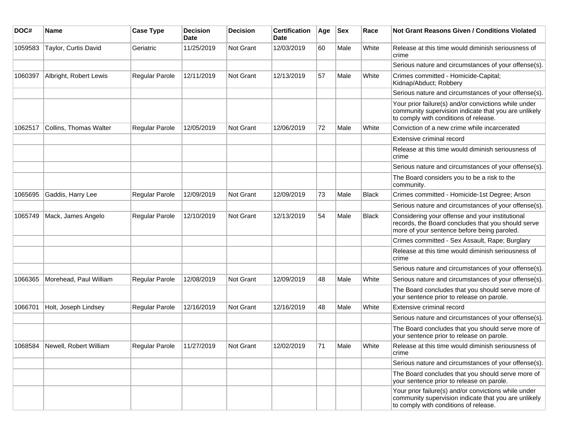| DOC#    | <b>Name</b>                    | <b>Case Type</b>          | <b>Decision</b><br><b>Date</b> | <b>Decision</b> | <b>Certification</b><br>Date | Age | <b>Sex</b> | Race  | <b>Not Grant Reasons Given / Conditions Violated</b>                                                                                                  |
|---------|--------------------------------|---------------------------|--------------------------------|-----------------|------------------------------|-----|------------|-------|-------------------------------------------------------------------------------------------------------------------------------------------------------|
| 1059583 | Taylor, Curtis David           | Geriatric                 | 11/25/2019                     | Not Grant       | 12/03/2019                   | 60  | Male       | White | Release at this time would diminish seriousness of<br>crime                                                                                           |
|         |                                |                           |                                |                 |                              |     |            |       | Serious nature and circumstances of your offense(s).                                                                                                  |
| 1060397 | Albright, Robert Lewis         | <b>Regular Parole</b>     | 12/11/2019                     | Not Grant       | 12/13/2019                   | 57  | Male       | White | Crimes committed - Homicide-Capital;<br>Kidnap/Abduct; Robbery                                                                                        |
|         |                                |                           |                                |                 |                              |     |            |       | Serious nature and circumstances of your offense(s).                                                                                                  |
|         |                                |                           |                                |                 |                              |     |            |       | Your prior failure(s) and/or convictions while under<br>community supervision indicate that you are unlikely<br>to comply with conditions of release. |
| 1062517 | Collins, Thomas Walter         | <b>Regular Parole</b>     | 12/05/2019                     | Not Grant       | 12/06/2019                   | 72  | Male       | White | Conviction of a new crime while incarcerated                                                                                                          |
|         |                                |                           |                                |                 |                              |     |            |       | Extensive criminal record                                                                                                                             |
|         |                                |                           |                                |                 |                              |     |            |       | Release at this time would diminish seriousness of<br>crime                                                                                           |
|         |                                |                           |                                |                 |                              |     |            |       | Serious nature and circumstances of your offense(s).                                                                                                  |
|         |                                |                           |                                |                 |                              |     |            |       | The Board considers you to be a risk to the<br>community.                                                                                             |
| 1065695 | Gaddis, Harry Lee              | Regular Parole            | 12/09/2019                     | Not Grant       | 12/09/2019                   | 73  | Male       | Black | Crimes committed - Homicide-1st Degree; Arson                                                                                                         |
|         |                                |                           |                                |                 |                              |     |            |       | Serious nature and circumstances of your offense(s).                                                                                                  |
| 1065749 | Mack, James Angelo             | Regular Parole            | 12/10/2019                     | Not Grant       | 12/13/2019                   | 54  | Male       | Black | Considering your offense and your institutional<br>records, the Board concludes that you should serve<br>more of your sentence before being paroled.  |
|         |                                |                           |                                |                 |                              |     |            |       | Crimes committed - Sex Assault, Rape; Burglary                                                                                                        |
|         |                                |                           |                                |                 |                              |     |            |       | Release at this time would diminish seriousness of<br>crime                                                                                           |
|         |                                |                           |                                |                 |                              |     |            |       | Serious nature and circumstances of your offense(s).                                                                                                  |
| 1066365 | Morehead, Paul William         | <b>Regular Parole</b>     | 12/08/2019                     | Not Grant       | 12/09/2019                   | 48  | Male       | White | Serious nature and circumstances of your offense(s).                                                                                                  |
|         |                                |                           |                                |                 |                              |     |            |       | The Board concludes that you should serve more of<br>your sentence prior to release on parole.                                                        |
| 1066701 | Holt, Joseph Lindsey           | Regular Parole            | 12/16/2019                     | Not Grant       | 12/16/2019                   | 48  | Male       | White | Extensive criminal record                                                                                                                             |
|         |                                |                           |                                |                 |                              |     |            |       | Serious nature and circumstances of your offense(s).                                                                                                  |
|         |                                |                           |                                |                 |                              |     |            |       | The Board concludes that you should serve more of<br>your sentence prior to release on parole.                                                        |
|         | 1068584 Newell, Robert William | Regular Parole 11/27/2019 |                                | Not Grant       | 12/02/2019                   | 71  | Male       | White | Release at this time would diminish seriousness of<br>crime                                                                                           |
|         |                                |                           |                                |                 |                              |     |            |       | Serious nature and circumstances of your offense(s).                                                                                                  |
|         |                                |                           |                                |                 |                              |     |            |       | The Board concludes that you should serve more of<br>your sentence prior to release on parole.                                                        |
|         |                                |                           |                                |                 |                              |     |            |       | Your prior failure(s) and/or convictions while under<br>community supervision indicate that you are unlikely<br>to comply with conditions of release. |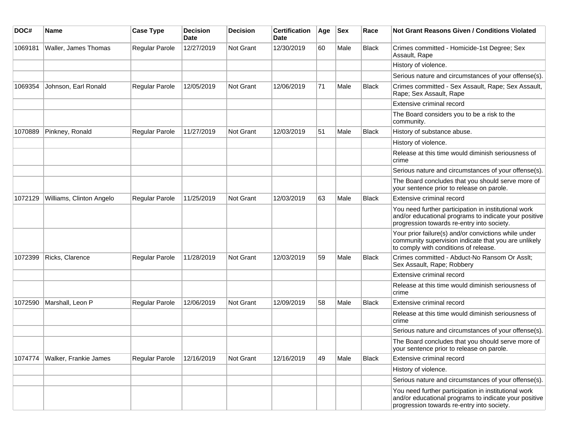| DOC#    | Name                     | <b>Case Type</b>      | <b>Decision</b><br>Date | <b>Decision</b>  | <b>Certification</b><br>Date | Age | <b>Sex</b> | Race         | <b>Not Grant Reasons Given / Conditions Violated</b>                                                                                                        |
|---------|--------------------------|-----------------------|-------------------------|------------------|------------------------------|-----|------------|--------------|-------------------------------------------------------------------------------------------------------------------------------------------------------------|
| 1069181 | Waller, James Thomas     | Regular Parole        | 12/27/2019              | Not Grant        | 12/30/2019                   | 60  | Male       | <b>Black</b> | Crimes committed - Homicide-1st Degree; Sex<br>Assault, Rape                                                                                                |
|         |                          |                       |                         |                  |                              |     |            |              | History of violence.                                                                                                                                        |
|         |                          |                       |                         |                  |                              |     |            |              | Serious nature and circumstances of your offense(s).                                                                                                        |
| 1069354 | Johnson, Earl Ronald     | Regular Parole        | 12/05/2019              | <b>Not Grant</b> | 12/06/2019                   | 71  | Male       | <b>Black</b> | Crimes committed - Sex Assault, Rape; Sex Assault,<br>Rape; Sex Assault, Rape                                                                               |
|         |                          |                       |                         |                  |                              |     |            |              | Extensive criminal record                                                                                                                                   |
|         |                          |                       |                         |                  |                              |     |            |              | The Board considers you to be a risk to the<br>community.                                                                                                   |
| 1070889 | Pinkney, Ronald          | Regular Parole        | 11/27/2019              | Not Grant        | 12/03/2019                   | 51  | Male       | <b>Black</b> | History of substance abuse.                                                                                                                                 |
|         |                          |                       |                         |                  |                              |     |            |              | History of violence.                                                                                                                                        |
|         |                          |                       |                         |                  |                              |     |            |              | Release at this time would diminish seriousness of<br>crime                                                                                                 |
|         |                          |                       |                         |                  |                              |     |            |              | Serious nature and circumstances of your offense(s).                                                                                                        |
|         |                          |                       |                         |                  |                              |     |            |              | The Board concludes that you should serve more of<br>your sentence prior to release on parole.                                                              |
| 1072129 | Williams, Clinton Angelo | Regular Parole        | 11/25/2019              | <b>Not Grant</b> | 12/03/2019                   | 63  | Male       | <b>Black</b> | Extensive criminal record                                                                                                                                   |
|         |                          |                       |                         |                  |                              |     |            |              | You need further participation in institutional work<br>and/or educational programs to indicate your positive<br>progression towards re-entry into society. |
|         |                          |                       |                         |                  |                              |     |            |              | Your prior failure(s) and/or convictions while under<br>community supervision indicate that you are unlikely<br>to comply with conditions of release.       |
| 1072399 | Ricks, Clarence          | <b>Regular Parole</b> | 11/28/2019              | Not Grant        | 12/03/2019                   | 59  | Male       | Black        | Crimes committed - Abduct-No Ransom Or Asslt;<br>Sex Assault, Rape; Robbery                                                                                 |
|         |                          |                       |                         |                  |                              |     |            |              | Extensive criminal record                                                                                                                                   |
|         |                          |                       |                         |                  |                              |     |            |              | Release at this time would diminish seriousness of<br>crime                                                                                                 |
| 1072590 | Marshall, Leon P         | Regular Parole        | 12/06/2019              | Not Grant        | 12/09/2019                   | 58  | Male       | <b>Black</b> | Extensive criminal record                                                                                                                                   |
|         |                          |                       |                         |                  |                              |     |            |              | Release at this time would diminish seriousness of<br>crime                                                                                                 |
|         |                          |                       |                         |                  |                              |     |            |              | Serious nature and circumstances of your offense(s).                                                                                                        |
|         |                          |                       |                         |                  |                              |     |            |              | The Board concludes that you should serve more of<br>your sentence prior to release on parole.                                                              |
| 1074774 | Walker, Frankie James    | Regular Parole        | 12/16/2019              | Not Grant        | 12/16/2019                   | 49  | Male       | <b>Black</b> | Extensive criminal record                                                                                                                                   |
|         |                          |                       |                         |                  |                              |     |            |              | History of violence.                                                                                                                                        |
|         |                          |                       |                         |                  |                              |     |            |              | Serious nature and circumstances of your offense(s).                                                                                                        |
|         |                          |                       |                         |                  |                              |     |            |              | You need further participation in institutional work<br>and/or educational programs to indicate your positive<br>progression towards re-entry into society. |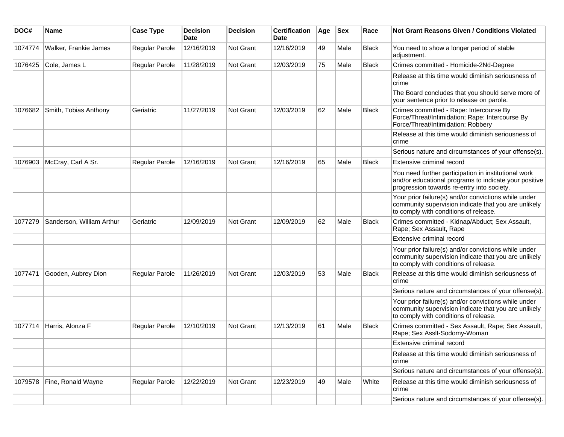| DOC#    | <b>Name</b>               | <b>Case Type</b> | <b>Decision</b><br><b>Date</b> | <b>Decision</b>  | <b>Certification</b><br>Date | Age | <b>Sex</b> | Race         | Not Grant Reasons Given / Conditions Violated                                                                                                               |
|---------|---------------------------|------------------|--------------------------------|------------------|------------------------------|-----|------------|--------------|-------------------------------------------------------------------------------------------------------------------------------------------------------------|
| 1074774 | Walker, Frankie James     | Regular Parole   | 12/16/2019                     | Not Grant        | 12/16/2019                   | 49  | Male       | <b>Black</b> | You need to show a longer period of stable<br>adjustment.                                                                                                   |
| 1076425 | Cole, James L             | Regular Parole   | 11/28/2019                     | Not Grant        | 12/03/2019                   | 75  | Male       | <b>Black</b> | Crimes committed - Homicide-2Nd-Degree                                                                                                                      |
|         |                           |                  |                                |                  |                              |     |            |              | Release at this time would diminish seriousness of<br>crime                                                                                                 |
|         |                           |                  |                                |                  |                              |     |            |              | The Board concludes that you should serve more of<br>your sentence prior to release on parole.                                                              |
| 1076682 | Smith, Tobias Anthony     | Geriatric        | 11/27/2019                     | Not Grant        | 12/03/2019                   | 62  | Male       | <b>Black</b> | Crimes committed - Rape: Intercourse By<br>Force/Threat/Intimidation; Rape: Intercourse By<br>Force/Threat/Intimidation; Robbery                            |
|         |                           |                  |                                |                  |                              |     |            |              | Release at this time would diminish seriousness of<br>crime                                                                                                 |
|         |                           |                  |                                |                  |                              |     |            |              | Serious nature and circumstances of your offense(s).                                                                                                        |
| 1076903 | McCray, Carl A Sr.        | Regular Parole   | 12/16/2019                     | <b>Not Grant</b> | 12/16/2019                   | 65  | Male       | <b>Black</b> | Extensive criminal record                                                                                                                                   |
|         |                           |                  |                                |                  |                              |     |            |              | You need further participation in institutional work<br>and/or educational programs to indicate your positive<br>progression towards re-entry into society. |
|         |                           |                  |                                |                  |                              |     |            |              | Your prior failure(s) and/or convictions while under<br>community supervision indicate that you are unlikely<br>to comply with conditions of release.       |
| 1077279 | Sanderson, William Arthur | Geriatric        | 12/09/2019                     | <b>Not Grant</b> | 12/09/2019                   | 62  | Male       | Black        | Crimes committed - Kidnap/Abduct; Sex Assault,<br>Rape; Sex Assault, Rape                                                                                   |
|         |                           |                  |                                |                  |                              |     |            |              | Extensive criminal record                                                                                                                                   |
|         |                           |                  |                                |                  |                              |     |            |              | Your prior failure(s) and/or convictions while under<br>community supervision indicate that you are unlikely<br>to comply with conditions of release.       |
| 1077471 | Gooden, Aubrey Dion       | Regular Parole   | 11/26/2019                     | Not Grant        | 12/03/2019                   | 53  | Male       | <b>Black</b> | Release at this time would diminish seriousness of<br>crime                                                                                                 |
|         |                           |                  |                                |                  |                              |     |            |              | Serious nature and circumstances of your offense(s).                                                                                                        |
|         |                           |                  |                                |                  |                              |     |            |              | Your prior failure(s) and/or convictions while under<br>community supervision indicate that you are unlikely<br>to comply with conditions of release.       |
| 1077714 | Harris, Alonza F          | Regular Parole   | 12/10/2019                     | Not Grant        | 12/13/2019                   | 61  | Male       | Black        | Crimes committed - Sex Assault, Rape; Sex Assault,<br>Rape; Sex Asslt-Sodomy-Woman                                                                          |
|         |                           |                  |                                |                  |                              |     |            |              | Extensive criminal record                                                                                                                                   |
|         |                           |                  |                                |                  |                              |     |            |              | Release at this time would diminish seriousness of<br>crime                                                                                                 |
|         |                           |                  |                                |                  |                              |     |            |              | Serious nature and circumstances of your offense(s).                                                                                                        |
| 1079578 | Fine, Ronald Wayne        | Regular Parole   | 12/22/2019                     | Not Grant        | 12/23/2019                   | 49  | Male       | White        | Release at this time would diminish seriousness of<br>crime                                                                                                 |
|         |                           |                  |                                |                  |                              |     |            |              | Serious nature and circumstances of your offense(s).                                                                                                        |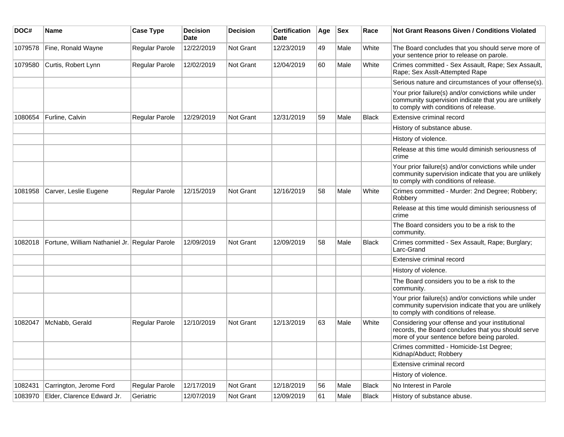| DOC#    | <b>Name</b>                                   | <b>Case Type</b> | <b>Decision</b><br>Date | <b>Decision</b> | <b>Certification</b><br>Date | Age | <b>Sex</b> | Race         | Not Grant Reasons Given / Conditions Violated                                                                                                         |
|---------|-----------------------------------------------|------------------|-------------------------|-----------------|------------------------------|-----|------------|--------------|-------------------------------------------------------------------------------------------------------------------------------------------------------|
| 1079578 | Fine, Ronald Wayne                            | Regular Parole   | 12/22/2019              | Not Grant       | 12/23/2019                   | 49  | Male       | White        | The Board concludes that you should serve more of<br>your sentence prior to release on parole.                                                        |
| 1079580 | Curtis, Robert Lynn                           | Regular Parole   | 12/02/2019              | Not Grant       | 12/04/2019                   | 60  | Male       | White        | Crimes committed - Sex Assault, Rape; Sex Assault,<br>Rape; Sex Asslt-Attempted Rape                                                                  |
|         |                                               |                  |                         |                 |                              |     |            |              | Serious nature and circumstances of your offense(s).                                                                                                  |
|         |                                               |                  |                         |                 |                              |     |            |              | Your prior failure(s) and/or convictions while under<br>community supervision indicate that you are unlikely<br>to comply with conditions of release. |
| 1080654 | Furline, Calvin                               | Regular Parole   | 12/29/2019              | Not Grant       | 12/31/2019                   | 59  | Male       | <b>Black</b> | Extensive criminal record                                                                                                                             |
|         |                                               |                  |                         |                 |                              |     |            |              | History of substance abuse.                                                                                                                           |
|         |                                               |                  |                         |                 |                              |     |            |              | History of violence.                                                                                                                                  |
|         |                                               |                  |                         |                 |                              |     |            |              | Release at this time would diminish seriousness of<br>crime                                                                                           |
|         |                                               |                  |                         |                 |                              |     |            |              | Your prior failure(s) and/or convictions while under<br>community supervision indicate that you are unlikely<br>to comply with conditions of release. |
| 1081958 | Carver, Leslie Eugene                         | Regular Parole   | 12/15/2019              | Not Grant       | 12/16/2019                   | 58  | Male       | White        | Crimes committed - Murder: 2nd Degree; Robbery;<br>Robbery                                                                                            |
|         |                                               |                  |                         |                 |                              |     |            |              | Release at this time would diminish seriousness of<br>crime                                                                                           |
|         |                                               |                  |                         |                 |                              |     |            |              | The Board considers you to be a risk to the<br>community.                                                                                             |
| 1082018 | Fortune, William Nathaniel Jr. Regular Parole |                  | 12/09/2019              | Not Grant       | 12/09/2019                   | 58  | Male       | <b>Black</b> | Crimes committed - Sex Assault, Rape; Burglary;<br>Larc-Grand                                                                                         |
|         |                                               |                  |                         |                 |                              |     |            |              | Extensive criminal record                                                                                                                             |
|         |                                               |                  |                         |                 |                              |     |            |              | History of violence.                                                                                                                                  |
|         |                                               |                  |                         |                 |                              |     |            |              | The Board considers you to be a risk to the<br>community.                                                                                             |
|         |                                               |                  |                         |                 |                              |     |            |              | Your prior failure(s) and/or convictions while under<br>community supervision indicate that you are unlikely<br>to comply with conditions of release. |
| 1082047 | McNabb, Gerald                                | Regular Parole   | 12/10/2019              | Not Grant       | 12/13/2019                   | 63  | Male       | White        | Considering your offense and your institutional<br>records, the Board concludes that you should serve<br>more of your sentence before being paroled.  |
|         |                                               |                  |                         |                 |                              |     |            |              | Crimes committed - Homicide-1st Degree;<br>Kidnap/Abduct; Robbery                                                                                     |
|         |                                               |                  |                         |                 |                              |     |            |              | Extensive criminal record                                                                                                                             |
|         |                                               |                  |                         |                 |                              |     |            |              | History of violence.                                                                                                                                  |
| 1082431 | Carrington, Jerome Ford                       | Regular Parole   | 12/17/2019              | Not Grant       | 12/18/2019                   | 56  | Male       | <b>Black</b> | No Interest in Parole                                                                                                                                 |
| 1083970 | Elder, Clarence Edward Jr.                    | Geriatric        | 12/07/2019              | Not Grant       | 12/09/2019                   | 61  | Male       | Black        | History of substance abuse.                                                                                                                           |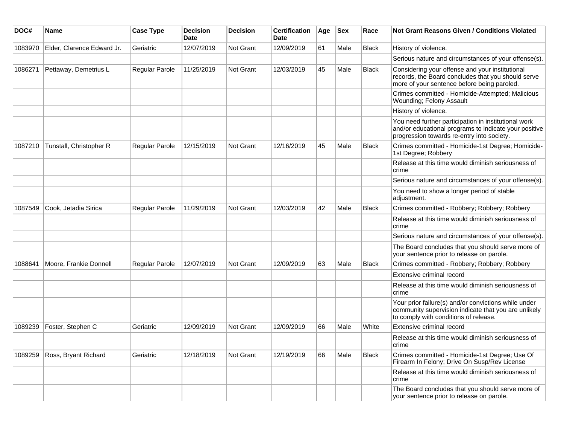| DOC#    | <b>Name</b>                | <b>Case Type</b>      | <b>Decision</b><br>Date | <b>Decision</b>  | <b>Certification</b><br>Date | Age | <b>Sex</b> | Race         | <b>Not Grant Reasons Given / Conditions Violated</b>                                                                                                        |
|---------|----------------------------|-----------------------|-------------------------|------------------|------------------------------|-----|------------|--------------|-------------------------------------------------------------------------------------------------------------------------------------------------------------|
| 1083970 | Elder, Clarence Edward Jr. | Geriatric             | 12/07/2019              | Not Grant        | 12/09/2019                   | 61  | Male       | Black        | History of violence.                                                                                                                                        |
|         |                            |                       |                         |                  |                              |     |            |              | Serious nature and circumstances of your offense(s).                                                                                                        |
| 1086271 | Pettaway, Demetrius L      | Regular Parole        | 11/25/2019              | <b>Not Grant</b> | 12/03/2019                   | 45  | Male       | <b>Black</b> | Considering your offense and your institutional<br>records, the Board concludes that you should serve<br>more of your sentence before being paroled.        |
|         |                            |                       |                         |                  |                              |     |            |              | Crimes committed - Homicide-Attempted; Malicious<br>Wounding; Felony Assault                                                                                |
|         |                            |                       |                         |                  |                              |     |            |              | History of violence.                                                                                                                                        |
|         |                            |                       |                         |                  |                              |     |            |              | You need further participation in institutional work<br>and/or educational programs to indicate your positive<br>progression towards re-entry into society. |
| 1087210 | Tunstall, Christopher R    | <b>Regular Parole</b> | 12/15/2019              | Not Grant        | 12/16/2019                   | 45  | Male       | <b>Black</b> | Crimes committed - Homicide-1st Degree; Homicide-<br>1st Degree; Robbery                                                                                    |
|         |                            |                       |                         |                  |                              |     |            |              | Release at this time would diminish seriousness of<br>crime                                                                                                 |
|         |                            |                       |                         |                  |                              |     |            |              | Serious nature and circumstances of your offense(s).                                                                                                        |
|         |                            |                       |                         |                  |                              |     |            |              | You need to show a longer period of stable<br>adjustment.                                                                                                   |
| 1087549 | Cook, Jetadia Sirica       | Regular Parole        | 11/29/2019              | Not Grant        | 12/03/2019                   | 42  | Male       | <b>Black</b> | Crimes committed - Robbery; Robbery; Robbery                                                                                                                |
|         |                            |                       |                         |                  |                              |     |            |              | Release at this time would diminish seriousness of<br>crime                                                                                                 |
|         |                            |                       |                         |                  |                              |     |            |              | Serious nature and circumstances of your offense(s).                                                                                                        |
|         |                            |                       |                         |                  |                              |     |            |              | The Board concludes that you should serve more of<br>your sentence prior to release on parole.                                                              |
| 1088641 | Moore, Frankie Donnell     | <b>Regular Parole</b> | 12/07/2019              | Not Grant        | 12/09/2019                   | 63  | Male       | <b>Black</b> | Crimes committed - Robbery; Robbery; Robbery                                                                                                                |
|         |                            |                       |                         |                  |                              |     |            |              | Extensive criminal record                                                                                                                                   |
|         |                            |                       |                         |                  |                              |     |            |              | Release at this time would diminish seriousness of<br>crime                                                                                                 |
|         |                            |                       |                         |                  |                              |     |            |              | Your prior failure(s) and/or convictions while under<br>community supervision indicate that you are unlikely<br>to comply with conditions of release.       |
| 1089239 | Foster, Stephen C          | Geriatric             | 12/09/2019              | Not Grant        | 12/09/2019                   | 66  | Male       | White        | Extensive criminal record                                                                                                                                   |
|         |                            |                       |                         |                  |                              |     |            |              | Release at this time would diminish seriousness of<br>crime                                                                                                 |
| 1089259 | Ross, Bryant Richard       | Geriatric             | 12/18/2019              | Not Grant        | 12/19/2019                   | 66  | Male       | Black        | Crimes committed - Homicide-1st Degree; Use Of<br>Firearm In Felony; Drive On Susp/Rev License                                                              |
|         |                            |                       |                         |                  |                              |     |            |              | Release at this time would diminish seriousness of<br>crime                                                                                                 |
|         |                            |                       |                         |                  |                              |     |            |              | The Board concludes that you should serve more of<br>your sentence prior to release on parole.                                                              |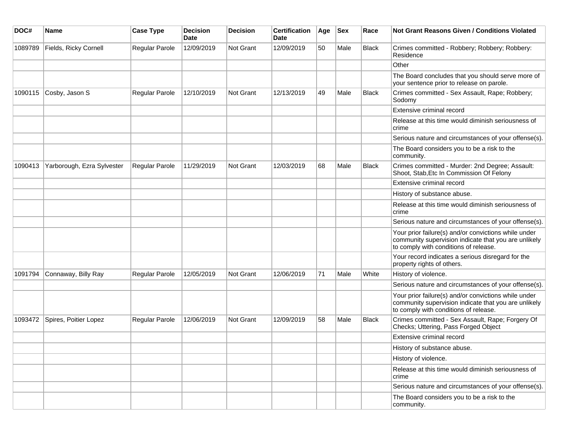| DOC#    | <b>Name</b>                | <b>Case Type</b> | <b>Decision</b><br><b>Date</b> | <b>Decision</b> | <b>Certification</b><br><b>Date</b> | Age | <b>Sex</b> | Race         | <b>Not Grant Reasons Given / Conditions Violated</b>                                                                                                  |
|---------|----------------------------|------------------|--------------------------------|-----------------|-------------------------------------|-----|------------|--------------|-------------------------------------------------------------------------------------------------------------------------------------------------------|
| 1089789 | Fields, Ricky Cornell      | Regular Parole   | 12/09/2019                     | Not Grant       | 12/09/2019                          | 50  | Male       | Black        | Crimes committed - Robbery; Robbery; Robbery:<br>Residence                                                                                            |
|         |                            |                  |                                |                 |                                     |     |            |              | Other                                                                                                                                                 |
|         |                            |                  |                                |                 |                                     |     |            |              | The Board concludes that you should serve more of<br>your sentence prior to release on parole.                                                        |
| 1090115 | Cosby, Jason S             | Regular Parole   | 12/10/2019                     | Not Grant       | 12/13/2019                          | 49  | Male       | <b>Black</b> | Crimes committed - Sex Assault, Rape; Robbery;<br>Sodomy                                                                                              |
|         |                            |                  |                                |                 |                                     |     |            |              | Extensive criminal record                                                                                                                             |
|         |                            |                  |                                |                 |                                     |     |            |              | Release at this time would diminish seriousness of<br>crime                                                                                           |
|         |                            |                  |                                |                 |                                     |     |            |              | Serious nature and circumstances of your offense(s).                                                                                                  |
|         |                            |                  |                                |                 |                                     |     |            |              | The Board considers you to be a risk to the<br>community.                                                                                             |
| 1090413 | Yarborough, Ezra Sylvester | Regular Parole   | 11/29/2019                     | Not Grant       | 12/03/2019                          | 68  | Male       | <b>Black</b> | Crimes committed - Murder: 2nd Degree; Assault:<br>Shoot, Stab, Etc In Commission Of Felony                                                           |
|         |                            |                  |                                |                 |                                     |     |            |              | Extensive criminal record                                                                                                                             |
|         |                            |                  |                                |                 |                                     |     |            |              | History of substance abuse.                                                                                                                           |
|         |                            |                  |                                |                 |                                     |     |            |              | Release at this time would diminish seriousness of<br>crime                                                                                           |
|         |                            |                  |                                |                 |                                     |     |            |              | Serious nature and circumstances of your offense(s).                                                                                                  |
|         |                            |                  |                                |                 |                                     |     |            |              | Your prior failure(s) and/or convictions while under<br>community supervision indicate that you are unlikely<br>to comply with conditions of release. |
|         |                            |                  |                                |                 |                                     |     |            |              | Your record indicates a serious disregard for the<br>property rights of others.                                                                       |
| 1091794 | Connaway, Billy Ray        | Regular Parole   | 12/05/2019                     | Not Grant       | 12/06/2019                          | 71  | Male       | White        | History of violence.                                                                                                                                  |
|         |                            |                  |                                |                 |                                     |     |            |              | Serious nature and circumstances of your offense(s).                                                                                                  |
|         |                            |                  |                                |                 |                                     |     |            |              | Your prior failure(s) and/or convictions while under<br>community supervision indicate that you are unlikely<br>to comply with conditions of release. |
| 1093472 | Spires, Poitier Lopez      | Regular Parole   | 12/06/2019                     | Not Grant       | 12/09/2019                          | 58  | Male       | <b>Black</b> | Crimes committed - Sex Assault, Rape; Forgery Of<br>Checks; Uttering, Pass Forged Object                                                              |
|         |                            |                  |                                |                 |                                     |     |            |              | Extensive criminal record                                                                                                                             |
|         |                            |                  |                                |                 |                                     |     |            |              | History of substance abuse.                                                                                                                           |
|         |                            |                  |                                |                 |                                     |     |            |              | History of violence.                                                                                                                                  |
|         |                            |                  |                                |                 |                                     |     |            |              | Release at this time would diminish seriousness of<br>crime                                                                                           |
|         |                            |                  |                                |                 |                                     |     |            |              | Serious nature and circumstances of your offense(s).                                                                                                  |
|         |                            |                  |                                |                 |                                     |     |            |              | The Board considers you to be a risk to the<br>community.                                                                                             |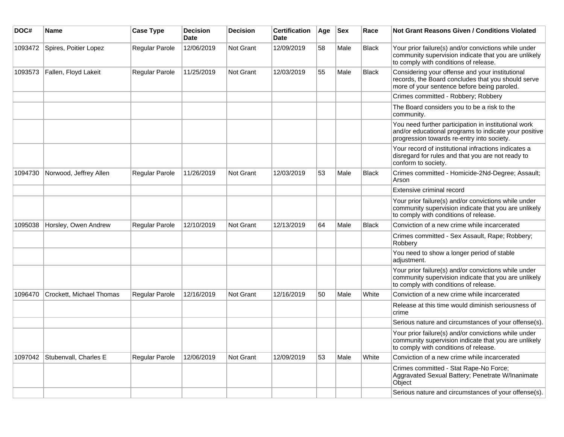| DOC#    | <b>Name</b>              | <b>Case Type</b> | <b>Decision</b><br><b>Date</b> | <b>Decision</b>  | <b>Certification</b><br><b>Date</b> | Age | <b>Sex</b> | Race         | Not Grant Reasons Given / Conditions Violated                                                                                                               |
|---------|--------------------------|------------------|--------------------------------|------------------|-------------------------------------|-----|------------|--------------|-------------------------------------------------------------------------------------------------------------------------------------------------------------|
| 1093472 | Spires, Poitier Lopez    | Regular Parole   | 12/06/2019                     | Not Grant        | 12/09/2019                          | 58  | Male       | <b>Black</b> | Your prior failure(s) and/or convictions while under<br>community supervision indicate that you are unlikely<br>to comply with conditions of release.       |
| 1093573 | Fallen, Floyd Lakeit     | Regular Parole   | 11/25/2019                     | Not Grant        | 12/03/2019                          | 55  | Male       | Black        | Considering your offense and your institutional<br>records, the Board concludes that you should serve<br>more of your sentence before being paroled.        |
|         |                          |                  |                                |                  |                                     |     |            |              | Crimes committed - Robbery; Robbery                                                                                                                         |
|         |                          |                  |                                |                  |                                     |     |            |              | The Board considers you to be a risk to the<br>community.                                                                                                   |
|         |                          |                  |                                |                  |                                     |     |            |              | You need further participation in institutional work<br>and/or educational programs to indicate your positive<br>progression towards re-entry into society. |
|         |                          |                  |                                |                  |                                     |     |            |              | Your record of institutional infractions indicates a<br>disregard for rules and that you are not ready to<br>conform to society.                            |
| 1094730 | Norwood, Jeffrey Allen   | Regular Parole   | 11/26/2019                     | Not Grant        | 12/03/2019                          | 53  | Male       | <b>Black</b> | Crimes committed - Homicide-2Nd-Degree; Assault;<br>Arson                                                                                                   |
|         |                          |                  |                                |                  |                                     |     |            |              | Extensive criminal record                                                                                                                                   |
|         |                          |                  |                                |                  |                                     |     |            |              | Your prior failure(s) and/or convictions while under<br>community supervision indicate that you are unlikely<br>to comply with conditions of release.       |
| 1095038 | Horsley, Owen Andrew     | Regular Parole   | 12/10/2019                     | Not Grant        | 12/13/2019                          | 64  | Male       | <b>Black</b> | Conviction of a new crime while incarcerated                                                                                                                |
|         |                          |                  |                                |                  |                                     |     |            |              | Crimes committed - Sex Assault, Rape; Robbery;<br>Robbery                                                                                                   |
|         |                          |                  |                                |                  |                                     |     |            |              | You need to show a longer period of stable<br>adjustment.                                                                                                   |
|         |                          |                  |                                |                  |                                     |     |            |              | Your prior failure(s) and/or convictions while under<br>community supervision indicate that you are unlikely<br>to comply with conditions of release.       |
| 1096470 | Crockett, Michael Thomas | Regular Parole   | 12/16/2019                     | Not Grant        | 12/16/2019                          | 50  | Male       | White        | Conviction of a new crime while incarcerated                                                                                                                |
|         |                          |                  |                                |                  |                                     |     |            |              | Release at this time would diminish seriousness of<br>crime                                                                                                 |
|         |                          |                  |                                |                  |                                     |     |            |              | Serious nature and circumstances of your offense(s).                                                                                                        |
|         |                          |                  |                                |                  |                                     |     |            |              | Your prior failure(s) and/or convictions while under<br>community supervision indicate that you are unlikely<br>to comply with conditions of release.       |
| 1097042 | Stubenvall, Charles E    | Regular Parole   | 12/06/2019                     | <b>Not Grant</b> | 12/09/2019                          | 53  | Male       | White        | Conviction of a new crime while incarcerated                                                                                                                |
|         |                          |                  |                                |                  |                                     |     |            |              | Crimes committed - Stat Rape-No Force;<br>Aggravated Sexual Battery; Penetrate W/Inanimate<br>Object                                                        |
|         |                          |                  |                                |                  |                                     |     |            |              | Serious nature and circumstances of your offense(s).                                                                                                        |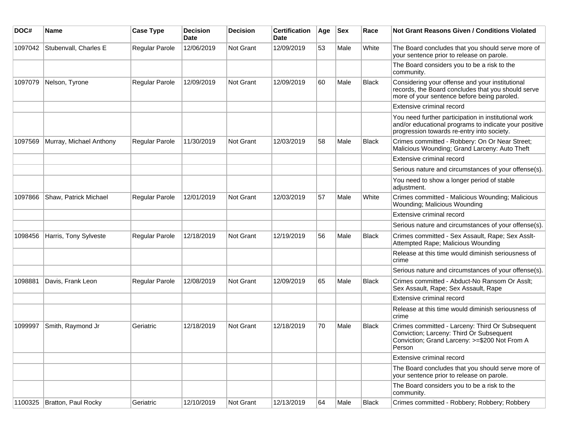| DOC#    | <b>Name</b>             | <b>Case Type</b> | <b>Decision</b><br><b>Date</b> | <b>Decision</b> | <b>Certification</b><br>Date | Age | <b>Sex</b> | Race         | <b>Not Grant Reasons Given / Conditions Violated</b>                                                                                                        |
|---------|-------------------------|------------------|--------------------------------|-----------------|------------------------------|-----|------------|--------------|-------------------------------------------------------------------------------------------------------------------------------------------------------------|
| 1097042 | Stubenvall, Charles E   | Regular Parole   | 12/06/2019                     | Not Grant       | 12/09/2019                   | 53  | Male       | White        | The Board concludes that you should serve more of<br>your sentence prior to release on parole.                                                              |
|         |                         |                  |                                |                 |                              |     |            |              | The Board considers you to be a risk to the<br>community.                                                                                                   |
| 1097079 | Nelson, Tyrone          | Regular Parole   | 12/09/2019                     | Not Grant       | 12/09/2019                   | 60  | Male       | <b>Black</b> | Considering your offense and your institutional<br>records, the Board concludes that you should serve<br>more of your sentence before being paroled.        |
|         |                         |                  |                                |                 |                              |     |            |              | Extensive criminal record                                                                                                                                   |
|         |                         |                  |                                |                 |                              |     |            |              | You need further participation in institutional work<br>and/or educational programs to indicate your positive<br>progression towards re-entry into society. |
| 1097569 | Murray, Michael Anthony | Regular Parole   | 11/30/2019                     | Not Grant       | 12/03/2019                   | 58  | Male       | <b>Black</b> | Crimes committed - Robbery: On Or Near Street;<br>Malicious Wounding; Grand Larceny: Auto Theft                                                             |
|         |                         |                  |                                |                 |                              |     |            |              | Extensive criminal record                                                                                                                                   |
|         |                         |                  |                                |                 |                              |     |            |              | Serious nature and circumstances of your offense(s).                                                                                                        |
|         |                         |                  |                                |                 |                              |     |            |              | You need to show a longer period of stable<br>adjustment.                                                                                                   |
| 1097866 | Shaw, Patrick Michael   | Regular Parole   | 12/01/2019                     | Not Grant       | 12/03/2019                   | 57  | Male       | White        | Crimes committed - Malicious Wounding; Malicious<br>Wounding; Malicious Wounding                                                                            |
|         |                         |                  |                                |                 |                              |     |            |              | Extensive criminal record                                                                                                                                   |
|         |                         |                  |                                |                 |                              |     |            |              | Serious nature and circumstances of your offense(s).                                                                                                        |
| 1098456 | Harris, Tony Sylveste   | Regular Parole   | 12/18/2019                     | Not Grant       | 12/19/2019                   | 56  | Male       | <b>Black</b> | Crimes committed - Sex Assault, Rape; Sex Asslt-<br>Attempted Rape; Malicious Wounding                                                                      |
|         |                         |                  |                                |                 |                              |     |            |              | Release at this time would diminish seriousness of<br>crime                                                                                                 |
|         |                         |                  |                                |                 |                              |     |            |              | Serious nature and circumstances of your offense(s).                                                                                                        |
| 1098881 | Davis, Frank Leon       | Regular Parole   | 12/08/2019                     | Not Grant       | 12/09/2019                   | 65  | Male       | <b>Black</b> | Crimes committed - Abduct-No Ransom Or Asslt;<br>Sex Assault, Rape; Sex Assault, Rape                                                                       |
|         |                         |                  |                                |                 |                              |     |            |              | Extensive criminal record                                                                                                                                   |
|         |                         |                  |                                |                 |                              |     |            |              | Release at this time would diminish seriousness of<br>crime                                                                                                 |
| 1099997 | Smith, Raymond Jr       | Geriatric        | 12/18/2019                     | Not Grant       | 12/18/2019                   | 70  | Male       | <b>Black</b> | Crimes committed - Larceny: Third Or Subsequent<br>Conviction; Larceny: Third Or Subsequent<br>Conviction; Grand Larceny: >=\$200 Not From A<br>Person      |
|         |                         |                  |                                |                 |                              |     |            |              | Extensive criminal record                                                                                                                                   |
|         |                         |                  |                                |                 |                              |     |            |              | The Board concludes that you should serve more of<br>your sentence prior to release on parole.                                                              |
|         |                         |                  |                                |                 |                              |     |            |              | The Board considers you to be a risk to the<br>community.                                                                                                   |
| 1100325 | Bratton, Paul Rocky     | Geriatric        | 12/10/2019                     | Not Grant       | 12/13/2019                   | 64  | Male       | <b>Black</b> | Crimes committed - Robbery; Robbery; Robbery                                                                                                                |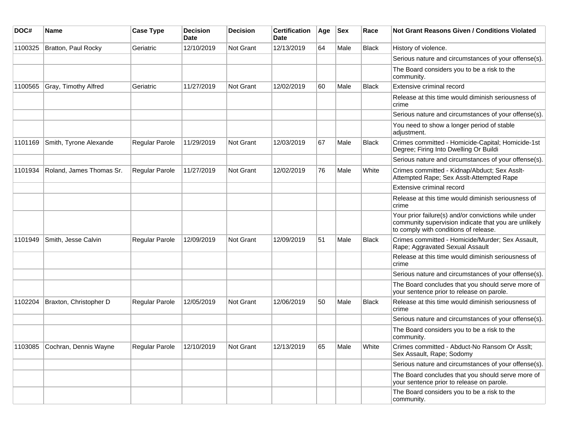| DOC#    | <b>Name</b>                   | <b>Case Type</b>      | <b>Decision</b><br>Date | <b>Decision</b> | <b>Certification</b><br><b>Date</b> | Age | <b>Sex</b> | Race         | <b>Not Grant Reasons Given / Conditions Violated</b>                                                                                                  |
|---------|-------------------------------|-----------------------|-------------------------|-----------------|-------------------------------------|-----|------------|--------------|-------------------------------------------------------------------------------------------------------------------------------------------------------|
| 1100325 | Bratton, Paul Rocky           | Geriatric             | 12/10/2019              | Not Grant       | 12/13/2019                          | 64  | Male       | <b>Black</b> | History of violence.                                                                                                                                  |
|         |                               |                       |                         |                 |                                     |     |            |              | Serious nature and circumstances of your offense(s).                                                                                                  |
|         |                               |                       |                         |                 |                                     |     |            |              | The Board considers you to be a risk to the<br>community.                                                                                             |
| 1100565 | Gray, Timothy Alfred          | Geriatric             | 11/27/2019              | Not Grant       | 12/02/2019                          | 60  | Male       | Black        | Extensive criminal record                                                                                                                             |
|         |                               |                       |                         |                 |                                     |     |            |              | Release at this time would diminish seriousness of<br>crime                                                                                           |
|         |                               |                       |                         |                 |                                     |     |            |              | Serious nature and circumstances of your offense(s).                                                                                                  |
|         |                               |                       |                         |                 |                                     |     |            |              | You need to show a longer period of stable<br>adjustment.                                                                                             |
| 1101169 | Smith, Tyrone Alexande        | <b>Regular Parole</b> | 11/29/2019              | Not Grant       | 12/03/2019                          | 67  | Male       | <b>Black</b> | Crimes committed - Homicide-Capital; Homicide-1st<br>Degree; Firing Into Dwelling Or Buildi                                                           |
|         |                               |                       |                         |                 |                                     |     |            |              | Serious nature and circumstances of your offense(s).                                                                                                  |
| 1101934 | Roland, James Thomas Sr.      | Regular Parole        | 11/27/2019              | Not Grant       | 12/02/2019                          | 76  | Male       | White        | Crimes committed - Kidnap/Abduct; Sex Asslt-<br>Attempted Rape; Sex Asslt-Attempted Rape                                                              |
|         |                               |                       |                         |                 |                                     |     |            |              | Extensive criminal record                                                                                                                             |
|         |                               |                       |                         |                 |                                     |     |            |              | Release at this time would diminish seriousness of<br>crime                                                                                           |
|         |                               |                       |                         |                 |                                     |     |            |              | Your prior failure(s) and/or convictions while under<br>community supervision indicate that you are unlikely<br>to comply with conditions of release. |
| 1101949 | Smith, Jesse Calvin           | Regular Parole        | 12/09/2019              | Not Grant       | 12/09/2019                          | 51  | Male       | Black        | Crimes committed - Homicide/Murder; Sex Assault,<br>Rape; Aggravated Sexual Assault                                                                   |
|         |                               |                       |                         |                 |                                     |     |            |              | Release at this time would diminish seriousness of<br>crime                                                                                           |
|         |                               |                       |                         |                 |                                     |     |            |              | Serious nature and circumstances of your offense(s).                                                                                                  |
|         |                               |                       |                         |                 |                                     |     |            |              | The Board concludes that you should serve more of<br>your sentence prior to release on parole.                                                        |
| 1102204 | Braxton, Christopher D        | <b>Regular Parole</b> | 12/05/2019              | Not Grant       | 12/06/2019                          | 50  | Male       | <b>Black</b> | Release at this time would diminish seriousness of<br>crime                                                                                           |
|         |                               |                       |                         |                 |                                     |     |            |              | Serious nature and circumstances of your offense(s).                                                                                                  |
|         |                               |                       |                         |                 |                                     |     |            |              | The Board considers you to be a risk to the<br>community.                                                                                             |
|         | 1103085 Cochran, Dennis Wayne | Regular Parole        | 12/10/2019              | Not Grant       | 12/13/2019                          | 65  | Male       | White        | Crimes committed - Abduct-No Ransom Or Asslt;<br>Sex Assault, Rape; Sodomy                                                                            |
|         |                               |                       |                         |                 |                                     |     |            |              | Serious nature and circumstances of your offense(s).                                                                                                  |
|         |                               |                       |                         |                 |                                     |     |            |              | The Board concludes that you should serve more of<br>your sentence prior to release on parole.                                                        |
|         |                               |                       |                         |                 |                                     |     |            |              | The Board considers you to be a risk to the<br>community.                                                                                             |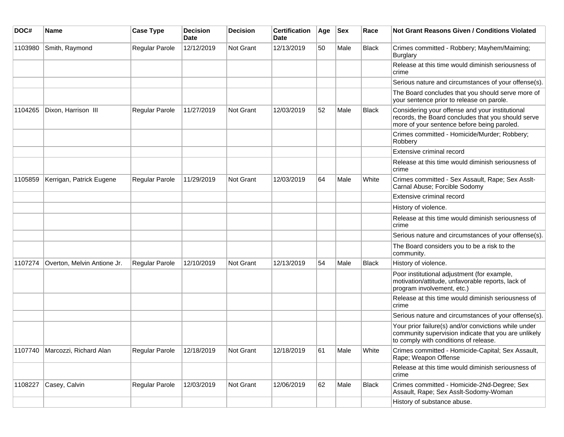| DOC#    | <b>Name</b>                 | <b>Case Type</b>      | <b>Decision</b><br>Date | <b>Decision</b> | <b>Certification</b><br><b>Date</b> | Age | <b>Sex</b> | Race         | <b>Not Grant Reasons Given / Conditions Violated</b>                                                                                                  |
|---------|-----------------------------|-----------------------|-------------------------|-----------------|-------------------------------------|-----|------------|--------------|-------------------------------------------------------------------------------------------------------------------------------------------------------|
| 1103980 | Smith, Raymond              | Regular Parole        | 12/12/2019              | Not Grant       | 12/13/2019                          | 50  | Male       | <b>Black</b> | Crimes committed - Robbery; Mayhem/Maiming;<br>Burglary                                                                                               |
|         |                             |                       |                         |                 |                                     |     |            |              | Release at this time would diminish seriousness of<br>crime                                                                                           |
|         |                             |                       |                         |                 |                                     |     |            |              | Serious nature and circumstances of your offense(s).                                                                                                  |
|         |                             |                       |                         |                 |                                     |     |            |              | The Board concludes that you should serve more of<br>your sentence prior to release on parole.                                                        |
| 1104265 | Dixon, Harrison III         | Regular Parole        | 11/27/2019              | Not Grant       | 12/03/2019                          | 52  | Male       | <b>Black</b> | Considering your offense and your institutional<br>records, the Board concludes that you should serve<br>more of your sentence before being paroled.  |
|         |                             |                       |                         |                 |                                     |     |            |              | Crimes committed - Homicide/Murder; Robbery;<br>Robbery                                                                                               |
|         |                             |                       |                         |                 |                                     |     |            |              | Extensive criminal record                                                                                                                             |
|         |                             |                       |                         |                 |                                     |     |            |              | Release at this time would diminish seriousness of<br>crime                                                                                           |
| 1105859 | Kerrigan, Patrick Eugene    | <b>Regular Parole</b> | 11/29/2019              | Not Grant       | 12/03/2019                          | 64  | Male       | White        | Crimes committed - Sex Assault, Rape; Sex Asslt-<br>Carnal Abuse; Forcible Sodomy                                                                     |
|         |                             |                       |                         |                 |                                     |     |            |              | Extensive criminal record                                                                                                                             |
|         |                             |                       |                         |                 |                                     |     |            |              | History of violence.                                                                                                                                  |
|         |                             |                       |                         |                 |                                     |     |            |              | Release at this time would diminish seriousness of<br>crime                                                                                           |
|         |                             |                       |                         |                 |                                     |     |            |              | Serious nature and circumstances of your offense(s).                                                                                                  |
|         |                             |                       |                         |                 |                                     |     |            |              | The Board considers you to be a risk to the<br>community.                                                                                             |
| 1107274 | Overton, Melvin Antione Jr. | Regular Parole        | 12/10/2019              | Not Grant       | 12/13/2019                          | 54  | Male       | Black        | History of violence.                                                                                                                                  |
|         |                             |                       |                         |                 |                                     |     |            |              | Poor institutional adjustment (for example,<br>motivation/attitude, unfavorable reports, lack of<br>program involvement, etc.)                        |
|         |                             |                       |                         |                 |                                     |     |            |              | Release at this time would diminish seriousness of<br>crime                                                                                           |
|         |                             |                       |                         |                 |                                     |     |            |              | Serious nature and circumstances of your offense(s).                                                                                                  |
|         |                             |                       |                         |                 |                                     |     |            |              | Your prior failure(s) and/or convictions while under<br>community supervision indicate that you are unlikely<br>to comply with conditions of release. |
| 1107740 | Marcozzi, Richard Alan      | Regular Parole        | 12/18/2019              | Not Grant       | 12/18/2019                          | 61  | Male       | White        | Crimes committed - Homicide-Capital; Sex Assault,<br>Rape; Weapon Offense                                                                             |
|         |                             |                       |                         |                 |                                     |     |            |              | Release at this time would diminish seriousness of<br>crime                                                                                           |
| 1108227 | Casey, Calvin               | Regular Parole        | 12/03/2019              | Not Grant       | 12/06/2019                          | 62  | Male       | Black        | Crimes committed - Homicide-2Nd-Degree; Sex<br>Assault, Rape; Sex Asslt-Sodomy-Woman                                                                  |
|         |                             |                       |                         |                 |                                     |     |            |              | History of substance abuse.                                                                                                                           |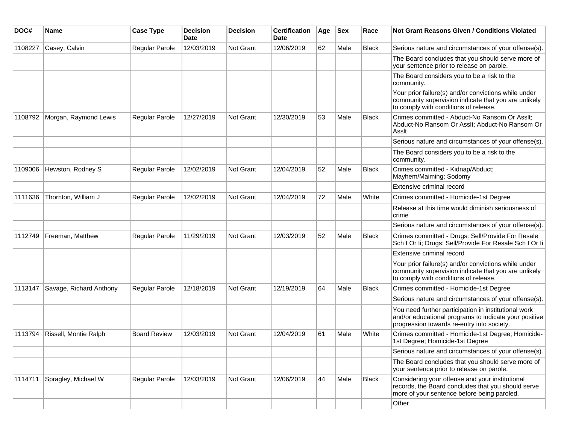| DOC#    | Name                    | <b>Case Type</b>      | <b>Decision</b><br>Date | <b>Decision</b>  | <b>Certification</b><br>Date | Age | <b>Sex</b> | Race         | <b>Not Grant Reasons Given / Conditions Violated</b>                                                                                                        |
|---------|-------------------------|-----------------------|-------------------------|------------------|------------------------------|-----|------------|--------------|-------------------------------------------------------------------------------------------------------------------------------------------------------------|
| 1108227 | Casey, Calvin           | <b>Regular Parole</b> | 12/03/2019              | Not Grant        | 12/06/2019                   | 62  | Male       | <b>Black</b> | Serious nature and circumstances of your offense(s).                                                                                                        |
|         |                         |                       |                         |                  |                              |     |            |              | The Board concludes that you should serve more of<br>your sentence prior to release on parole.                                                              |
|         |                         |                       |                         |                  |                              |     |            |              | The Board considers you to be a risk to the<br>community.                                                                                                   |
|         |                         |                       |                         |                  |                              |     |            |              | Your prior failure(s) and/or convictions while under<br>community supervision indicate that you are unlikely<br>to comply with conditions of release.       |
| 1108792 | Morgan, Raymond Lewis   | Regular Parole        | 12/27/2019              | Not Grant        | 12/30/2019                   | 53  | Male       | <b>Black</b> | Crimes committed - Abduct-No Ransom Or Asslt;<br>Abduct-No Ransom Or Asslt; Abduct-No Ransom Or<br>Assit                                                    |
|         |                         |                       |                         |                  |                              |     |            |              | Serious nature and circumstances of your offense(s).                                                                                                        |
|         |                         |                       |                         |                  |                              |     |            |              | The Board considers you to be a risk to the<br>community.                                                                                                   |
| 1109006 | Hewston, Rodney S       | <b>Regular Parole</b> | 12/02/2019              | <b>Not Grant</b> | 12/04/2019                   | 52  | Male       | <b>Black</b> | Crimes committed - Kidnap/Abduct;<br>Mayhem/Maiming; Sodomy                                                                                                 |
|         |                         |                       |                         |                  |                              |     |            |              | Extensive criminal record                                                                                                                                   |
| 1111636 | Thornton, William J     | <b>Regular Parole</b> | 12/02/2019              | <b>Not Grant</b> | 12/04/2019                   | 72  | Male       | White        | Crimes committed - Homicide-1st Degree                                                                                                                      |
|         |                         |                       |                         |                  |                              |     |            |              | Release at this time would diminish seriousness of<br>crime                                                                                                 |
|         |                         |                       |                         |                  |                              |     |            |              | Serious nature and circumstances of your offense(s).                                                                                                        |
| 1112749 | Freeman, Matthew        | Regular Parole        | 11/29/2019              | Not Grant        | 12/03/2019                   | 52  | Male       | <b>Black</b> | Crimes committed - Drugs: Sell/Provide For Resale<br>Sch I Or Ii; Drugs: Sell/Provide For Resale Sch I Or Ii                                                |
|         |                         |                       |                         |                  |                              |     |            |              | Extensive criminal record                                                                                                                                   |
|         |                         |                       |                         |                  |                              |     |            |              | Your prior failure(s) and/or convictions while under<br>community supervision indicate that you are unlikely<br>to comply with conditions of release.       |
| 1113147 | Savage, Richard Anthony | <b>Regular Parole</b> | 12/18/2019              | <b>Not Grant</b> | 12/19/2019                   | 64  | Male       | <b>Black</b> | Crimes committed - Homicide-1st Degree                                                                                                                      |
|         |                         |                       |                         |                  |                              |     |            |              | Serious nature and circumstances of your offense(s).                                                                                                        |
|         |                         |                       |                         |                  |                              |     |            |              | You need further participation in institutional work<br>and/or educational programs to indicate your positive<br>progression towards re-entry into society. |
| 1113794 | Rissell, Montie Ralph   | <b>Board Review</b>   | 12/03/2019              | Not Grant        | 12/04/2019                   | 61  | Male       | White        | Crimes committed - Homicide-1st Degree; Homicide-<br>1st Degree; Homicide-1st Degree                                                                        |
|         |                         |                       |                         |                  |                              |     |            |              | Serious nature and circumstances of your offense(s).                                                                                                        |
|         |                         |                       |                         |                  |                              |     |            |              | The Board concludes that you should serve more of<br>your sentence prior to release on parole.                                                              |
| 1114711 | Spragley, Michael W     | Regular Parole        | 12/03/2019              | Not Grant        | 12/06/2019                   | 44  | Male       | Black        | Considering your offense and your institutional<br>records, the Board concludes that you should serve<br>more of your sentence before being paroled.        |
|         |                         |                       |                         |                  |                              |     |            |              | Other                                                                                                                                                       |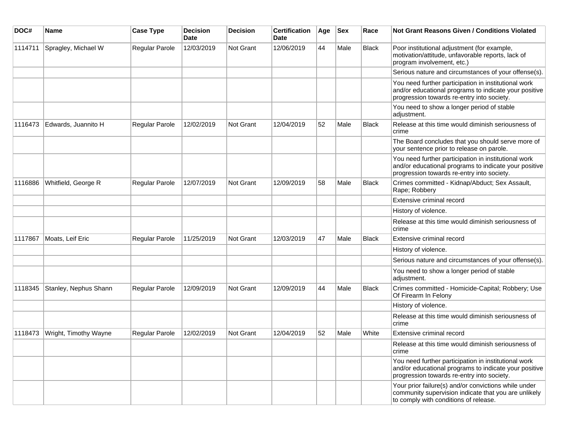| DOC#    | <b>Name</b>           | <b>Case Type</b> | <b>Decision</b><br>Date | <b>Decision</b> | <b>Certification</b><br><b>Date</b> | Age | <b>Sex</b> | Race         | <b>Not Grant Reasons Given / Conditions Violated</b>                                                                                                        |
|---------|-----------------------|------------------|-------------------------|-----------------|-------------------------------------|-----|------------|--------------|-------------------------------------------------------------------------------------------------------------------------------------------------------------|
| 1114711 | Spragley, Michael W   | Regular Parole   | 12/03/2019              | Not Grant       | 12/06/2019                          | 44  | Male       | <b>Black</b> | Poor institutional adjustment (for example,<br>motivation/attitude, unfavorable reports, lack of<br>program involvement, etc.)                              |
|         |                       |                  |                         |                 |                                     |     |            |              | Serious nature and circumstances of your offense(s).                                                                                                        |
|         |                       |                  |                         |                 |                                     |     |            |              | You need further participation in institutional work<br>and/or educational programs to indicate your positive<br>progression towards re-entry into society. |
|         |                       |                  |                         |                 |                                     |     |            |              | You need to show a longer period of stable<br>adjustment.                                                                                                   |
| 1116473 | Edwards, Juannito H   | Regular Parole   | 12/02/2019              | Not Grant       | 12/04/2019                          | 52  | Male       | <b>Black</b> | Release at this time would diminish seriousness of<br>crime                                                                                                 |
|         |                       |                  |                         |                 |                                     |     |            |              | The Board concludes that you should serve more of<br>your sentence prior to release on parole.                                                              |
|         |                       |                  |                         |                 |                                     |     |            |              | You need further participation in institutional work<br>and/or educational programs to indicate your positive<br>progression towards re-entry into society. |
| 1116886 | Whitfield, George R   | Regular Parole   | 12/07/2019              | Not Grant       | 12/09/2019                          | 58  | Male       | <b>Black</b> | Crimes committed - Kidnap/Abduct; Sex Assault,<br>Rape; Robbery                                                                                             |
|         |                       |                  |                         |                 |                                     |     |            |              | Extensive criminal record                                                                                                                                   |
|         |                       |                  |                         |                 |                                     |     |            |              | History of violence.                                                                                                                                        |
|         |                       |                  |                         |                 |                                     |     |            |              | Release at this time would diminish seriousness of<br>crime                                                                                                 |
| 1117867 | Moats, Leif Eric      | Regular Parole   | 11/25/2019              | Not Grant       | 12/03/2019                          | 47  | Male       | <b>Black</b> | Extensive criminal record                                                                                                                                   |
|         |                       |                  |                         |                 |                                     |     |            |              | History of violence.                                                                                                                                        |
|         |                       |                  |                         |                 |                                     |     |            |              | Serious nature and circumstances of your offense(s).                                                                                                        |
|         |                       |                  |                         |                 |                                     |     |            |              | You need to show a longer period of stable<br>adjustment.                                                                                                   |
| 1118345 | Stanley, Nephus Shann | Regular Parole   | 12/09/2019              | Not Grant       | 12/09/2019                          | 44  | Male       | <b>Black</b> | Crimes committed - Homicide-Capital; Robbery; Use<br>Of Firearm In Felony                                                                                   |
|         |                       |                  |                         |                 |                                     |     |            |              | History of violence.                                                                                                                                        |
|         |                       |                  |                         |                 |                                     |     |            |              | Release at this time would diminish seriousness of<br>crime                                                                                                 |
| 1118473 | Wright, Timothy Wayne | Regular Parole   | 12/02/2019              | Not Grant       | 12/04/2019                          | 52  | Male       | White        | Extensive criminal record                                                                                                                                   |
|         |                       |                  |                         |                 |                                     |     |            |              | Release at this time would diminish seriousness of<br>crime                                                                                                 |
|         |                       |                  |                         |                 |                                     |     |            |              | You need further participation in institutional work<br>and/or educational programs to indicate your positive<br>progression towards re-entry into society. |
|         |                       |                  |                         |                 |                                     |     |            |              | Your prior failure(s) and/or convictions while under<br>community supervision indicate that you are unlikely<br>to comply with conditions of release.       |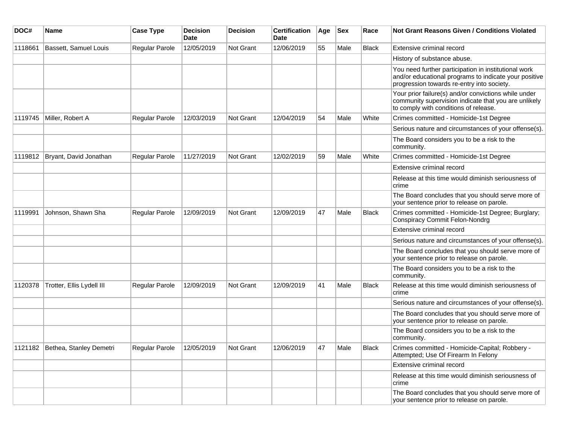| DOC#    | Name                            | <b>Case Type</b>      | <b>Decision</b><br>Date | <b>Decision</b> | <b>Certification</b><br>Date | Age | <b>Sex</b> | Race         | Not Grant Reasons Given / Conditions Violated                                                                                                               |
|---------|---------------------------------|-----------------------|-------------------------|-----------------|------------------------------|-----|------------|--------------|-------------------------------------------------------------------------------------------------------------------------------------------------------------|
| 1118661 | Bassett, Samuel Louis           | Regular Parole        | 12/05/2019              | Not Grant       | 12/06/2019                   | 55  | Male       | <b>Black</b> | Extensive criminal record                                                                                                                                   |
|         |                                 |                       |                         |                 |                              |     |            |              | History of substance abuse.                                                                                                                                 |
|         |                                 |                       |                         |                 |                              |     |            |              | You need further participation in institutional work<br>and/or educational programs to indicate your positive<br>progression towards re-entry into society. |
|         |                                 |                       |                         |                 |                              |     |            |              | Your prior failure(s) and/or convictions while under<br>community supervision indicate that you are unlikely<br>to comply with conditions of release.       |
| 1119745 | Miller, Robert A                | Regular Parole        | 12/03/2019              | Not Grant       | 12/04/2019                   | 54  | Male       | White        | Crimes committed - Homicide-1st Degree                                                                                                                      |
|         |                                 |                       |                         |                 |                              |     |            |              | Serious nature and circumstances of your offense(s).                                                                                                        |
|         |                                 |                       |                         |                 |                              |     |            |              | The Board considers you to be a risk to the<br>community.                                                                                                   |
| 1119812 | Bryant, David Jonathan          | <b>Regular Parole</b> | 11/27/2019              | Not Grant       | 12/02/2019                   | 59  | Male       | White        | Crimes committed - Homicide-1st Degree                                                                                                                      |
|         |                                 |                       |                         |                 |                              |     |            |              | Extensive criminal record                                                                                                                                   |
|         |                                 |                       |                         |                 |                              |     |            |              | Release at this time would diminish seriousness of<br>crime                                                                                                 |
|         |                                 |                       |                         |                 |                              |     |            |              | The Board concludes that you should serve more of<br>your sentence prior to release on parole.                                                              |
| 1119991 | Johnson, Shawn Sha              | Regular Parole        | 12/09/2019              | Not Grant       | 12/09/2019                   | 47  | Male       | <b>Black</b> | Crimes committed - Homicide-1st Degree; Burglary;<br><b>Conspiracy Commit Felon-Nondrg</b>                                                                  |
|         |                                 |                       |                         |                 |                              |     |            |              | Extensive criminal record                                                                                                                                   |
|         |                                 |                       |                         |                 |                              |     |            |              | Serious nature and circumstances of your offense(s).                                                                                                        |
|         |                                 |                       |                         |                 |                              |     |            |              | The Board concludes that you should serve more of<br>your sentence prior to release on parole.                                                              |
|         |                                 |                       |                         |                 |                              |     |            |              | The Board considers you to be a risk to the<br>community.                                                                                                   |
| 1120378 | Trotter, Ellis Lydell III       | <b>Regular Parole</b> | 12/09/2019              | Not Grant       | 12/09/2019                   | 41  | Male       | <b>Black</b> | Release at this time would diminish seriousness of<br>crime                                                                                                 |
|         |                                 |                       |                         |                 |                              |     |            |              | Serious nature and circumstances of your offense(s).                                                                                                        |
|         |                                 |                       |                         |                 |                              |     |            |              | The Board concludes that you should serve more of<br>your sentence prior to release on parole.                                                              |
|         |                                 |                       |                         |                 |                              |     |            |              | The Board considers you to be a risk to the<br>community.                                                                                                   |
|         | 1121182 Bethea, Stanley Demetri | Regular Parole        | 12/05/2019              | Not Grant       | 12/06/2019                   | 47  | Male       | <b>Black</b> | Crimes committed - Homicide-Capital; Robbery -<br>Attempted; Use Of Firearm In Felony                                                                       |
|         |                                 |                       |                         |                 |                              |     |            |              | Extensive criminal record                                                                                                                                   |
|         |                                 |                       |                         |                 |                              |     |            |              | Release at this time would diminish seriousness of<br>crime                                                                                                 |
|         |                                 |                       |                         |                 |                              |     |            |              | The Board concludes that you should serve more of<br>your sentence prior to release on parole.                                                              |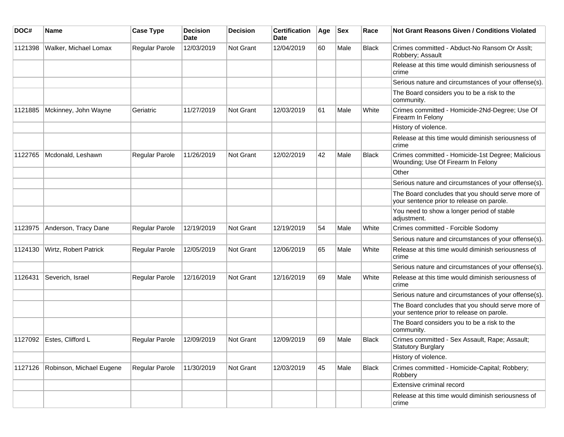| DOC#    | <b>Name</b>               | <b>Case Type</b>      | <b>Decision</b><br>Date | <b>Decision</b> | <b>Certification</b><br>Date | Age | <b>Sex</b> | Race         | <b>Not Grant Reasons Given / Conditions Violated</b>                                           |
|---------|---------------------------|-----------------------|-------------------------|-----------------|------------------------------|-----|------------|--------------|------------------------------------------------------------------------------------------------|
| 1121398 | Walker, Michael Lomax     | Regular Parole        | 12/03/2019              | Not Grant       | 12/04/2019                   | 60  | Male       | Black        | Crimes committed - Abduct-No Ransom Or Asslt;<br>Robbery; Assault                              |
|         |                           |                       |                         |                 |                              |     |            |              | Release at this time would diminish seriousness of<br>crime                                    |
|         |                           |                       |                         |                 |                              |     |            |              | Serious nature and circumstances of your offense(s).                                           |
|         |                           |                       |                         |                 |                              |     |            |              | The Board considers you to be a risk to the<br>community.                                      |
| 1121885 | Mckinney, John Wayne      | Geriatric             | 11/27/2019              | Not Grant       | 12/03/2019                   | 61  | Male       | White        | Crimes committed - Homicide-2Nd-Degree; Use Of<br>Firearm In Felony                            |
|         |                           |                       |                         |                 |                              |     |            |              | History of violence.                                                                           |
|         |                           |                       |                         |                 |                              |     |            |              | Release at this time would diminish seriousness of<br>crime                                    |
| 1122765 | Mcdonald, Leshawn         | Regular Parole        | 11/26/2019              | Not Grant       | 12/02/2019                   | 42  | Male       | <b>Black</b> | Crimes committed - Homicide-1st Degree; Malicious<br>Wounding; Use Of Firearm In Felony        |
|         |                           |                       |                         |                 |                              |     |            |              | Other                                                                                          |
|         |                           |                       |                         |                 |                              |     |            |              | Serious nature and circumstances of your offense(s).                                           |
|         |                           |                       |                         |                 |                              |     |            |              | The Board concludes that you should serve more of<br>your sentence prior to release on parole. |
|         |                           |                       |                         |                 |                              |     |            |              | You need to show a longer period of stable<br>adjustment.                                      |
| 1123975 | Anderson, Tracy Dane      | <b>Regular Parole</b> | 12/19/2019              | Not Grant       | 12/19/2019                   | 54  | Male       | White        | Crimes committed - Forcible Sodomy                                                             |
|         |                           |                       |                         |                 |                              |     |            |              | Serious nature and circumstances of your offense(s).                                           |
| 1124130 | Wirtz, Robert Patrick     | Regular Parole        | 12/05/2019              | Not Grant       | 12/06/2019                   | 65  | Male       | White        | Release at this time would diminish seriousness of<br>crime                                    |
|         |                           |                       |                         |                 |                              |     |            |              | Serious nature and circumstances of your offense(s).                                           |
| 1126431 | Severich, Israel          | Regular Parole        | 12/16/2019              | Not Grant       | 12/16/2019                   | 69  | Male       | White        | Release at this time would diminish seriousness of<br>crime                                    |
|         |                           |                       |                         |                 |                              |     |            |              | Serious nature and circumstances of your offense(s).                                           |
|         |                           |                       |                         |                 |                              |     |            |              | The Board concludes that you should serve more of<br>your sentence prior to release on parole. |
|         |                           |                       |                         |                 |                              |     |            |              | The Board considers you to be a risk to the<br>community.                                      |
|         | 1127092 Estes, Clifford L | <b>Regular Parole</b> | 12/09/2019              | Not Grant       | 12/09/2019                   | 69  | Male       | <b>Black</b> | Crimes committed - Sex Assault, Rape; Assault;<br><b>Statutory Burglary</b>                    |
|         |                           |                       |                         |                 |                              |     |            |              | History of violence.                                                                           |
| 1127126 | Robinson, Michael Eugene  | Regular Parole        | 11/30/2019              | Not Grant       | 12/03/2019                   | 45  | Male       | <b>Black</b> | Crimes committed - Homicide-Capital; Robbery;<br>Robbery                                       |
|         |                           |                       |                         |                 |                              |     |            |              | Extensive criminal record                                                                      |
|         |                           |                       |                         |                 |                              |     |            |              | Release at this time would diminish seriousness of<br>crime                                    |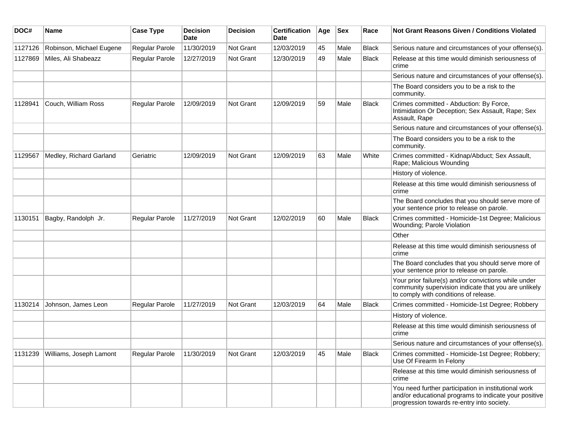| DOC#    | Name                     | <b>Case Type</b>      | <b>Decision</b><br><b>Date</b> | <b>Decision</b> | <b>Certification</b><br>Date | Age | <b>Sex</b> | Race         | Not Grant Reasons Given / Conditions Violated                                                                                                               |
|---------|--------------------------|-----------------------|--------------------------------|-----------------|------------------------------|-----|------------|--------------|-------------------------------------------------------------------------------------------------------------------------------------------------------------|
| 1127126 | Robinson, Michael Eugene | Regular Parole        | 11/30/2019                     | Not Grant       | 12/03/2019                   | 45  | Male       | <b>Black</b> | Serious nature and circumstances of your offense(s).                                                                                                        |
| 1127869 | Miles, Ali Shabeazz      | Regular Parole        | 12/27/2019                     | Not Grant       | 12/30/2019                   | 49  | Male       | <b>Black</b> | Release at this time would diminish seriousness of<br>crime                                                                                                 |
|         |                          |                       |                                |                 |                              |     |            |              | Serious nature and circumstances of your offense(s).                                                                                                        |
|         |                          |                       |                                |                 |                              |     |            |              | The Board considers you to be a risk to the<br>community.                                                                                                   |
| 1128941 | Couch, William Ross      | <b>Regular Parole</b> | 12/09/2019                     | Not Grant       | 12/09/2019                   | 59  | Male       | <b>Black</b> | Crimes committed - Abduction: By Force,<br>Intimidation Or Deception; Sex Assault, Rape; Sex<br>Assault, Rape                                               |
|         |                          |                       |                                |                 |                              |     |            |              | Serious nature and circumstances of your offense(s).                                                                                                        |
|         |                          |                       |                                |                 |                              |     |            |              | The Board considers you to be a risk to the<br>community.                                                                                                   |
| 1129567 | Medley, Richard Garland  | Geriatric             | 12/09/2019                     | Not Grant       | 12/09/2019                   | 63  | Male       | White        | Crimes committed - Kidnap/Abduct; Sex Assault,<br>Rape; Malicious Wounding                                                                                  |
|         |                          |                       |                                |                 |                              |     |            |              | History of violence.                                                                                                                                        |
|         |                          |                       |                                |                 |                              |     |            |              | Release at this time would diminish seriousness of<br>crime                                                                                                 |
|         |                          |                       |                                |                 |                              |     |            |              | The Board concludes that you should serve more of<br>your sentence prior to release on parole.                                                              |
| 1130151 | Bagby, Randolph Jr.      | <b>Regular Parole</b> | 11/27/2019                     | Not Grant       | 12/02/2019                   | 60  | Male       | <b>Black</b> | Crimes committed - Homicide-1st Degree; Malicious<br>Wounding; Parole Violation                                                                             |
|         |                          |                       |                                |                 |                              |     |            |              | Other                                                                                                                                                       |
|         |                          |                       |                                |                 |                              |     |            |              | Release at this time would diminish seriousness of<br>crime                                                                                                 |
|         |                          |                       |                                |                 |                              |     |            |              | The Board concludes that you should serve more of<br>your sentence prior to release on parole.                                                              |
|         |                          |                       |                                |                 |                              |     |            |              | Your prior failure(s) and/or convictions while under<br>community supervision indicate that you are unlikely<br>to comply with conditions of release.       |
| 1130214 | Johnson, James Leon      | Regular Parole        | 11/27/2019                     | Not Grant       | 12/03/2019                   | 64  | Male       | <b>Black</b> | Crimes committed - Homicide-1st Degree; Robbery                                                                                                             |
|         |                          |                       |                                |                 |                              |     |            |              | History of violence.                                                                                                                                        |
|         |                          |                       |                                |                 |                              |     |            |              | Release at this time would diminish seriousness of<br>crime                                                                                                 |
|         |                          |                       |                                |                 |                              |     |            |              | Serious nature and circumstances of your offense(s).                                                                                                        |
| 1131239 | Williams, Joseph Lamont  | <b>Regular Parole</b> | 11/30/2019                     | Not Grant       | 12/03/2019                   | 45  | Male       | Black        | Crimes committed - Homicide-1st Degree; Robbery;<br>Use Of Firearm In Felony                                                                                |
|         |                          |                       |                                |                 |                              |     |            |              | Release at this time would diminish seriousness of<br>crime                                                                                                 |
|         |                          |                       |                                |                 |                              |     |            |              | You need further participation in institutional work<br>and/or educational programs to indicate your positive<br>progression towards re-entry into society. |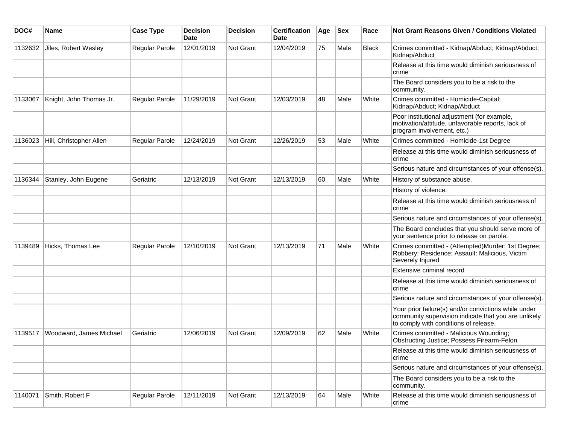| DOC#    | <b>Name</b>             | <b>Case Type</b>      | <b>Decision</b><br>Date | <b>Decision</b> | <b>Certification</b><br><b>Date</b> | Age | <b>Sex</b> | Race  | <b>Not Grant Reasons Given / Conditions Violated</b>                                                                                                  |
|---------|-------------------------|-----------------------|-------------------------|-----------------|-------------------------------------|-----|------------|-------|-------------------------------------------------------------------------------------------------------------------------------------------------------|
| 1132632 | Jiles, Robert Wesley    | Regular Parole        | 12/01/2019              | Not Grant       | 12/04/2019                          | 75  | Male       | Black | Crimes committed - Kidnap/Abduct; Kidnap/Abduct;<br>Kidnap/Abduct                                                                                     |
|         |                         |                       |                         |                 |                                     |     |            |       | Release at this time would diminish seriousness of<br>crime                                                                                           |
|         |                         |                       |                         |                 |                                     |     |            |       | The Board considers you to be a risk to the<br>community.                                                                                             |
| 1133067 | Knight, John Thomas Jr. | <b>Regular Parole</b> | 11/29/2019              | Not Grant       | 12/03/2019                          | 48  | Male       | White | Crimes committed - Homicide-Capital;<br>Kidnap/Abduct; Kidnap/Abduct                                                                                  |
|         |                         |                       |                         |                 |                                     |     |            |       | Poor institutional adjustment (for example,<br>motivation/attitude, unfavorable reports, lack of<br>program involvement, etc.)                        |
| 1136023 | Hill, Christopher Allen | <b>Regular Parole</b> | 12/24/2019              | Not Grant       | 12/26/2019                          | 53  | Male       | White | Crimes committed - Homicide-1st Degree                                                                                                                |
|         |                         |                       |                         |                 |                                     |     |            |       | Release at this time would diminish seriousness of<br>crime                                                                                           |
|         |                         |                       |                         |                 |                                     |     |            |       | Serious nature and circumstances of your offense(s).                                                                                                  |
| 1136344 | Stanley, John Eugene    | Geriatric             | 12/13/2019              | Not Grant       | 12/13/2019                          | 60  | Male       | White | History of substance abuse.                                                                                                                           |
|         |                         |                       |                         |                 |                                     |     |            |       | History of violence.                                                                                                                                  |
|         |                         |                       |                         |                 |                                     |     |            |       | Release at this time would diminish seriousness of<br>crime                                                                                           |
|         |                         |                       |                         |                 |                                     |     |            |       | Serious nature and circumstances of your offense(s).                                                                                                  |
|         |                         |                       |                         |                 |                                     |     |            |       | The Board concludes that you should serve more of<br>your sentence prior to release on parole.                                                        |
| 1139489 | Hicks, Thomas Lee       | Regular Parole        | 12/10/2019              | Not Grant       | 12/13/2019                          | 71  | Male       | White | Crimes committed - (Attempted)Murder: 1st Degree;<br>Robbery: Residence; Assault: Malicious, Victim<br>Severely Injured                               |
|         |                         |                       |                         |                 |                                     |     |            |       | Extensive criminal record                                                                                                                             |
|         |                         |                       |                         |                 |                                     |     |            |       | Release at this time would diminish seriousness of<br>crime                                                                                           |
|         |                         |                       |                         |                 |                                     |     |            |       | Serious nature and circumstances of your offense(s).                                                                                                  |
|         |                         |                       |                         |                 |                                     |     |            |       | Your prior failure(s) and/or convictions while under<br>community supervision indicate that you are unlikely<br>to comply with conditions of release. |
| 1139517 | Woodward, James Michael | Geriatric             | 12/06/2019              | Not Grant       | 12/09/2019                          | 62  | Male       | White | Crimes committed - Malicious Wounding;<br><b>Obstructing Justice; Possess Firearm-Felon</b>                                                           |
|         |                         |                       |                         |                 |                                     |     |            |       | Release at this time would diminish seriousness of<br>crime                                                                                           |
|         |                         |                       |                         |                 |                                     |     |            |       | Serious nature and circumstances of your offense(s).                                                                                                  |
|         |                         |                       |                         |                 |                                     |     |            |       | The Board considers you to be a risk to the<br>community.                                                                                             |
| 1140071 | Smith, Robert F         | Regular Parole        | 12/11/2019              | Not Grant       | 12/13/2019                          | 64  | Male       | White | Release at this time would diminish seriousness of<br>crime                                                                                           |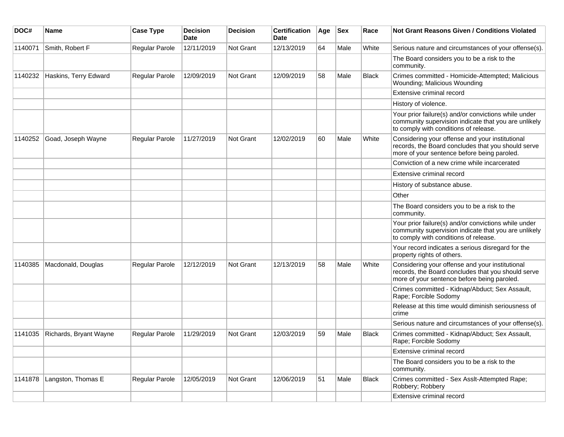| DOC#    | Name                   | <b>Case Type</b> | <b>Decision</b><br><b>Date</b> | <b>Decision</b>  | <b>Certification</b><br>Date | Age | <b>Sex</b> | Race         | Not Grant Reasons Given / Conditions Violated                                                                                                         |
|---------|------------------------|------------------|--------------------------------|------------------|------------------------------|-----|------------|--------------|-------------------------------------------------------------------------------------------------------------------------------------------------------|
| 1140071 | Smith, Robert F        | Regular Parole   | 12/11/2019                     | Not Grant        | 12/13/2019                   | 64  | Male       | White        | Serious nature and circumstances of your offense(s).                                                                                                  |
|         |                        |                  |                                |                  |                              |     |            |              | The Board considers you to be a risk to the<br>community.                                                                                             |
| 1140232 | Haskins, Terry Edward  | Regular Parole   | 12/09/2019                     | <b>Not Grant</b> | 12/09/2019                   | 58  | Male       | <b>Black</b> | Crimes committed - Homicide-Attempted; Malicious<br>Wounding; Malicious Wounding                                                                      |
|         |                        |                  |                                |                  |                              |     |            |              | Extensive criminal record                                                                                                                             |
|         |                        |                  |                                |                  |                              |     |            |              | History of violence.                                                                                                                                  |
|         |                        |                  |                                |                  |                              |     |            |              | Your prior failure(s) and/or convictions while under<br>community supervision indicate that you are unlikely<br>to comply with conditions of release. |
| 1140252 | Goad, Joseph Wayne     | Regular Parole   | 11/27/2019                     | <b>Not Grant</b> | 12/02/2019                   | 60  | Male       | White        | Considering your offense and your institutional<br>records, the Board concludes that you should serve<br>more of your sentence before being paroled.  |
|         |                        |                  |                                |                  |                              |     |            |              | Conviction of a new crime while incarcerated                                                                                                          |
|         |                        |                  |                                |                  |                              |     |            |              | Extensive criminal record                                                                                                                             |
|         |                        |                  |                                |                  |                              |     |            |              | History of substance abuse.                                                                                                                           |
|         |                        |                  |                                |                  |                              |     |            |              | Other                                                                                                                                                 |
|         |                        |                  |                                |                  |                              |     |            |              | The Board considers you to be a risk to the<br>community.                                                                                             |
|         |                        |                  |                                |                  |                              |     |            |              | Your prior failure(s) and/or convictions while under<br>community supervision indicate that you are unlikely<br>to comply with conditions of release. |
|         |                        |                  |                                |                  |                              |     |            |              | Your record indicates a serious disregard for the<br>property rights of others.                                                                       |
| 1140385 | Macdonald, Douglas     | Regular Parole   | 12/12/2019                     | <b>Not Grant</b> | 12/13/2019                   | 58  | Male       | White        | Considering your offense and your institutional<br>records, the Board concludes that you should serve<br>more of your sentence before being paroled.  |
|         |                        |                  |                                |                  |                              |     |            |              | Crimes committed - Kidnap/Abduct; Sex Assault,<br>Rape; Forcible Sodomy                                                                               |
|         |                        |                  |                                |                  |                              |     |            |              | Release at this time would diminish seriousness of<br>crime                                                                                           |
|         |                        |                  |                                |                  |                              |     |            |              | Serious nature and circumstances of your offense(s).                                                                                                  |
| 1141035 | Richards, Bryant Wayne | Regular Parole   | 11/29/2019                     | Not Grant        | 12/03/2019                   | 59  | Male       | <b>Black</b> | Crimes committed - Kidnap/Abduct; Sex Assault,<br>Rape; Forcible Sodomy                                                                               |
|         |                        |                  |                                |                  |                              |     |            |              | Extensive criminal record                                                                                                                             |
|         |                        |                  |                                |                  |                              |     |            |              | The Board considers you to be a risk to the<br>community.                                                                                             |
| 1141878 | Langston, Thomas E     | Regular Parole   | 12/05/2019                     | Not Grant        | 12/06/2019                   | 51  | Male       | <b>Black</b> | Crimes committed - Sex Asslt-Attempted Rape;<br>Robbery; Robbery                                                                                      |
|         |                        |                  |                                |                  |                              |     |            |              | Extensive criminal record                                                                                                                             |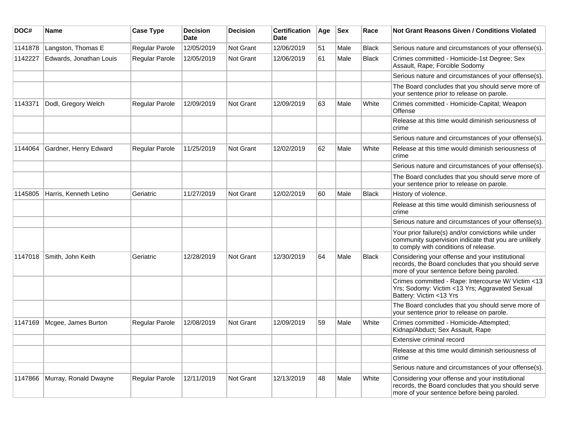| DOC#    | Name                    | <b>Case Type</b>      | <b>Decision</b><br><b>Date</b> | <b>Decision</b> | <b>Certification</b><br><b>Date</b> | Age | <b>Sex</b> | Race         | <b>Not Grant Reasons Given / Conditions Violated</b>                                                                                                  |
|---------|-------------------------|-----------------------|--------------------------------|-----------------|-------------------------------------|-----|------------|--------------|-------------------------------------------------------------------------------------------------------------------------------------------------------|
| 1141878 | Langston, Thomas E      | Regular Parole        | 12/05/2019                     | Not Grant       | 12/06/2019                          | 51  | Male       | Black        | Serious nature and circumstances of your offense(s).                                                                                                  |
| 1142227 | Edwards, Jonathan Louis | Regular Parole        | 12/05/2019                     | Not Grant       | 12/06/2019                          | 61  | Male       | <b>Black</b> | Crimes committed - Homicide-1st Degree; Sex<br>Assault, Rape; Forcible Sodomy                                                                         |
|         |                         |                       |                                |                 |                                     |     |            |              | Serious nature and circumstances of your offense(s).                                                                                                  |
|         |                         |                       |                                |                 |                                     |     |            |              | The Board concludes that you should serve more of<br>your sentence prior to release on parole.                                                        |
| 1143371 | Dodl, Gregory Welch     | <b>Regular Parole</b> | 12/09/2019                     | Not Grant       | 12/09/2019                          | 63  | Male       | White        | Crimes committed - Homicide-Capital; Weapon<br>Offense                                                                                                |
|         |                         |                       |                                |                 |                                     |     |            |              | Release at this time would diminish seriousness of<br>crime                                                                                           |
|         |                         |                       |                                |                 |                                     |     |            |              | Serious nature and circumstances of your offense(s).                                                                                                  |
| 1144064 | Gardner, Henry Edward   | Regular Parole        | 11/25/2019                     | Not Grant       | 12/02/2019                          | 62  | Male       | White        | Release at this time would diminish seriousness of<br>crime                                                                                           |
|         |                         |                       |                                |                 |                                     |     |            |              | Serious nature and circumstances of your offense(s).                                                                                                  |
|         |                         |                       |                                |                 |                                     |     |            |              | The Board concludes that you should serve more of<br>your sentence prior to release on parole.                                                        |
| 1145805 | Harris, Kenneth Letino  | Geriatric             | 11/27/2019                     | Not Grant       | 12/02/2019                          | 60  | Male       | <b>Black</b> | History of violence.                                                                                                                                  |
|         |                         |                       |                                |                 |                                     |     |            |              | Release at this time would diminish seriousness of<br>crime                                                                                           |
|         |                         |                       |                                |                 |                                     |     |            |              | Serious nature and circumstances of your offense(s).                                                                                                  |
|         |                         |                       |                                |                 |                                     |     |            |              | Your prior failure(s) and/or convictions while under<br>community supervision indicate that you are unlikely<br>to comply with conditions of release. |
| 1147018 | Smith, John Keith       | Geriatric             | 12/28/2019                     | Not Grant       | 12/30/2019                          | 64  | Male       | <b>Black</b> | Considering your offense and your institutional<br>records, the Board concludes that you should serve<br>more of your sentence before being paroled.  |
|         |                         |                       |                                |                 |                                     |     |            |              | Crimes committed - Rape: Intercourse W/ Victim <13<br>Yrs; Sodomy: Victim <13 Yrs; Aggravated Sexual<br>Battery: Victim <13 Yrs                       |
|         |                         |                       |                                |                 |                                     |     |            |              | The Board concludes that you should serve more of<br>your sentence prior to release on parole.                                                        |
| 1147169 | Mcgee, James Burton     | <b>Regular Parole</b> | 12/08/2019                     | Not Grant       | 12/09/2019                          | 59  | Male       | White        | Crimes committed - Homicide-Attempted;<br>Kidnap/Abduct; Sex Assault, Rape                                                                            |
|         |                         |                       |                                |                 |                                     |     |            |              | Extensive criminal record                                                                                                                             |
|         |                         |                       |                                |                 |                                     |     |            |              | Release at this time would diminish seriousness of<br>crime                                                                                           |
|         |                         |                       |                                |                 |                                     |     |            |              | Serious nature and circumstances of your offense(s).                                                                                                  |
| 1147866 | Murray, Ronald Dwayne   | Regular Parole        | 12/11/2019                     | Not Grant       | 12/13/2019                          | 48  | Male       | White        | Considering your offense and your institutional<br>records, the Board concludes that you should serve<br>more of your sentence before being paroled.  |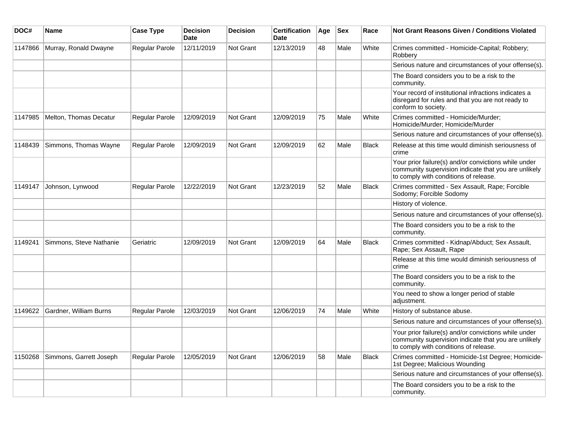| DOC#    | Name                    | <b>Case Type</b>      | <b>Decision</b><br><b>Date</b> | <b>Decision</b> | <b>Certification</b><br>Date | Age | <b>Sex</b> | Race         | <b>Not Grant Reasons Given / Conditions Violated</b>                                                                                                  |
|---------|-------------------------|-----------------------|--------------------------------|-----------------|------------------------------|-----|------------|--------------|-------------------------------------------------------------------------------------------------------------------------------------------------------|
| 1147866 | Murray, Ronald Dwayne   | <b>Regular Parole</b> | 12/11/2019                     | Not Grant       | 12/13/2019                   | 48  | Male       | White        | Crimes committed - Homicide-Capital; Robbery;<br>Robbery                                                                                              |
|         |                         |                       |                                |                 |                              |     |            |              | Serious nature and circumstances of your offense(s).                                                                                                  |
|         |                         |                       |                                |                 |                              |     |            |              | The Board considers you to be a risk to the<br>community.                                                                                             |
|         |                         |                       |                                |                 |                              |     |            |              | Your record of institutional infractions indicates a<br>disregard for rules and that you are not ready to<br>conform to society.                      |
| 1147985 | Melton, Thomas Decatur  | <b>Regular Parole</b> | 12/09/2019                     | Not Grant       | 12/09/2019                   | 75  | Male       | White        | Crimes committed - Homicide/Murder;<br>Homicide/Murder; Homicide/Murder                                                                               |
|         |                         |                       |                                |                 |                              |     |            |              | Serious nature and circumstances of your offense(s).                                                                                                  |
| 1148439 | Simmons, Thomas Wayne   | <b>Regular Parole</b> | 12/09/2019                     | Not Grant       | 12/09/2019                   | 62  | Male       | <b>Black</b> | Release at this time would diminish seriousness of<br>crime                                                                                           |
|         |                         |                       |                                |                 |                              |     |            |              | Your prior failure(s) and/or convictions while under<br>community supervision indicate that you are unlikely<br>to comply with conditions of release. |
| 1149147 | Johnson, Lynwood        | <b>Regular Parole</b> | 12/22/2019                     | Not Grant       | 12/23/2019                   | 52  | Male       | <b>Black</b> | Crimes committed - Sex Assault, Rape; Forcible<br>Sodomy; Forcible Sodomy                                                                             |
|         |                         |                       |                                |                 |                              |     |            |              | History of violence.                                                                                                                                  |
|         |                         |                       |                                |                 |                              |     |            |              | Serious nature and circumstances of your offense(s).                                                                                                  |
|         |                         |                       |                                |                 |                              |     |            |              | The Board considers you to be a risk to the<br>community.                                                                                             |
| 1149241 | Simmons, Steve Nathanie | Geriatric             | 12/09/2019                     | Not Grant       | 12/09/2019                   | 64  | Male       | <b>Black</b> | Crimes committed - Kidnap/Abduct; Sex Assault,<br>Rape; Sex Assault, Rape                                                                             |
|         |                         |                       |                                |                 |                              |     |            |              | Release at this time would diminish seriousness of<br>crime                                                                                           |
|         |                         |                       |                                |                 |                              |     |            |              | The Board considers you to be a risk to the<br>community.                                                                                             |
|         |                         |                       |                                |                 |                              |     |            |              | You need to show a longer period of stable<br>adjustment.                                                                                             |
| 1149622 | Gardner, William Burns  | Regular Parole        | 12/03/2019                     | Not Grant       | 12/06/2019                   | 74  | Male       | White        | History of substance abuse.                                                                                                                           |
|         |                         |                       |                                |                 |                              |     |            |              | Serious nature and circumstances of your offense(s).                                                                                                  |
|         |                         |                       |                                |                 |                              |     |            |              | Your prior failure(s) and/or convictions while under<br>community supervision indicate that you are unlikely<br>to comply with conditions of release. |
| 1150268 | Simmons, Garrett Joseph | Regular Parole        | 12/05/2019                     | Not Grant       | 12/06/2019                   | 58  | Male       | <b>Black</b> | Crimes committed - Homicide-1st Degree; Homicide-<br>1st Degree; Malicious Wounding                                                                   |
|         |                         |                       |                                |                 |                              |     |            |              | Serious nature and circumstances of your offense(s).                                                                                                  |
|         |                         |                       |                                |                 |                              |     |            |              | The Board considers you to be a risk to the<br>community.                                                                                             |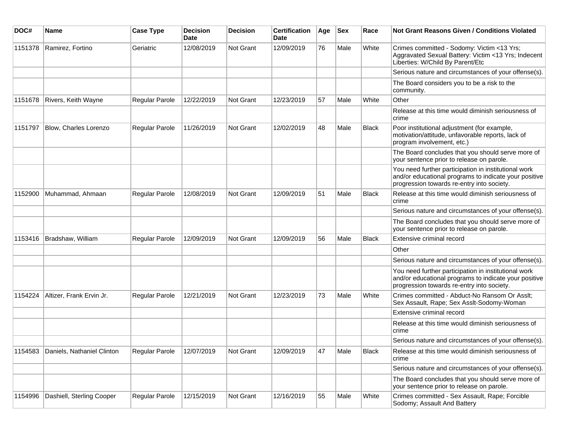| DOC#    | Name                       | <b>Case Type</b> | <b>Decision</b><br><b>Date</b> | <b>Decision</b> | <b>Certification</b><br>Date | Age | <b>Sex</b> | Race         | <b>Not Grant Reasons Given / Conditions Violated</b>                                                                                                        |
|---------|----------------------------|------------------|--------------------------------|-----------------|------------------------------|-----|------------|--------------|-------------------------------------------------------------------------------------------------------------------------------------------------------------|
| 1151378 | Ramirez, Fortino           | Geriatric        | 12/08/2019                     | Not Grant       | 12/09/2019                   | 76  | Male       | White        | Crimes committed - Sodomy: Victim <13 Yrs;<br>Aggravated Sexual Battery: Victim <13 Yrs; Indecent<br>Liberties: W/Child By Parent/Etc                       |
|         |                            |                  |                                |                 |                              |     |            |              | Serious nature and circumstances of your offense(s).                                                                                                        |
|         |                            |                  |                                |                 |                              |     |            |              | The Board considers you to be a risk to the<br>community.                                                                                                   |
| 1151678 | Rivers, Keith Wayne        | Regular Parole   | 12/22/2019                     | Not Grant       | 12/23/2019                   | 57  | Male       | White        | Other                                                                                                                                                       |
|         |                            |                  |                                |                 |                              |     |            |              | Release at this time would diminish seriousness of<br>crime                                                                                                 |
| 1151797 | Blow, Charles Lorenzo      | Regular Parole   | 11/26/2019                     | Not Grant       | 12/02/2019                   | 48  | Male       | <b>Black</b> | Poor institutional adjustment (for example,<br>motivation/attitude, unfavorable reports, lack of<br>program involvement, etc.)                              |
|         |                            |                  |                                |                 |                              |     |            |              | The Board concludes that you should serve more of<br>your sentence prior to release on parole.                                                              |
|         |                            |                  |                                |                 |                              |     |            |              | You need further participation in institutional work<br>and/or educational programs to indicate your positive<br>progression towards re-entry into society. |
| 1152900 | Muhammad, Ahmaan           | Regular Parole   | 12/08/2019                     | Not Grant       | 12/09/2019                   | 51  | Male       | <b>Black</b> | Release at this time would diminish seriousness of<br>crime                                                                                                 |
|         |                            |                  |                                |                 |                              |     |            |              | Serious nature and circumstances of your offense(s).                                                                                                        |
|         |                            |                  |                                |                 |                              |     |            |              | The Board concludes that you should serve more of<br>your sentence prior to release on parole.                                                              |
| 1153416 | Bradshaw, William          | Regular Parole   | 12/09/2019                     | Not Grant       | 12/09/2019                   | 56  | Male       | <b>Black</b> | Extensive criminal record                                                                                                                                   |
|         |                            |                  |                                |                 |                              |     |            |              | Other                                                                                                                                                       |
|         |                            |                  |                                |                 |                              |     |            |              | Serious nature and circumstances of your offense(s).                                                                                                        |
|         |                            |                  |                                |                 |                              |     |            |              | You need further participation in institutional work<br>and/or educational programs to indicate your positive<br>progression towards re-entry into society. |
| 1154224 | Altizer, Frank Ervin Jr.   | Regular Parole   | 12/21/2019                     | Not Grant       | 12/23/2019                   | 73  | Male       | White        | Crimes committed - Abduct-No Ransom Or Asslt;<br>Sex Assault, Rape; Sex Asslt-Sodomy-Woman                                                                  |
|         |                            |                  |                                |                 |                              |     |            |              | Extensive criminal record                                                                                                                                   |
|         |                            |                  |                                |                 |                              |     |            |              | Release at this time would diminish seriousness of<br>crime                                                                                                 |
|         |                            |                  |                                |                 |                              |     |            |              | Serious nature and circumstances of your offense(s).                                                                                                        |
| 1154583 | Daniels, Nathaniel Clinton | Regular Parole   | 12/07/2019                     | Not Grant       | 12/09/2019                   | 47  | Male       | Black        | Release at this time would diminish seriousness of<br>crime                                                                                                 |
|         |                            |                  |                                |                 |                              |     |            |              | Serious nature and circumstances of your offense(s).                                                                                                        |
|         |                            |                  |                                |                 |                              |     |            |              | The Board concludes that you should serve more of<br>your sentence prior to release on parole.                                                              |
| 1154996 | Dashiell, Sterling Cooper  | Regular Parole   | 12/15/2019                     | Not Grant       | 12/16/2019                   | 55  | Male       | White        | Crimes committed - Sex Assault, Rape; Forcible<br>Sodomy; Assault And Battery                                                                               |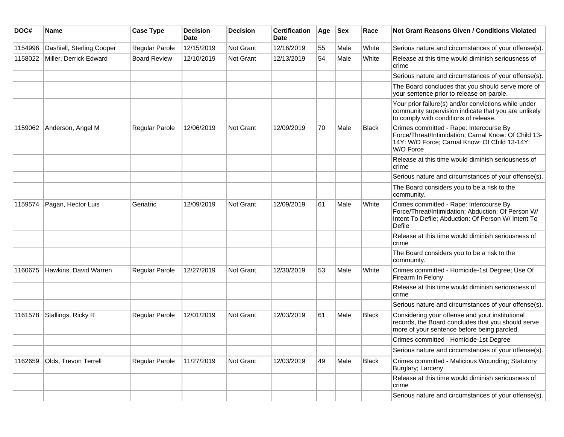| DOC#    | <b>Name</b>               | <b>Case Type</b>      | <b>Decision</b><br>Date | <b>Decision</b>  | <b>Certification</b><br>Date | Age | <b>Sex</b> | Race         | Not Grant Reasons Given / Conditions Violated                                                                                                                         |
|---------|---------------------------|-----------------------|-------------------------|------------------|------------------------------|-----|------------|--------------|-----------------------------------------------------------------------------------------------------------------------------------------------------------------------|
| 1154996 | Dashiell, Sterling Cooper | Regular Parole        | 12/15/2019              | Not Grant        | 12/16/2019                   | 55  | Male       | White        | Serious nature and circumstances of your offense(s).                                                                                                                  |
| 1158022 | Miller, Derrick Edward    | <b>Board Review</b>   | 12/10/2019              | <b>Not Grant</b> | 12/13/2019                   | 54  | Male       | White        | Release at this time would diminish seriousness of<br>crime                                                                                                           |
|         |                           |                       |                         |                  |                              |     |            |              | Serious nature and circumstances of your offense(s).                                                                                                                  |
|         |                           |                       |                         |                  |                              |     |            |              | The Board concludes that you should serve more of<br>your sentence prior to release on parole.                                                                        |
|         |                           |                       |                         |                  |                              |     |            |              | Your prior failure(s) and/or convictions while under<br>community supervision indicate that you are unlikely<br>to comply with conditions of release.                 |
| 1159062 | Anderson, Angel M         | Regular Parole        | 12/06/2019              | Not Grant        | 12/09/2019                   | 70  | Male       | Black        | Crimes committed - Rape: Intercourse By<br>Force/Threat/Intimidation; Carnal Know: Of Child 13-<br>14Y: W/O Force; Carnal Know: Of Child 13-14Y:<br>W/O Force         |
|         |                           |                       |                         |                  |                              |     |            |              | Release at this time would diminish seriousness of<br>crime                                                                                                           |
|         |                           |                       |                         |                  |                              |     |            |              | Serious nature and circumstances of your offense(s).                                                                                                                  |
|         |                           |                       |                         |                  |                              |     |            |              | The Board considers you to be a risk to the<br>community.                                                                                                             |
| 1159574 | Pagan, Hector Luis        | Geriatric             | 12/09/2019              | <b>Not Grant</b> | 12/09/2019                   | 61  | Male       | White        | Crimes committed - Rape: Intercourse By<br>Force/Threat/Intimidation; Abduction: Of Person W/<br>Intent To Defile; Abduction: Of Person W/ Intent To<br><b>Defile</b> |
|         |                           |                       |                         |                  |                              |     |            |              | Release at this time would diminish seriousness of<br>crime                                                                                                           |
|         |                           |                       |                         |                  |                              |     |            |              | The Board considers you to be a risk to the<br>community.                                                                                                             |
| 1160675 | Hawkins, David Warren     | Regular Parole        | 12/27/2019              | Not Grant        | 12/30/2019                   | 53  | Male       | White        | Crimes committed - Homicide-1st Degree; Use Of<br>Firearm In Felony                                                                                                   |
|         |                           |                       |                         |                  |                              |     |            |              | Release at this time would diminish seriousness of<br>crime                                                                                                           |
|         |                           |                       |                         |                  |                              |     |            |              | Serious nature and circumstances of your offense(s).                                                                                                                  |
| 1161578 | Stallings, Ricky R        | <b>Regular Parole</b> | 12/01/2019              | Not Grant        | 12/03/2019                   | 61  | Male       | Black        | Considering your offense and your institutional<br>records, the Board concludes that you should serve<br>more of your sentence before being paroled.                  |
|         |                           |                       |                         |                  |                              |     |            |              | Crimes committed - Homicide-1st Degree                                                                                                                                |
|         |                           |                       |                         |                  |                              |     |            |              | Serious nature and circumstances of your offense(s).                                                                                                                  |
| 1162659 | Olds, Trevon Terrell      | Regular Parole        | 11/27/2019              | Not Grant        | 12/03/2019                   | 49  | Male       | <b>Black</b> | Crimes committed - Malicious Wounding; Statutory<br>Burglary; Larceny                                                                                                 |
|         |                           |                       |                         |                  |                              |     |            |              | Release at this time would diminish seriousness of<br>crime                                                                                                           |
|         |                           |                       |                         |                  |                              |     |            |              | Serious nature and circumstances of your offense(s).                                                                                                                  |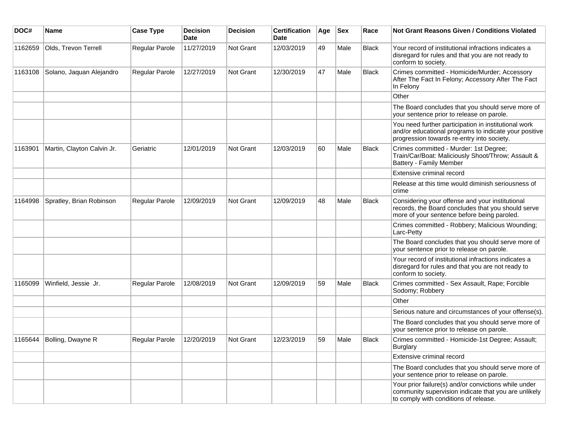| DOC#    | <b>Name</b>                | <b>Case Type</b> | <b>Decision</b><br><b>Date</b> | <b>Decision</b> | <b>Certification</b><br>Date | Age | <b>Sex</b> | Race         | Not Grant Reasons Given / Conditions Violated                                                                                                               |
|---------|----------------------------|------------------|--------------------------------|-----------------|------------------------------|-----|------------|--------------|-------------------------------------------------------------------------------------------------------------------------------------------------------------|
| 1162659 | Olds, Trevon Terrell       | Regular Parole   | 11/27/2019                     | Not Grant       | 12/03/2019                   | 49  | Male       | <b>Black</b> | Your record of institutional infractions indicates a<br>disregard for rules and that you are not ready to<br>conform to society.                            |
| 1163108 | Solano, Jaquan Alejandro   | Regular Parole   | 12/27/2019                     | Not Grant       | 12/30/2019                   | 47  | Male       | <b>Black</b> | Crimes committed - Homicide/Murder; Accessory<br>After The Fact In Felony; Accessory After The Fact<br>In Felony                                            |
|         |                            |                  |                                |                 |                              |     |            |              | Other                                                                                                                                                       |
|         |                            |                  |                                |                 |                              |     |            |              | The Board concludes that you should serve more of<br>your sentence prior to release on parole.                                                              |
|         |                            |                  |                                |                 |                              |     |            |              | You need further participation in institutional work<br>and/or educational programs to indicate your positive<br>progression towards re-entry into society. |
| 1163901 | Martin, Clayton Calvin Jr. | Geriatric        | 12/01/2019                     | Not Grant       | 12/03/2019                   | 60  | Male       | <b>Black</b> | Crimes committed - Murder: 1st Degree;<br>Train/Car/Boat: Maliciously Shoot/Throw; Assault &<br>Battery - Family Member                                     |
|         |                            |                  |                                |                 |                              |     |            |              | Extensive criminal record                                                                                                                                   |
|         |                            |                  |                                |                 |                              |     |            |              | Release at this time would diminish seriousness of<br>crime                                                                                                 |
| 1164998 | Spratley, Brian Robinson   | Regular Parole   | 12/09/2019                     | Not Grant       | 12/09/2019                   | 48  | Male       | Black        | Considering your offense and your institutional<br>records, the Board concludes that you should serve<br>more of your sentence before being paroled.        |
|         |                            |                  |                                |                 |                              |     |            |              | Crimes committed - Robbery; Malicious Wounding;<br>Larc-Petty                                                                                               |
|         |                            |                  |                                |                 |                              |     |            |              | The Board concludes that you should serve more of<br>your sentence prior to release on parole.                                                              |
|         |                            |                  |                                |                 |                              |     |            |              | Your record of institutional infractions indicates a<br>disregard for rules and that you are not ready to<br>conform to society.                            |
| 1165099 | Winfield, Jessie Jr.       | Regular Parole   | 12/08/2019                     | Not Grant       | 12/09/2019                   | 59  | Male       | Black        | Crimes committed - Sex Assault, Rape; Forcible<br>Sodomy; Robbery                                                                                           |
|         |                            |                  |                                |                 |                              |     |            |              | Other                                                                                                                                                       |
|         |                            |                  |                                |                 |                              |     |            |              | Serious nature and circumstances of your offense(s).                                                                                                        |
|         |                            |                  |                                |                 |                              |     |            |              | The Board concludes that you should serve more of<br>your sentence prior to release on parole.                                                              |
| 1165644 | Bolling, Dwayne R          | Regular Parole   | 12/20/2019                     | Not Grant       | 12/23/2019                   | 59  | Male       | <b>Black</b> | Crimes committed - Homicide-1st Degree; Assault;<br><b>Burglary</b>                                                                                         |
|         |                            |                  |                                |                 |                              |     |            |              | Extensive criminal record                                                                                                                                   |
|         |                            |                  |                                |                 |                              |     |            |              | The Board concludes that you should serve more of<br>your sentence prior to release on parole.                                                              |
|         |                            |                  |                                |                 |                              |     |            |              | Your prior failure(s) and/or convictions while under<br>community supervision indicate that you are unlikely<br>to comply with conditions of release.       |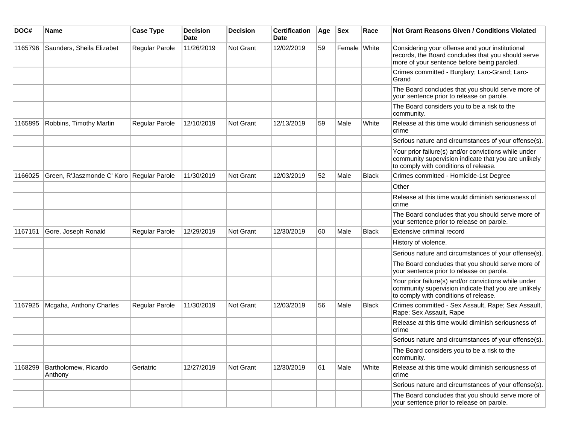| DOC#    | Name                                      | <b>Case Type</b> | <b>Decision</b><br><b>Date</b> | <b>Decision</b>  | <b>Certification</b><br>Date | Age | <b>Sex</b>   | Race         | Not Grant Reasons Given / Conditions Violated                                                                                                         |
|---------|-------------------------------------------|------------------|--------------------------------|------------------|------------------------------|-----|--------------|--------------|-------------------------------------------------------------------------------------------------------------------------------------------------------|
| 1165796 | Saunders, Sheila Elizabet                 | Regular Parole   | 11/26/2019                     | Not Grant        | 12/02/2019                   | 59  | Female White |              | Considering your offense and your institutional<br>records, the Board concludes that you should serve<br>more of your sentence before being paroled.  |
|         |                                           |                  |                                |                  |                              |     |              |              | Crimes committed - Burglary; Larc-Grand; Larc-<br>Grand                                                                                               |
|         |                                           |                  |                                |                  |                              |     |              |              | The Board concludes that you should serve more of<br>your sentence prior to release on parole.                                                        |
|         |                                           |                  |                                |                  |                              |     |              |              | The Board considers you to be a risk to the<br>community.                                                                                             |
| 1165895 | Robbins, Timothy Martin                   | Regular Parole   | 12/10/2019                     | Not Grant        | 12/13/2019                   | 59  | Male         | White        | Release at this time would diminish seriousness of<br>crime                                                                                           |
|         |                                           |                  |                                |                  |                              |     |              |              | Serious nature and circumstances of your offense(s).                                                                                                  |
|         |                                           |                  |                                |                  |                              |     |              |              | Your prior failure(s) and/or convictions while under<br>community supervision indicate that you are unlikely<br>to comply with conditions of release. |
| 1166025 | Green, R'Jaszmonde C' Koro Regular Parole |                  | 11/30/2019                     | Not Grant        | 12/03/2019                   | 52  | Male         | <b>Black</b> | Crimes committed - Homicide-1st Degree                                                                                                                |
|         |                                           |                  |                                |                  |                              |     |              |              | Other                                                                                                                                                 |
|         |                                           |                  |                                |                  |                              |     |              |              | Release at this time would diminish seriousness of<br>crime                                                                                           |
|         |                                           |                  |                                |                  |                              |     |              |              | The Board concludes that you should serve more of<br>your sentence prior to release on parole.                                                        |
| 1167151 | Gore, Joseph Ronald                       | Regular Parole   | 12/29/2019                     | <b>Not Grant</b> | 12/30/2019                   | 60  | Male         | <b>Black</b> | Extensive criminal record                                                                                                                             |
|         |                                           |                  |                                |                  |                              |     |              |              | History of violence.                                                                                                                                  |
|         |                                           |                  |                                |                  |                              |     |              |              | Serious nature and circumstances of your offense(s).                                                                                                  |
|         |                                           |                  |                                |                  |                              |     |              |              | The Board concludes that you should serve more of<br>your sentence prior to release on parole.                                                        |
|         |                                           |                  |                                |                  |                              |     |              |              | Your prior failure(s) and/or convictions while under<br>community supervision indicate that you are unlikely<br>to comply with conditions of release. |
| 1167925 | Mcgaha, Anthony Charles                   | Regular Parole   | 11/30/2019                     | <b>Not Grant</b> | 12/03/2019                   | 56  | Male         | <b>Black</b> | Crimes committed - Sex Assault, Rape; Sex Assault,<br>Rape; Sex Assault, Rape                                                                         |
|         |                                           |                  |                                |                  |                              |     |              |              | Release at this time would diminish seriousness of<br>crime                                                                                           |
|         |                                           |                  |                                |                  |                              |     |              |              | Serious nature and circumstances of your offense(s).                                                                                                  |
|         |                                           |                  |                                |                  |                              |     |              |              | The Board considers you to be a risk to the<br>community.                                                                                             |
| 1168299 | Bartholomew, Ricardo<br>Anthony           | Geriatric        | 12/27/2019                     | Not Grant        | 12/30/2019                   | 61  | Male         | White        | Release at this time would diminish seriousness of<br>crime                                                                                           |
|         |                                           |                  |                                |                  |                              |     |              |              | Serious nature and circumstances of your offense(s).                                                                                                  |
|         |                                           |                  |                                |                  |                              |     |              |              | The Board concludes that you should serve more of<br>your sentence prior to release on parole.                                                        |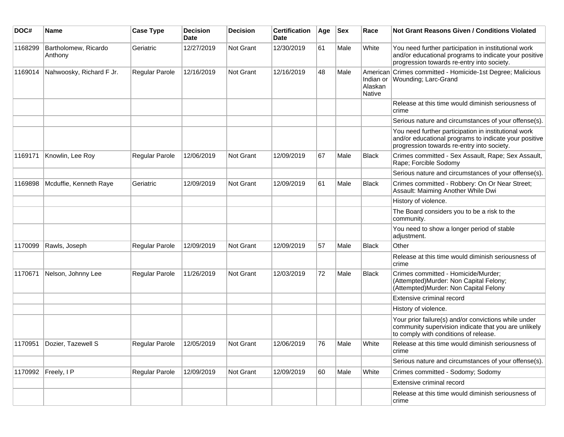| DOC#    | Name                            | <b>Case Type</b> | <b>Decision</b><br><b>Date</b> | <b>Decision</b>  | <b>Certification</b><br>Date | Age | <b>Sex</b> | Race                     | Not Grant Reasons Given / Conditions Violated                                                                                                               |
|---------|---------------------------------|------------------|--------------------------------|------------------|------------------------------|-----|------------|--------------------------|-------------------------------------------------------------------------------------------------------------------------------------------------------------|
| 1168299 | Bartholomew, Ricardo<br>Anthony | Geriatric        | 12/27/2019                     | Not Grant        | 12/30/2019                   | 61  | Male       | White                    | You need further participation in institutional work<br>and/or educational programs to indicate your positive<br>progression towards re-entry into society. |
| 1169014 | Nahwoosky, Richard F Jr.        | Regular Parole   | 12/16/2019                     | Not Grant        | 12/16/2019                   | 48  | Male       | Alaskan<br><b>Native</b> | American Crimes committed - Homicide-1st Degree; Malicious<br>Indian or   Wounding; Larc-Grand                                                              |
|         |                                 |                  |                                |                  |                              |     |            |                          | Release at this time would diminish seriousness of<br>crime                                                                                                 |
|         |                                 |                  |                                |                  |                              |     |            |                          | Serious nature and circumstances of your offense(s).                                                                                                        |
|         |                                 |                  |                                |                  |                              |     |            |                          | You need further participation in institutional work<br>and/or educational programs to indicate your positive<br>progression towards re-entry into society. |
| 1169171 | Knowlin, Lee Roy                | Regular Parole   | 12/06/2019                     | <b>Not Grant</b> | 12/09/2019                   | 67  | Male       | <b>Black</b>             | Crimes committed - Sex Assault, Rape; Sex Assault,<br>Rape; Forcible Sodomy                                                                                 |
|         |                                 |                  |                                |                  |                              |     |            |                          | Serious nature and circumstances of your offense(s).                                                                                                        |
| 1169898 | Mcduffie, Kenneth Raye          | Geriatric        | 12/09/2019                     | Not Grant        | 12/09/2019                   | 61  | Male       | Black                    | Crimes committed - Robbery: On Or Near Street;<br>Assault: Maiming Another While Dwi                                                                        |
|         |                                 |                  |                                |                  |                              |     |            |                          | History of violence.                                                                                                                                        |
|         |                                 |                  |                                |                  |                              |     |            |                          | The Board considers you to be a risk to the<br>community.                                                                                                   |
|         |                                 |                  |                                |                  |                              |     |            |                          | You need to show a longer period of stable<br>adjustment.                                                                                                   |
| 1170099 | Rawls, Joseph                   | Regular Parole   | 12/09/2019                     | <b>Not Grant</b> | 12/09/2019                   | 57  | Male       | <b>Black</b>             | Other                                                                                                                                                       |
|         |                                 |                  |                                |                  |                              |     |            |                          | Release at this time would diminish seriousness of<br>crime                                                                                                 |
| 1170671 | Nelson, Johnny Lee              | Regular Parole   | 11/26/2019                     | Not Grant        | 12/03/2019                   | 72  | Male       | <b>Black</b>             | Crimes committed - Homicide/Murder;<br>(Attempted)Murder: Non Capital Felony;<br>(Attempted)Murder: Non Capital Felony                                      |
|         |                                 |                  |                                |                  |                              |     |            |                          | Extensive criminal record                                                                                                                                   |
|         |                                 |                  |                                |                  |                              |     |            |                          | History of violence.                                                                                                                                        |
|         |                                 |                  |                                |                  |                              |     |            |                          | Your prior failure(s) and/or convictions while under<br>community supervision indicate that you are unlikely<br>to comply with conditions of release.       |
| 1170951 | Dozier, Tazewell S              | Regular Parole   | 12/05/2019                     | Not Grant        | 12/06/2019                   | 76  | Male       | White                    | Release at this time would diminish seriousness of<br>crime                                                                                                 |
|         |                                 |                  |                                |                  |                              |     |            |                          | Serious nature and circumstances of your offense(s).                                                                                                        |
|         | 1170992 Freely, I P             | Regular Parole   | 12/09/2019                     | Not Grant        | 12/09/2019                   | 60  | Male       | White                    | Crimes committed - Sodomy; Sodomy                                                                                                                           |
|         |                                 |                  |                                |                  |                              |     |            |                          | Extensive criminal record                                                                                                                                   |
|         |                                 |                  |                                |                  |                              |     |            |                          | Release at this time would diminish seriousness of<br>crime                                                                                                 |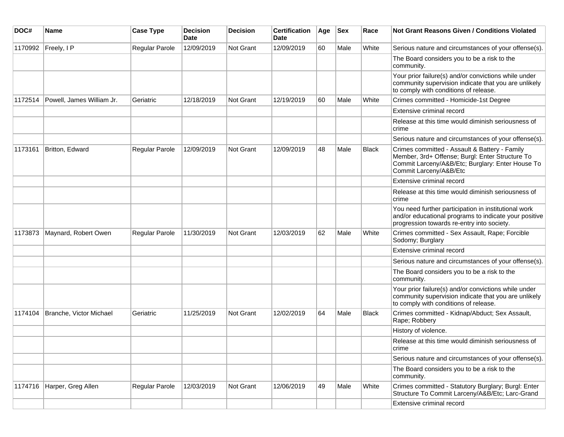| DOC#    | Name                      | <b>Case Type</b> | <b>Decision</b><br><b>Date</b> | <b>Decision</b> | <b>Certification</b><br>Date | Age | <b>Sex</b> | Race         | Not Grant Reasons Given / Conditions Violated                                                                                                                                  |
|---------|---------------------------|------------------|--------------------------------|-----------------|------------------------------|-----|------------|--------------|--------------------------------------------------------------------------------------------------------------------------------------------------------------------------------|
| 1170992 | Freely, I P               | Regular Parole   | 12/09/2019                     | Not Grant       | 12/09/2019                   | 60  | Male       | White        | Serious nature and circumstances of your offense(s).                                                                                                                           |
|         |                           |                  |                                |                 |                              |     |            |              | The Board considers you to be a risk to the<br>community.                                                                                                                      |
|         |                           |                  |                                |                 |                              |     |            |              | Your prior failure(s) and/or convictions while under<br>community supervision indicate that you are unlikely<br>to comply with conditions of release.                          |
| 1172514 | Powell, James William Jr. | Geriatric        | 12/18/2019                     | Not Grant       | 12/19/2019                   | 60  | Male       | White        | Crimes committed - Homicide-1st Degree                                                                                                                                         |
|         |                           |                  |                                |                 |                              |     |            |              | Extensive criminal record                                                                                                                                                      |
|         |                           |                  |                                |                 |                              |     |            |              | Release at this time would diminish seriousness of<br>crime                                                                                                                    |
|         |                           |                  |                                |                 |                              |     |            |              | Serious nature and circumstances of your offense(s).                                                                                                                           |
| 1173161 | Britton, Edward           | Regular Parole   | 12/09/2019                     | Not Grant       | 12/09/2019                   | 48  | Male       | <b>Black</b> | Crimes committed - Assault & Battery - Family<br>Member, 3rd+ Offense; Burgl: Enter Structure To<br>Commit Larceny/A&B/Etc; Burglary: Enter House To<br>Commit Larceny/A&B/Etc |
|         |                           |                  |                                |                 |                              |     |            |              | Extensive criminal record                                                                                                                                                      |
|         |                           |                  |                                |                 |                              |     |            |              | Release at this time would diminish seriousness of<br>crime                                                                                                                    |
|         |                           |                  |                                |                 |                              |     |            |              | You need further participation in institutional work<br>and/or educational programs to indicate your positive<br>progression towards re-entry into society.                    |
| 1173873 | Maynard, Robert Owen      | Regular Parole   | 11/30/2019                     | Not Grant       | 12/03/2019                   | 62  | Male       | White        | Crimes committed - Sex Assault, Rape; Forcible<br>Sodomy; Burglary                                                                                                             |
|         |                           |                  |                                |                 |                              |     |            |              | Extensive criminal record                                                                                                                                                      |
|         |                           |                  |                                |                 |                              |     |            |              | Serious nature and circumstances of your offense(s).                                                                                                                           |
|         |                           |                  |                                |                 |                              |     |            |              | The Board considers you to be a risk to the<br>community.                                                                                                                      |
|         |                           |                  |                                |                 |                              |     |            |              | Your prior failure(s) and/or convictions while under<br>community supervision indicate that you are unlikely<br>to comply with conditions of release.                          |
| 1174104 | Branche, Victor Michael   | Geriatric        | 11/25/2019                     | Not Grant       | 12/02/2019                   | 64  | Male       | Black        | Crimes committed - Kidnap/Abduct; Sex Assault,<br>Rape; Robbery                                                                                                                |
|         |                           |                  |                                |                 |                              |     |            |              | History of violence.                                                                                                                                                           |
|         |                           |                  |                                |                 |                              |     |            |              | Release at this time would diminish seriousness of<br>crime                                                                                                                    |
|         |                           |                  |                                |                 |                              |     |            |              | Serious nature and circumstances of your offense(s).                                                                                                                           |
|         |                           |                  |                                |                 |                              |     |            |              | The Board considers you to be a risk to the<br>community.                                                                                                                      |
| 1174716 | Harper, Greg Allen        | Regular Parole   | 12/03/2019                     | Not Grant       | 12/06/2019                   | 49  | Male       | White        | Crimes committed - Statutory Burglary; Burgl: Enter<br>Structure To Commit Larceny/A&B/Etc; Larc-Grand                                                                         |
|         |                           |                  |                                |                 |                              |     |            |              | Extensive criminal record                                                                                                                                                      |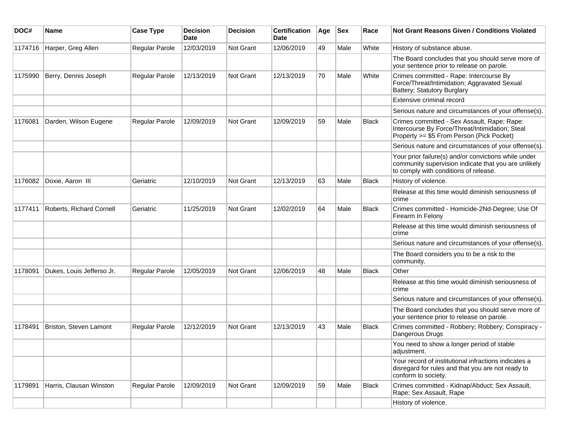| DOC#    | Name                      | <b>Case Type</b>      | <b>Decision</b><br><b>Date</b> | <b>Decision</b>  | <b>Certification</b><br>Date | Age | <b>Sex</b> | Race         | <b>Not Grant Reasons Given / Conditions Violated</b>                                                                                                  |
|---------|---------------------------|-----------------------|--------------------------------|------------------|------------------------------|-----|------------|--------------|-------------------------------------------------------------------------------------------------------------------------------------------------------|
| 1174716 | Harper, Greg Allen        | Regular Parole        | 12/03/2019                     | Not Grant        | 12/06/2019                   | 49  | Male       | White        | History of substance abuse.                                                                                                                           |
|         |                           |                       |                                |                  |                              |     |            |              | The Board concludes that you should serve more of<br>your sentence prior to release on parole.                                                        |
| 1175990 | Berry, Dennis Joseph      | <b>Regular Parole</b> | 12/13/2019                     | Not Grant        | 12/13/2019                   | 70  | Male       | White        | Crimes committed - Rape: Intercourse By<br>Force/Threat/Intimidation; Aggravated Sexual<br><b>Battery; Statutory Burglary</b>                         |
|         |                           |                       |                                |                  |                              |     |            |              | Extensive criminal record                                                                                                                             |
|         |                           |                       |                                |                  |                              |     |            |              | Serious nature and circumstances of your offense(s).                                                                                                  |
| 1176081 | Darden, Wilson Eugene     | Regular Parole        | 12/09/2019                     | <b>Not Grant</b> | 12/09/2019                   | 59  | Male       | <b>Black</b> | Crimes committed - Sex Assault, Rape; Rape:<br>Intercourse By Force/Threat/Intimidation; Steal<br>Property >= \$5 From Person (Pick Pocket)           |
|         |                           |                       |                                |                  |                              |     |            |              | Serious nature and circumstances of your offense(s).                                                                                                  |
|         |                           |                       |                                |                  |                              |     |            |              | Your prior failure(s) and/or convictions while under<br>community supervision indicate that you are unlikely<br>to comply with conditions of release. |
| 1176082 | Doxie, Aaron III          | Geriatric             | 12/10/2019                     | <b>Not Grant</b> | 12/13/2019                   | 63  | Male       | <b>Black</b> | History of violence.                                                                                                                                  |
|         |                           |                       |                                |                  |                              |     |            |              | Release at this time would diminish seriousness of<br>crime                                                                                           |
| 1177411 | Roberts, Richard Cornell  | Geriatric             | 11/25/2019                     | <b>Not Grant</b> | 12/02/2019                   | 64  | Male       | Black        | Crimes committed - Homicide-2Nd-Degree; Use Of<br>Firearm In Felony                                                                                   |
|         |                           |                       |                                |                  |                              |     |            |              | Release at this time would diminish seriousness of<br>crime                                                                                           |
|         |                           |                       |                                |                  |                              |     |            |              | Serious nature and circumstances of your offense(s).                                                                                                  |
|         |                           |                       |                                |                  |                              |     |            |              | The Board considers you to be a risk to the<br>community.                                                                                             |
| 1178091 | Dukes, Louis Jefferso Jr. | <b>Regular Parole</b> | 12/05/2019                     | <b>Not Grant</b> | 12/06/2019                   | 48  | Male       | <b>Black</b> | Other                                                                                                                                                 |
|         |                           |                       |                                |                  |                              |     |            |              | Release at this time would diminish seriousness of<br>crime                                                                                           |
|         |                           |                       |                                |                  |                              |     |            |              | Serious nature and circumstances of your offense(s).                                                                                                  |
|         |                           |                       |                                |                  |                              |     |            |              | The Board concludes that you should serve more of<br>your sentence prior to release on parole.                                                        |
| 1178491 | Briston, Steven Lamont    | <b>Regular Parole</b> | 12/12/2019                     | <b>Not Grant</b> | 12/13/2019                   | 43  | Male       | <b>Black</b> | Crimes committed - Robbery; Robbery; Conspiracy -<br>Dangerous Drugs                                                                                  |
|         |                           |                       |                                |                  |                              |     |            |              | You need to show a longer period of stable<br>adjustment.                                                                                             |
|         |                           |                       |                                |                  |                              |     |            |              | Your record of institutional infractions indicates a<br>disregard for rules and that you are not ready to<br>conform to society.                      |
| 1179891 | Harris, Clausan Winston   | Regular Parole        | 12/09/2019                     | Not Grant        | 12/09/2019                   | 59  | Male       | Black        | Crimes committed - Kidnap/Abduct; Sex Assault,<br>Rape; Sex Assault, Rape                                                                             |
|         |                           |                       |                                |                  |                              |     |            |              | History of violence.                                                                                                                                  |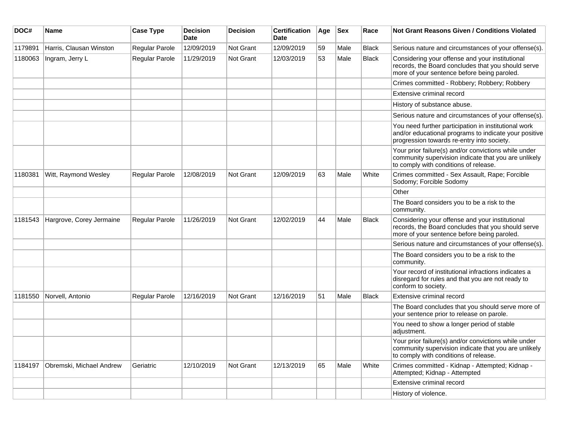| DOC#    | <b>Name</b>              | <b>Case Type</b>      | <b>Decision</b><br><b>Date</b> | <b>Decision</b>  | <b>Certification</b><br><b>Date</b> | Age | <b>Sex</b> | Race         | <b>Not Grant Reasons Given / Conditions Violated</b>                                                                                                        |
|---------|--------------------------|-----------------------|--------------------------------|------------------|-------------------------------------|-----|------------|--------------|-------------------------------------------------------------------------------------------------------------------------------------------------------------|
| 1179891 | Harris, Clausan Winston  | Regular Parole        | 12/09/2019                     | Not Grant        | 12/09/2019                          | 59  | Male       | <b>Black</b> | Serious nature and circumstances of your offense(s).                                                                                                        |
| 1180063 | Ingram, Jerry L          | Regular Parole        | 11/29/2019                     | Not Grant        | 12/03/2019                          | 53  | Male       | <b>Black</b> | Considering your offense and your institutional<br>records, the Board concludes that you should serve<br>more of your sentence before being paroled.        |
|         |                          |                       |                                |                  |                                     |     |            |              | Crimes committed - Robbery; Robbery; Robbery                                                                                                                |
|         |                          |                       |                                |                  |                                     |     |            |              | Extensive criminal record                                                                                                                                   |
|         |                          |                       |                                |                  |                                     |     |            |              | History of substance abuse.                                                                                                                                 |
|         |                          |                       |                                |                  |                                     |     |            |              | Serious nature and circumstances of your offense(s).                                                                                                        |
|         |                          |                       |                                |                  |                                     |     |            |              | You need further participation in institutional work<br>and/or educational programs to indicate your positive<br>progression towards re-entry into society. |
|         |                          |                       |                                |                  |                                     |     |            |              | Your prior failure(s) and/or convictions while under<br>community supervision indicate that you are unlikely<br>to comply with conditions of release.       |
| 1180381 | Witt, Raymond Wesley     | <b>Regular Parole</b> | 12/08/2019                     | <b>Not Grant</b> | 12/09/2019                          | 63  | Male       | White        | Crimes committed - Sex Assault, Rape; Forcible<br>Sodomy; Forcible Sodomy                                                                                   |
|         |                          |                       |                                |                  |                                     |     |            |              | Other                                                                                                                                                       |
|         |                          |                       |                                |                  |                                     |     |            |              | The Board considers you to be a risk to the<br>community.                                                                                                   |
| 1181543 | Hargrove, Corey Jermaine | Regular Parole        | 11/26/2019                     | Not Grant        | 12/02/2019                          | 44  | Male       | <b>Black</b> | Considering your offense and your institutional<br>records, the Board concludes that you should serve<br>more of your sentence before being paroled.        |
|         |                          |                       |                                |                  |                                     |     |            |              | Serious nature and circumstances of your offense(s).                                                                                                        |
|         |                          |                       |                                |                  |                                     |     |            |              | The Board considers you to be a risk to the<br>community.                                                                                                   |
|         |                          |                       |                                |                  |                                     |     |            |              | Your record of institutional infractions indicates a<br>disregard for rules and that you are not ready to<br>conform to society.                            |
| 1181550 | Norvell, Antonio         | Regular Parole        | 12/16/2019                     | <b>Not Grant</b> | 12/16/2019                          | 51  | Male       | <b>Black</b> | Extensive criminal record                                                                                                                                   |
|         |                          |                       |                                |                  |                                     |     |            |              | The Board concludes that you should serve more of<br>your sentence prior to release on parole.                                                              |
|         |                          |                       |                                |                  |                                     |     |            |              | You need to show a longer period of stable<br>adjustment.                                                                                                   |
|         |                          |                       |                                |                  |                                     |     |            |              | Your prior failure(s) and/or convictions while under<br>community supervision indicate that you are unlikely<br>to comply with conditions of release.       |
| 1184197 | Obremski, Michael Andrew | Geriatric             | 12/10/2019                     | <b>Not Grant</b> | 12/13/2019                          | 65  | Male       | White        | Crimes committed - Kidnap - Attempted: Kidnap -<br>Attempted; Kidnap - Attempted                                                                            |
|         |                          |                       |                                |                  |                                     |     |            |              | Extensive criminal record                                                                                                                                   |
|         |                          |                       |                                |                  |                                     |     |            |              | History of violence.                                                                                                                                        |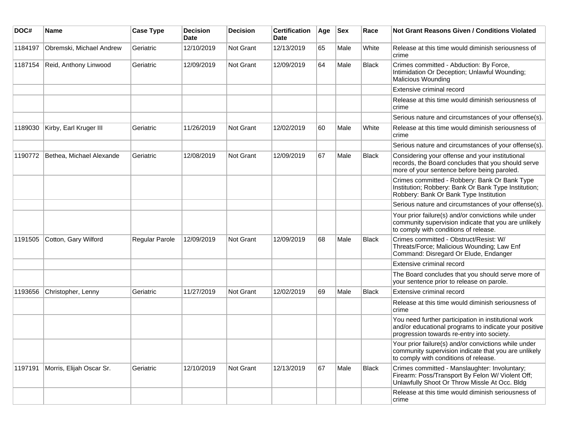| DOC#    | <b>Name</b>              | <b>Case Type</b> | <b>Decision</b><br><b>Date</b> | <b>Decision</b> | <b>Certification</b><br>Date | Age | <b>Sex</b> | Race  | <b>Not Grant Reasons Given / Conditions Violated</b>                                                                                                        |
|---------|--------------------------|------------------|--------------------------------|-----------------|------------------------------|-----|------------|-------|-------------------------------------------------------------------------------------------------------------------------------------------------------------|
| 1184197 | Obremski, Michael Andrew | Geriatric        | 12/10/2019                     | Not Grant       | 12/13/2019                   | 65  | Male       | White | Release at this time would diminish seriousness of<br>crime                                                                                                 |
| 1187154 | Reid, Anthony Linwood    | Geriatric        | 12/09/2019                     | Not Grant       | 12/09/2019                   | 64  | Male       | Black | Crimes committed - Abduction: By Force,<br>Intimidation Or Deception; Unlawful Wounding;<br>Malicious Wounding                                              |
|         |                          |                  |                                |                 |                              |     |            |       | Extensive criminal record                                                                                                                                   |
|         |                          |                  |                                |                 |                              |     |            |       | Release at this time would diminish seriousness of<br>crime                                                                                                 |
|         |                          |                  |                                |                 |                              |     |            |       | Serious nature and circumstances of your offense(s).                                                                                                        |
| 1189030 | Kirby, Earl Kruger III   | Geriatric        | 11/26/2019                     | Not Grant       | 12/02/2019                   | 60  | Male       | White | Release at this time would diminish seriousness of<br>crime                                                                                                 |
|         |                          |                  |                                |                 |                              |     |            |       | Serious nature and circumstances of your offense(s).                                                                                                        |
| 1190772 | Bethea, Michael Alexande | Geriatric        | 12/08/2019                     | Not Grant       | 12/09/2019                   | 67  | Male       | Black | Considering your offense and your institutional<br>records, the Board concludes that you should serve<br>more of your sentence before being paroled.        |
|         |                          |                  |                                |                 |                              |     |            |       | Crimes committed - Robbery: Bank Or Bank Type<br>Institution; Robbery: Bank Or Bank Type Institution;<br>Robbery: Bank Or Bank Type Institution             |
|         |                          |                  |                                |                 |                              |     |            |       | Serious nature and circumstances of your offense(s).                                                                                                        |
|         |                          |                  |                                |                 |                              |     |            |       | Your prior failure(s) and/or convictions while under<br>community supervision indicate that you are unlikely<br>to comply with conditions of release.       |
| 1191505 | Cotton, Gary Wilford     | Regular Parole   | 12/09/2019                     | Not Grant       | 12/09/2019                   | 68  | Male       | Black | Crimes committed - Obstruct/Resist: W/<br>Threats/Force; Malicious Wounding; Law Enf<br>Command: Disregard Or Elude, Endanger                               |
|         |                          |                  |                                |                 |                              |     |            |       | Extensive criminal record                                                                                                                                   |
|         |                          |                  |                                |                 |                              |     |            |       | The Board concludes that you should serve more of<br>your sentence prior to release on parole.                                                              |
| 1193656 | Christopher, Lenny       | Geriatric        | 11/27/2019                     | Not Grant       | 12/02/2019                   | 69  | Male       | Black | Extensive criminal record                                                                                                                                   |
|         |                          |                  |                                |                 |                              |     |            |       | Release at this time would diminish seriousness of<br>crime                                                                                                 |
|         |                          |                  |                                |                 |                              |     |            |       | You need further participation in institutional work<br>and/or educational programs to indicate your positive<br>progression towards re-entry into society. |
|         |                          |                  |                                |                 |                              |     |            |       | Your prior failure(s) and/or convictions while under<br>community supervision indicate that you are unlikely<br>to comply with conditions of release.       |
| 1197191 | Morris, Elijah Oscar Sr. | Geriatric        | 12/10/2019                     | Not Grant       | 12/13/2019                   | 67  | Male       | Black | Crimes committed - Manslaughter: Involuntary;<br>Firearm: Poss/Transport By Felon W/ Violent Off;<br>Unlawfully Shoot Or Throw Missle At Occ. Bldg          |
|         |                          |                  |                                |                 |                              |     |            |       | Release at this time would diminish seriousness of<br>crime                                                                                                 |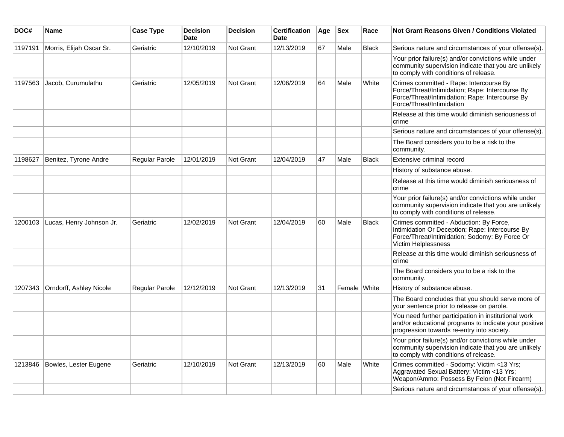| DOC#    | <b>Name</b>              | <b>Case Type</b>      | <b>Decision</b><br><b>Date</b> | <b>Decision</b> | <b>Certification</b><br><b>Date</b> | Age | <b>Sex</b>   | Race         | <b>Not Grant Reasons Given / Conditions Violated</b>                                                                                                                       |
|---------|--------------------------|-----------------------|--------------------------------|-----------------|-------------------------------------|-----|--------------|--------------|----------------------------------------------------------------------------------------------------------------------------------------------------------------------------|
| 1197191 | Morris, Elijah Oscar Sr. | Geriatric             | 12/10/2019                     | Not Grant       | 12/13/2019                          | 67  | Male         | <b>Black</b> | Serious nature and circumstances of your offense(s).                                                                                                                       |
|         |                          |                       |                                |                 |                                     |     |              |              | Your prior failure(s) and/or convictions while under<br>community supervision indicate that you are unlikely<br>to comply with conditions of release.                      |
| 1197563 | Jacob, Curumulathu       | Geriatric             | 12/05/2019                     | Not Grant       | 12/06/2019                          | 64  | Male         | White        | Crimes committed - Rape: Intercourse By<br>Force/Threat/Intimidation; Rape: Intercourse By<br>Force/Threat/Intimidation; Rape: Intercourse By<br>Force/Threat/Intimidation |
|         |                          |                       |                                |                 |                                     |     |              |              | Release at this time would diminish seriousness of<br>crime                                                                                                                |
|         |                          |                       |                                |                 |                                     |     |              |              | Serious nature and circumstances of your offense(s).                                                                                                                       |
|         |                          |                       |                                |                 |                                     |     |              |              | The Board considers you to be a risk to the<br>community.                                                                                                                  |
| 1198627 | Benitez, Tyrone Andre    | Regular Parole        | 12/01/2019                     | Not Grant       | 12/04/2019                          | 47  | Male         | <b>Black</b> | Extensive criminal record                                                                                                                                                  |
|         |                          |                       |                                |                 |                                     |     |              |              | History of substance abuse.                                                                                                                                                |
|         |                          |                       |                                |                 |                                     |     |              |              | Release at this time would diminish seriousness of<br>crime                                                                                                                |
|         |                          |                       |                                |                 |                                     |     |              |              | Your prior failure(s) and/or convictions while under<br>community supervision indicate that you are unlikely<br>to comply with conditions of release.                      |
| 1200103 | Lucas, Henry Johnson Jr. | Geriatric             | 12/02/2019                     | Not Grant       | 12/04/2019                          | 60  | Male         | <b>Black</b> | Crimes committed - Abduction: By Force,<br>Intimidation Or Deception; Rape: Intercourse By<br>Force/Threat/Intimidation; Sodomy: By Force Or<br>Victim Helplessness        |
|         |                          |                       |                                |                 |                                     |     |              |              | Release at this time would diminish seriousness of<br>crime                                                                                                                |
|         |                          |                       |                                |                 |                                     |     |              |              | The Board considers you to be a risk to the<br>community.                                                                                                                  |
| 1207343 | Orndorff, Ashley Nicole  | <b>Regular Parole</b> | 12/12/2019                     | Not Grant       | 12/13/2019                          | 31  | Female White |              | History of substance abuse.                                                                                                                                                |
|         |                          |                       |                                |                 |                                     |     |              |              | The Board concludes that you should serve more of<br>your sentence prior to release on parole.                                                                             |
|         |                          |                       |                                |                 |                                     |     |              |              | You need further participation in institutional work<br>and/or educational programs to indicate your positive<br>progression towards re-entry into society.                |
|         |                          |                       |                                |                 |                                     |     |              |              | Your prior failure(s) and/or convictions while under<br>community supervision indicate that you are unlikely<br>to comply with conditions of release.                      |
| 1213846 | Bowles, Lester Eugene    | Geriatric             | 12/10/2019                     | Not Grant       | 12/13/2019                          | 60  | Male         | White        | Crimes committed - Sodomy: Victim <13 Yrs;<br>Aggravated Sexual Battery: Victim <13 Yrs;<br>Weapon/Ammo: Possess By Felon (Not Firearm)                                    |
|         |                          |                       |                                |                 |                                     |     |              |              | Serious nature and circumstances of your offense(s).                                                                                                                       |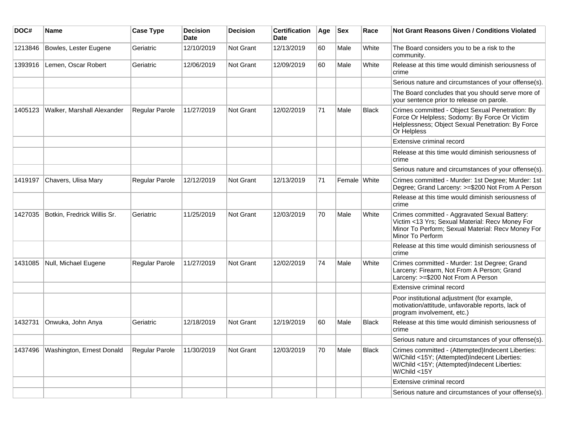| DOC#    | <b>Name</b>                 | <b>Case Type</b>      | <b>Decision</b><br><b>Date</b> | <b>Decision</b>  | <b>Certification</b><br><b>Date</b> | Age | <b>Sex</b>   | Race         | <b>Not Grant Reasons Given / Conditions Violated</b>                                                                                                                      |
|---------|-----------------------------|-----------------------|--------------------------------|------------------|-------------------------------------|-----|--------------|--------------|---------------------------------------------------------------------------------------------------------------------------------------------------------------------------|
| 1213846 | Bowles, Lester Eugene       | Geriatric             | 12/10/2019                     | Not Grant        | 12/13/2019                          | 60  | Male         | White        | The Board considers you to be a risk to the<br>community.                                                                                                                 |
| 1393916 | Lemen, Oscar Robert         | Geriatric             | 12/06/2019                     | Not Grant        | 12/09/2019                          | 60  | Male         | White        | Release at this time would diminish seriousness of<br>crime                                                                                                               |
|         |                             |                       |                                |                  |                                     |     |              |              | Serious nature and circumstances of your offense(s).                                                                                                                      |
|         |                             |                       |                                |                  |                                     |     |              |              | The Board concludes that you should serve more of<br>your sentence prior to release on parole.                                                                            |
| 1405123 | Walker, Marshall Alexander  | Regular Parole        | 11/27/2019                     | Not Grant        | 12/02/2019                          | 71  | Male         | <b>Black</b> | Crimes committed - Object Sexual Penetration: By<br>Force Or Helpless; Sodomy: By Force Or Victim<br>Helplessness; Object Sexual Penetration: By Force<br>Or Helpless     |
|         |                             |                       |                                |                  |                                     |     |              |              | Extensive criminal record                                                                                                                                                 |
|         |                             |                       |                                |                  |                                     |     |              |              | Release at this time would diminish seriousness of<br>crime                                                                                                               |
|         |                             |                       |                                |                  |                                     |     |              |              | Serious nature and circumstances of your offense(s).                                                                                                                      |
| 1419197 | Chavers, Ulisa Mary         | <b>Regular Parole</b> | 12/12/2019                     | Not Grant        | 12/13/2019                          | 71  | Female White |              | Crimes committed - Murder: 1st Degree; Murder: 1st<br>Degree; Grand Larceny: >=\$200 Not From A Person                                                                    |
|         |                             |                       |                                |                  |                                     |     |              |              | Release at this time would diminish seriousness of<br>crime                                                                                                               |
| 1427035 | Botkin, Fredrick Willis Sr. | Geriatric             | 11/25/2019                     | Not Grant        | 12/03/2019                          | 70  | Male         | White        | Crimes committed - Aggravated Sexual Battery:<br>Victim <13 Yrs; Sexual Material: Recv Money For<br>Minor To Perform; Sexual Material: Recv Money For<br>Minor To Perform |
|         |                             |                       |                                |                  |                                     |     |              |              | Release at this time would diminish seriousness of<br>crime                                                                                                               |
| 1431085 | Null, Michael Eugene        | <b>Regular Parole</b> | 11/27/2019                     | Not Grant        | 12/02/2019                          | 74  | Male         | White        | Crimes committed - Murder: 1st Degree; Grand<br>Larceny: Firearm, Not From A Person; Grand<br>Larceny: >=\$200 Not From A Person                                          |
|         |                             |                       |                                |                  |                                     |     |              |              | Extensive criminal record                                                                                                                                                 |
|         |                             |                       |                                |                  |                                     |     |              |              | Poor institutional adjustment (for example,<br>motivation/attitude, unfavorable reports, lack of<br>program involvement, etc.)                                            |
| 1432731 | Onwuka, John Anya           | Geriatric             | 12/18/2019                     | <b>Not Grant</b> | 12/19/2019                          | 60  | Male         | Black        | Release at this time would diminish seriousness of<br>crime                                                                                                               |
|         |                             |                       |                                |                  |                                     |     |              |              | Serious nature and circumstances of your offense(s).                                                                                                                      |
| 1437496 | Washington, Ernest Donald   | Regular Parole        | 11/30/2019                     | Not Grant        | 12/03/2019                          | 70  | Male         | <b>Black</b> | Crimes committed - (Attempted)Indecent Liberties:<br>W/Child <15Y; (Attempted)Indecent Liberties:<br>W/Child <15Y; (Attempted)Indecent Liberties:<br>W/Child <15Y         |
|         |                             |                       |                                |                  |                                     |     |              |              | Extensive criminal record                                                                                                                                                 |
|         |                             |                       |                                |                  |                                     |     |              |              | Serious nature and circumstances of your offense(s).                                                                                                                      |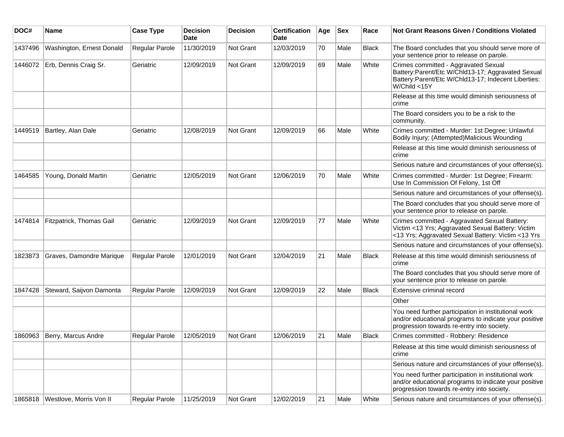| DOC#    | <b>Name</b>               | <b>Case Type</b> | <b>Decision</b><br>Date | <b>Decision</b>  | <b>Certification</b><br>Date | Age | <b>Sex</b> | Race         | Not Grant Reasons Given / Conditions Violated                                                                                                                    |
|---------|---------------------------|------------------|-------------------------|------------------|------------------------------|-----|------------|--------------|------------------------------------------------------------------------------------------------------------------------------------------------------------------|
| 1437496 | Washington, Ernest Donald | Regular Parole   | 11/30/2019              | Not Grant        | 12/03/2019                   | 70  | Male       | Black        | The Board concludes that you should serve more of<br>your sentence prior to release on parole.                                                                   |
| 1446072 | Erb, Dennis Craig Sr.     | Geriatric        | 12/09/2019              | Not Grant        | 12/09/2019                   | 69  | Male       | White        | Crimes committed - Aggravated Sexual<br>Battery:Parent/Etc W/Chld13-17; Aggravated Sexual<br>Battery:Parent/Etc W/Chld13-17; Indecent Liberties:<br>W/Child <15Y |
|         |                           |                  |                         |                  |                              |     |            |              | Release at this time would diminish seriousness of<br>crime                                                                                                      |
|         |                           |                  |                         |                  |                              |     |            |              | The Board considers you to be a risk to the<br>community.                                                                                                        |
| 1449519 | Bartley, Alan Dale        | Geriatric        | 12/08/2019              | Not Grant        | 12/09/2019                   | 66  | Male       | White        | Crimes committed - Murder: 1st Degree; Unlawful<br>Bodily Injury; (Attempted)Malicious Wounding                                                                  |
|         |                           |                  |                         |                  |                              |     |            |              | Release at this time would diminish seriousness of<br>crime                                                                                                      |
|         |                           |                  |                         |                  |                              |     |            |              | Serious nature and circumstances of your offense(s).                                                                                                             |
| 1464585 | Young, Donald Martin      | Geriatric        | 12/05/2019              | Not Grant        | 12/06/2019                   | 70  | Male       | White        | Crimes committed - Murder: 1st Degree; Firearm:<br>Use In Commission Of Felony, 1st Off                                                                          |
|         |                           |                  |                         |                  |                              |     |            |              | Serious nature and circumstances of your offense(s).                                                                                                             |
|         |                           |                  |                         |                  |                              |     |            |              | The Board concludes that you should serve more of<br>your sentence prior to release on parole.                                                                   |
| 1474814 | Fitzpatrick, Thomas Gail  | Geriatric        | 12/09/2019              | Not Grant        | 12/09/2019                   | 77  | Male       | White        | Crimes committed - Aggravated Sexual Battery:<br>Victim <13 Yrs; Aggravated Sexual Battery: Victim<br><13 Yrs; Aggravated Sexual Battery: Victim <13 Yrs         |
|         |                           |                  |                         |                  |                              |     |            |              | Serious nature and circumstances of your offense(s).                                                                                                             |
| 1823873 | Graves, Damondre Marique  | Regular Parole   | 12/01/2019              | <b>Not Grant</b> | 12/04/2019                   | 21  | Male       | <b>Black</b> | Release at this time would diminish seriousness of<br>crime                                                                                                      |
|         |                           |                  |                         |                  |                              |     |            |              | The Board concludes that you should serve more of<br>your sentence prior to release on parole.                                                                   |
| 1847428 | Steward, Saijvon Damonta  | Regular Parole   | 12/09/2019              | <b>Not Grant</b> | 12/09/2019                   | 22  | Male       | Black        | Extensive criminal record                                                                                                                                        |
|         |                           |                  |                         |                  |                              |     |            |              | Other                                                                                                                                                            |
|         |                           |                  |                         |                  |                              |     |            |              | You need further participation in institutional work<br>and/or educational programs to indicate your positive<br>progression towards re-entry into society.      |
| 1860963 | Berry, Marcus Andre       | Regular Parole   | 12/05/2019              | Not Grant        | 12/06/2019                   | 21  | Male       | <b>Black</b> | Crimes committed - Robbery: Residence                                                                                                                            |
|         |                           |                  |                         |                  |                              |     |            |              | Release at this time would diminish seriousness of<br>crime                                                                                                      |
|         |                           |                  |                         |                  |                              |     |            |              | Serious nature and circumstances of your offense(s).                                                                                                             |
|         |                           |                  |                         |                  |                              |     |            |              | You need further participation in institutional work<br>and/or educational programs to indicate your positive<br>progression towards re-entry into society.      |
| 1865818 | Westlove, Morris Von II   | Regular Parole   | 11/25/2019              | Not Grant        | 12/02/2019                   | 21  | Male       | White        | Serious nature and circumstances of your offense(s).                                                                                                             |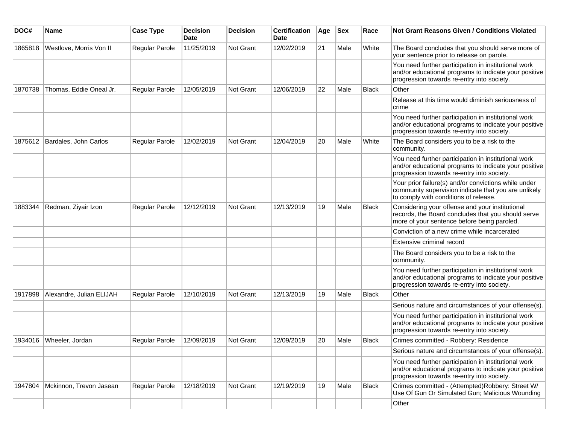| DOC#    | <b>Name</b>              | <b>Case Type</b> | <b>Decision</b><br>Date | <b>Decision</b>  | <b>Certification</b><br>Date | Age | <b>Sex</b> | Race         | Not Grant Reasons Given / Conditions Violated                                                                                                               |
|---------|--------------------------|------------------|-------------------------|------------------|------------------------------|-----|------------|--------------|-------------------------------------------------------------------------------------------------------------------------------------------------------------|
| 1865818 | Westlove, Morris Von II  | Regular Parole   | 11/25/2019              | Not Grant        | 12/02/2019                   | 21  | Male       | White        | The Board concludes that you should serve more of<br>your sentence prior to release on parole.                                                              |
|         |                          |                  |                         |                  |                              |     |            |              | You need further participation in institutional work<br>and/or educational programs to indicate your positive<br>progression towards re-entry into society. |
| 1870738 | Thomas, Eddie Oneal Jr.  | Regular Parole   | 12/05/2019              | Not Grant        | 12/06/2019                   | 22  | Male       | <b>Black</b> | Other                                                                                                                                                       |
|         |                          |                  |                         |                  |                              |     |            |              | Release at this time would diminish seriousness of<br>crime                                                                                                 |
|         |                          |                  |                         |                  |                              |     |            |              | You need further participation in institutional work<br>and/or educational programs to indicate your positive<br>progression towards re-entry into society. |
| 1875612 | Bardales, John Carlos    | Regular Parole   | 12/02/2019              | Not Grant        | 12/04/2019                   | 20  | Male       | White        | The Board considers you to be a risk to the<br>community.                                                                                                   |
|         |                          |                  |                         |                  |                              |     |            |              | You need further participation in institutional work<br>and/or educational programs to indicate your positive<br>progression towards re-entry into society. |
|         |                          |                  |                         |                  |                              |     |            |              | Your prior failure(s) and/or convictions while under<br>community supervision indicate that you are unlikely<br>to comply with conditions of release.       |
| 1883344 | Redman, Ziyair Izon      | Regular Parole   | 12/12/2019              | Not Grant        | 12/13/2019                   | 19  | Male       | <b>Black</b> | Considering your offense and your institutional<br>records, the Board concludes that you should serve<br>more of your sentence before being paroled.        |
|         |                          |                  |                         |                  |                              |     |            |              | Conviction of a new crime while incarcerated                                                                                                                |
|         |                          |                  |                         |                  |                              |     |            |              | Extensive criminal record                                                                                                                                   |
|         |                          |                  |                         |                  |                              |     |            |              | The Board considers you to be a risk to the<br>community.                                                                                                   |
|         |                          |                  |                         |                  |                              |     |            |              | You need further participation in institutional work<br>and/or educational programs to indicate your positive<br>progression towards re-entry into society. |
| 1917898 | Alexandre, Julian ELIJAH | Regular Parole   | 12/10/2019              | <b>Not Grant</b> | 12/13/2019                   | 19  | Male       | <b>Black</b> | Other                                                                                                                                                       |
|         |                          |                  |                         |                  |                              |     |            |              | Serious nature and circumstances of your offense(s).                                                                                                        |
|         |                          |                  |                         |                  |                              |     |            |              | You need further participation in institutional work<br>and/or educational programs to indicate your positive<br>progression towards re-entry into society. |
| 1934016 | Wheeler, Jordan          | Regular Parole   | 12/09/2019              | Not Grant        | 12/09/2019                   | 20  | Male       | <b>Black</b> | Crimes committed - Robbery: Residence                                                                                                                       |
|         |                          |                  |                         |                  |                              |     |            |              | Serious nature and circumstances of your offense(s).                                                                                                        |
|         |                          |                  |                         |                  |                              |     |            |              | You need further participation in institutional work<br>and/or educational programs to indicate your positive<br>progression towards re-entry into society. |
| 1947804 | Mckinnon, Trevon Jasean  | Regular Parole   | 12/18/2019              | Not Grant        | 12/19/2019                   | 19  | Male       | <b>Black</b> | Crimes committed - (Attempted)Robbery: Street W/<br>Use Of Gun Or Simulated Gun; Malicious Wounding                                                         |
|         |                          |                  |                         |                  |                              |     |            |              | Other                                                                                                                                                       |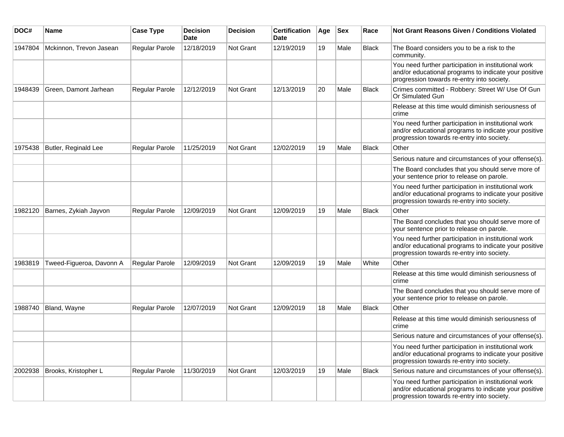| DOC#    | Name                     | <b>Case Type</b> | <b>Decision</b><br><b>Date</b> | <b>Decision</b> | <b>Certification</b><br>Date | Age | <b>Sex</b> | Race         | <b>Not Grant Reasons Given / Conditions Violated</b>                                                                                                        |
|---------|--------------------------|------------------|--------------------------------|-----------------|------------------------------|-----|------------|--------------|-------------------------------------------------------------------------------------------------------------------------------------------------------------|
| 1947804 | Mckinnon, Trevon Jasean  | Regular Parole   | 12/18/2019                     | Not Grant       | 12/19/2019                   | 19  | Male       | <b>Black</b> | The Board considers you to be a risk to the<br>community.                                                                                                   |
|         |                          |                  |                                |                 |                              |     |            |              | You need further participation in institutional work<br>and/or educational programs to indicate your positive<br>progression towards re-entry into society. |
| 1948439 | Green, Damont Jarhean    | Regular Parole   | 12/12/2019                     | Not Grant       | 12/13/2019                   | 20  | Male       | <b>Black</b> | Crimes committed - Robbery: Street W/ Use Of Gun<br>Or Simulated Gun                                                                                        |
|         |                          |                  |                                |                 |                              |     |            |              | Release at this time would diminish seriousness of<br>crime                                                                                                 |
|         |                          |                  |                                |                 |                              |     |            |              | You need further participation in institutional work<br>and/or educational programs to indicate your positive<br>progression towards re-entry into society. |
| 1975438 | Butler, Reginald Lee     | Regular Parole   | 11/25/2019                     | Not Grant       | 12/02/2019                   | 19  | Male       | <b>Black</b> | Other                                                                                                                                                       |
|         |                          |                  |                                |                 |                              |     |            |              | Serious nature and circumstances of your offense(s).                                                                                                        |
|         |                          |                  |                                |                 |                              |     |            |              | The Board concludes that you should serve more of<br>your sentence prior to release on parole.                                                              |
|         |                          |                  |                                |                 |                              |     |            |              | You need further participation in institutional work<br>and/or educational programs to indicate your positive<br>progression towards re-entry into society. |
| 1982120 | Barnes, Zykiah Jayvon    | Regular Parole   | 12/09/2019                     | Not Grant       | 12/09/2019                   | 19  | Male       | <b>Black</b> | Other                                                                                                                                                       |
|         |                          |                  |                                |                 |                              |     |            |              | The Board concludes that you should serve more of<br>your sentence prior to release on parole.                                                              |
|         |                          |                  |                                |                 |                              |     |            |              | You need further participation in institutional work<br>and/or educational programs to indicate your positive<br>progression towards re-entry into society. |
| 1983819 | Tweed-Figueroa, Davonn A | Regular Parole   | 12/09/2019                     | Not Grant       | 12/09/2019                   | 19  | Male       | White        | Other                                                                                                                                                       |
|         |                          |                  |                                |                 |                              |     |            |              | Release at this time would diminish seriousness of<br>crime                                                                                                 |
|         |                          |                  |                                |                 |                              |     |            |              | The Board concludes that you should serve more of<br>your sentence prior to release on parole.                                                              |
| 1988740 | Bland, Wayne             | Regular Parole   | 12/07/2019                     | Not Grant       | 12/09/2019                   | 18  | Male       | Black        | Other                                                                                                                                                       |
|         |                          |                  |                                |                 |                              |     |            |              | Release at this time would diminish seriousness of<br>crime                                                                                                 |
|         |                          |                  |                                |                 |                              |     |            |              | Serious nature and circumstances of your offense(s).                                                                                                        |
|         |                          |                  |                                |                 |                              |     |            |              | You need further participation in institutional work<br>and/or educational programs to indicate your positive<br>progression towards re-entry into society. |
| 2002938 | Brooks, Kristopher L     | Regular Parole   | 11/30/2019                     | Not Grant       | 12/03/2019                   | 19  | Male       | Black        | Serious nature and circumstances of your offense(s).                                                                                                        |
|         |                          |                  |                                |                 |                              |     |            |              | You need further participation in institutional work<br>and/or educational programs to indicate your positive<br>progression towards re-entry into society. |